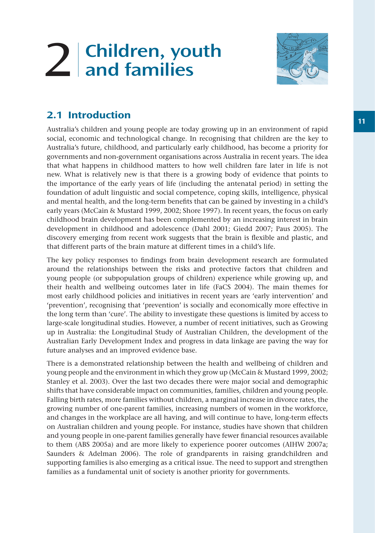# 2 Children, youth<br>2 and families



# 2.1 Introduction

Australia's children and young people are today growing up in an environment of rapid social, economic and technological change. In recognising that children are the key to Australia's future, childhood, and particularly early childhood, has become a priority for governments and non-government organisations across Australia in recent years. The idea that what happens in childhood matters to how well children fare later in life is not new. What is relatively new is that there is a growing body of evidence that points to the importance of the early years of life (including the antenatal period) in setting the foundation of adult linguistic and social competence, coping skills, intelligence, physical and mental health, and the long-term benefits that can be gained by investing in a child's early years (McCain & Mustard 1999, 2002; Shore 1997). In recent years, the focus on early childhood brain development has been complemented by an increasing interest in brain development in childhood and adolescence (Dahl 2001; Giedd 2007; Paus 2005). The discovery emerging from recent work suggests that the brain is flexible and plastic, and that different parts of the brain mature at different times in a child's life.

The key policy responses to findings from brain development research are formulated around the relationships between the risks and protective factors that children and young people (or subpopulation groups of children) experience while growing up, and their health and wellbeing outcomes later in life (FaCS 2004). The main themes for most early childhood policies and initiatives in recent years are 'early intervention' and 'prevention', recognising that 'prevention' is socially and economically more effective in the long term than 'cure'. The ability to investigate these questions is limited by access to large-scale longitudinal studies. However, a number of recent initiatives, such as Growing up in Australia: the Longitudinal Study of Australian Children, the development of the Australian Early Development Index and progress in data linkage are paving the way for future analyses and an improved evidence base.

There is a demonstrated relationship between the health and wellbeing of children and young people and the environment in which they grow up (McCain & Mustard 1999, 2002; Stanley et al. 2003). Over the last two decades there were major social and demographic shifts that have considerable impact on communities, families, children and young people. Falling birth rates, more families without children, a marginal increase in divorce rates, the growing number of one-parent families, increasing numbers of women in the workforce, and changes in the workplace are all having, and will continue to have, long-term effects on Australian children and young people. For instance, studies have shown that children and young people in one-parent families generally have fewer financial resources available to them (ABS 2005a) and are more likely to experience poorer outcomes (AIHW 2007a; Saunders & Adelman 2006). The role of grandparents in raising grandchildren and supporting families is also emerging as a critical issue. The need to support and strengthen families as a fundamental unit of society is another priority for governments.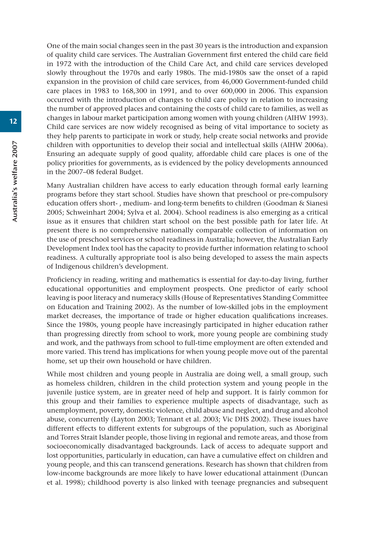One of the main social changes seen in the past 30 years is the introduction and expansion of quality child care services. The Australian Government first entered the child care field in 1972 with the introduction of the Child Care Act, and child care services developed slowly throughout the 1970s and early 1980s. The mid-1980s saw the onset of a rapid expansion in the provision of child care services, from 46,000 Government-funded child care places in 1983 to 168,300 in 1991, and to over 600,000 in 2006. This expansion occurred with the introduction of changes to child care policy in relation to increasing the number of approved places and containing the costs of child care to families, as well as changes in labour market participation among women with young children (AIHW 1993). Child care services are now widely recognised as being of vital importance to society as they help parents to participate in work or study, help create social networks and provide children with opportunities to develop their social and intellectual skills (AIHW 2006a). Ensuring an adequate supply of good quality, affordable child care places is one of the policy priorities for governments, as is evidenced by the policy developments announced in the 2007–08 federal Budget.

Many Australian children have access to early education through formal early learning programs before they start school. Studies have shown that preschool or pre-compulsory education offers short- , medium- and long-term benefits to children (Goodman & Sianesi 2005; Schweinhart 2004; Sylva et al. 2004). School readiness is also emerging as a critical issue as it ensures that children start school on the best possible path for later life. At present there is no comprehensive nationally comparable collection of information on the use of preschool services or school readiness in Australia; however, the Australian Early Development Index tool has the capacity to provide further information relating to school readiness. A culturally appropriate tool is also being developed to assess the main aspects of Indigenous children's development.

Proficiency in reading, writing and mathematics is essential for day-to-day living, further educational opportunities and employment prospects. One predictor of early school leaving is poor literacy and numeracy skills (House of Representatives Standing Committee on Education and Training 2002). As the number of low-skilled jobs in the employment market decreases, the importance of trade or higher education qualifications increases. Since the 1980s, young people have increasingly participated in higher education rather than progressing directly from school to work, more young people are combining study and work, and the pathways from school to full-time employment are often extended and more varied. This trend has implications for when young people move out of the parental home, set up their own household or have children.

While most children and young people in Australia are doing well, a small group, such as homeless children, children in the child protection system and young people in the juvenile justice system, are in greater need of help and support. It is fairly common for this group and their families to experience multiple aspects of disadvantage, such as unemployment, poverty, domestic violence, child abuse and neglect, and drug and alcohol abuse, concurrently (Layton 2003; Tennant et al. 2003; Vic DHS 2002). These issues have different effects to different extents for subgroups of the population, such as Aboriginal and Torres Strait Islander people, those living in regional and remote areas, and those from socioeconomically disadvantaged backgrounds. Lack of access to adequate support and lost opportunities, particularly in education, can have a cumulative effect on children and young people, and this can transcend generations. Research has shown that children from low-income backgrounds are more likely to have lower educational attainment (Duncan et al. 1998); childhood poverty is also linked with teenage pregnancies and subsequent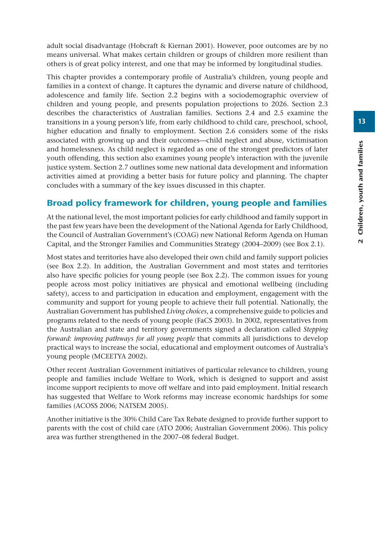adult social disadvantage (Hobcraft & Kiernan 2001). However, poor outcomes are by no means universal. What makes certain children or groups of children more resilient than others is of great policy interest, and one that may be informed by longitudinal studies.

This chapter provides a contemporary profile of Australia's children, young people and families in a context of change. It captures the dynamic and diverse nature of childhood, adolescence and family life. Section 2.2 begins with a sociodemographic overview of children and young people, and presents population projections to 2026. Section 2.3 describes the characteristics of Australian families. Sections 2.4 and 2.5 examine the transitions in a young person's life, from early childhood to child care, preschool, school, higher education and finally to employment. Section 2.6 considers some of the risks associated with growing up and their outcomes—child neglect and abuse, victimisation and homelessness. As child neglect is regarded as one of the strongest predictors of later youth offending, this section also examines young people's interaction with the juvenile justice system. Section 2.7 outlines some new national data development and information activities aimed at providing a better basis for future policy and planning. The chapter concludes with a summary of the key issues discussed in this chapter.

# Broad policy framework for children, young people and families

At the national level, the most important policies for early childhood and family support in the past few years have been the development of the National Agenda for Early Childhood, the Council of Australian Government's (COAG) new National Reform Agenda on Human Capital, and the Stronger Families and Communities Strategy (2004–2009) (see Box 2.1).

Most states and territories have also developed their own child and family support policies (see Box 2.2). In addition, the Australian Government and most states and territories also have specific policies for young people (see Box 2.2). The common issues for young people across most policy initiatives are physical and emotional wellbeing (including safety), access to and participation in education and employment, engagement with the community and support for young people to achieve their full potential. Nationally, the Australian Government has published *Living choices*, a comprehensive guide to policies and programs related to the needs of young people (FaCS 2003). In 2002, representatives from the Australian and state and territory governments signed a declaration called *Stepping forward: improving pathways for all young people* that commits all jurisdictions to develop practical ways to increase the social, educational and employment outcomes of Australia's young people (MCEETYA 2002).

Other recent Australian Government initiatives of particular relevance to children, young people and families include Welfare to Work, which is designed to support and assist income support recipients to move off welfare and into paid employment. Initial research has suggested that Welfare to Work reforms may increase economic hardships for some families (ACOSS 2006; NATSEM 2005).

Another initiative is the 30% Child Care Tax Rebate designed to provide further support to parents with the cost of child care (ATO 2006; Australian Government 2006). This policy area was further strengthened in the 2007–08 federal Budget.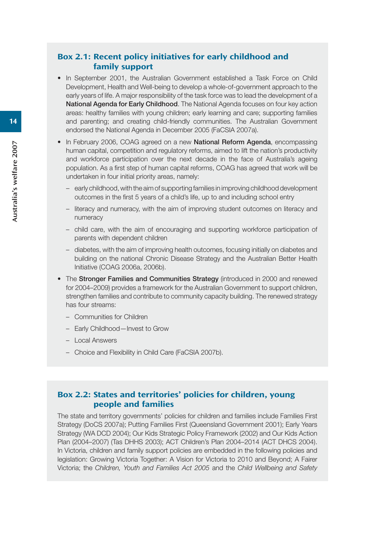# Box 2.1: Recent policy initiatives for early childhood and family support

- In September 2001, the Australian Government established a Task Force on Child Development, Health and Well-being to develop a whole-of-government approach to the early years of life. A major responsibility of the task force was to lead the development of a **National Agenda for Early Childhood**. The National Agenda focuses on four key action areas: healthy families with young children; early learning and care; supporting families and parenting; and creating child-friendly communities. The Australian Government endorsed the National Agenda in December 2005 (FaCSIA 2007a).
- In February 2006, COAG agreed on a new **National Reform Agenda**, encompassing human capital, competition and regulatory reforms, aimed to lift the nation's productivity and workforce participation over the next decade in the face of Australia's ageing population. As a first step of human capital reforms, COAG has agreed that work will be undertaken in four initial priority areas, namely:
	- early childhood, with the aim of supporting families in improving childhood development outcomes in the first 5 years of a child's life, up to and including school entry
	- literacy and numeracy, with the aim of improving student outcomes on literacy and numeracy
	- child care, with the aim of encouraging and supporting workforce participation of parents with dependent children
	- diabetes, with the aim of improving health outcomes, focusing initially on diabetes and building on the national Chronic Disease Strategy and the Australian Better Health Initiative (COAG 2006a, 2006b).
- The **Stronger Families and Communities Strategy** (introduced in 2000 and renewed for 2004–2009) provides a framework for the Australian Government to support children, strengthen families and contribute to community capacity building. The renewed strategy has four streams:
	- Communities for Children
	- Early Childhood—Invest to Grow
	- Local Answers
	- Choice and Flexibility in Child Care (FaCSIA 2007b).

# Box 2.2: States and territories' policies for children, young people and families

The state and territory governments' policies for children and families include Families First Strategy (DoCS 2007a); Putting Families First (Queensland Government 2001); Early Years Strategy (WA DCD 2004); Our Kids Strategic Policy Framework (2002) and Our Kids Action Plan (2004–2007) (Tas DHHS 2003); ACT Children's Plan 2004–2014 (ACT DHCS 2004). In Victoria, children and family support policies are embedded in the following policies and legislation: Growing Victoria Together: A Vision for Victoria to 2010 and Beyond; A Fairer Victoria; the *Children, Youth and Families Act 2005* and the *Child Wellbeing and Safety*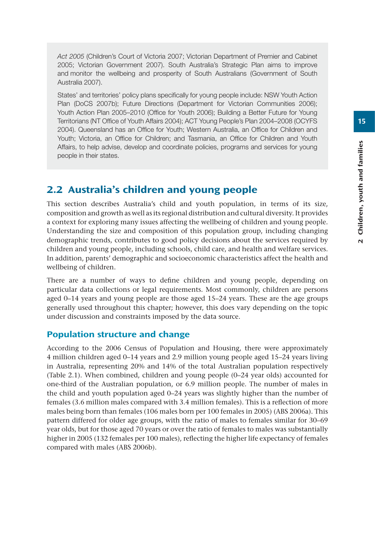*Act 2005* (Children's Court of Victoria 2007; Victorian Department of Premier and Cabinet 2005; Victorian Government 2007). South Australia's Strategic Plan aims to improve and monitor the wellbeing and prosperity of South Australians (Government of South Australia 2007).

States' and territories' policy plans specifically for young people include: NSW Youth Action Plan (DoCS 2007b); Future Directions (Department for Victorian Communities 2006); Youth Action Plan 2005–2010 (Office for Youth 2006); Building a Better Future for Young Territorians (NT Office of Youth Affairs 2004); ACT Young People's Plan 2004–2008 (OCYFS 2004). Queensland has an Office for Youth; Western Australia, an Office for Children and Youth; Victoria, an Office for Children; and Tasmania, an Office for Children and Youth Affairs, to help advise, develop and coordinate policies, programs and services for young people in their states.

# 2.2 Australia's children and young people

This section describes Australia's child and youth population, in terms of its size, composition and growth as well as its regional distribution and cultural diversity. It provides a context for exploring many issues affecting the wellbeing of children and young people. Understanding the size and composition of this population group, including changing demographic trends, contributes to good policy decisions about the services required by children and young people, including schools, child care, and health and welfare services. In addition, parents' demographic and socioeconomic characteristics affect the health and wellbeing of children.

There are a number of ways to define children and young people, depending on particular data collections or legal requirements. Most commonly, children are persons aged 0–14 years and young people are those aged 15–24 years. These are the age groups generally used throughout this chapter; however, this does vary depending on the topic under discussion and constraints imposed by the data source.

# Population structure and change

According to the 2006 Census of Population and Housing, there were approximately 4 million children aged 0–14 years and 2.9 million young people aged 15–24 years living in Australia, representing 20% and 14% of the total Australian population respectively (Table 2.1). When combined, children and young people (0–24 year olds) accounted for one-third of the Australian population, or 6.9 million people. The number of males in the child and youth population aged 0–24 years was slightly higher than the number of females (3.6 million males compared with 3.4 million females). This is a reflection of more males being born than females (106 males born per 100 females in 2005) (ABS 2006a). This pattern differed for older age groups, with the ratio of males to females similar for 30–69 year olds, but for those aged 70 years or over the ratio of females to males was substantially higher in 2005 (132 females per 100 males), reflecting the higher life expectancy of females compared with males (ABS 2006b).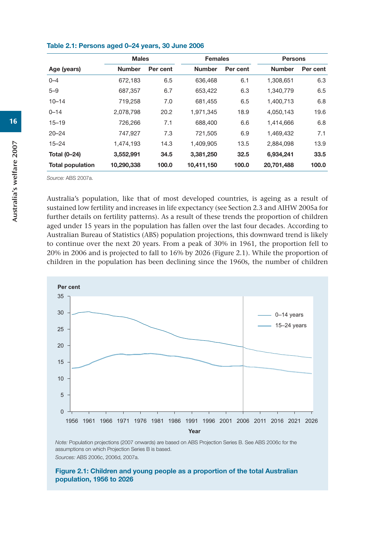|                         |               | <b>Males</b> |               | <b>Females</b> | <b>Persons</b> |          |  |
|-------------------------|---------------|--------------|---------------|----------------|----------------|----------|--|
| Age (years)             | <b>Number</b> | Per cent     | <b>Number</b> | Per cent       | <b>Number</b>  | Per cent |  |
| $0 - 4$                 | 672.183       | 6.5          | 636,468       | 6.1            | 1,308,651      | 6.3      |  |
| $5 - 9$                 | 687.357       | 6.7          | 653.422       | 6.3            | 1.340.779      | 6.5      |  |
| $10 - 14$               | 719.258       | 7.0          | 681.455       | 6.5            | 1.400.713      | 6.8      |  |
| $0 - 14$                | 2,078,798     | 20.2         | 1.971.345     | 18.9           | 4.050.143      | 19.6     |  |
| $15 - 19$               | 726.266       | 7.1          | 688,400       | 6.6            | 1.414.666      | 6.8      |  |
| $20 - 24$               | 747,927       | 7.3          | 721,505       | 6.9            | 1,469,432      | 7.1      |  |
| $15 - 24$               | 1.474.193     | 14.3         | 1.409.905     | 13.5           | 2.884.098      | 13.9     |  |
| Total (0-24)            | 3,552,991     | 34.5         | 3,381,250     | 32.5           | 6,934,241      | 33.5     |  |
| <b>Total population</b> | 10,290,338    | 100.0        | 10,411,150    | 100.0          | 20,701,488     | 100.0    |  |

#### **Table 2.1: Persons aged 0–24 years, 30 June 2006**

*Source:* ABS 2007a.

Australia's population, like that of most developed countries, is ageing as a result of sustained low fertility and increases in life expectancy (see Section 2.3 and AIHW 2005a for further details on fertility patterns). As a result of these trends the proportion of children aged under 15 years in the population has fallen over the last four decades. According to Australian Bureau of Statistics (ABS) population projections, this downward trend is likely to continue over the next 20 years. From a peak of 30% in 1961, the proportion fell to 20% in 2006 and is projected to fall to 16% by 2026 (Figure 2.1). While the proportion of children in the population has been declining since the 1960s, the number of children



*Note:* Population projections (2007 onwards) are based on ABS Projection Series B. See ABS 2006c for the assumptions on which Projection Series B is based. *Sources:* ABS 2006c, 2006d, 2007a.

**Figure 2.1: Children and young people as a proportion of the total Australian population, 1956 to 2026**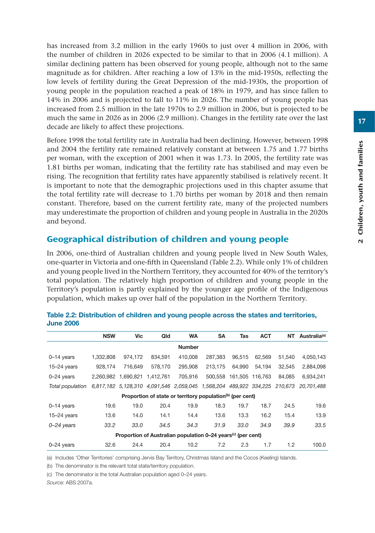has increased from 3.2 million in the early 1960s to just over 4 million in 2006, with the number of children in 2026 expected to be similar to that in 2006 (4.1 million). A similar declining pattern has been observed for young people, although not to the same magnitude as for children. After reaching a low of 13% in the mid-1950s, reflecting the low levels of fertility during the Great Depression of the mid-1930s, the proportion of young people in the population reached a peak of 18% in 1979, and has since fallen to 14% in 2006 and is projected to fall to 11% in 2026. The number of young people has increased from 2.5 million in the late 1970s to 2.9 million in 2006, but is projected to be much the same in 2026 as in 2006 (2.9 million). Changes in the fertility rate over the last decade are likely to affect these projections.

Before 1998 the total fertility rate in Australia had been declining. However, between 1998 and 2004 the fertility rate remained relatively constant at between 1.75 and 1.77 births per woman, with the exception of 2001 when it was 1.73. In 2005, the fertility rate was 1.81 births per woman, indicating that the fertility rate has stabilised and may even be rising. The recognition that fertility rates have apparently stabilised is relatively recent. It is important to note that the demographic projections used in this chapter assume that the total fertility rate will decrease to 1.70 births per woman by 2018 and then remain constant. Therefore, based on the current fertility rate, many of the projected numbers may underestimate the proportion of children and young people in Australia in the 2020s and beyond.

# Geographical distribution of children and young people

In 2006, one-third of Australian children and young people lived in New South Wales, one-quarter in Victoria and one-fifth in Queensland (Table 2.2). While only 1% of children and young people lived in the Northern Territory, they accounted for 40% of the territory's total population. The relatively high proportion of children and young people in the Territory's population is partly explained by the younger age profile of the Indigenous population, which makes up over half of the population in the Northern Territory.

|                  | <b>NSW</b> | Vic                                                                       | Qld       | <b>WA</b>     | <b>SA</b>                                                             | Tas    | <b>ACT</b>      | NΤ     | Australia <sup>(a)</sup> |
|------------------|------------|---------------------------------------------------------------------------|-----------|---------------|-----------------------------------------------------------------------|--------|-----------------|--------|--------------------------|
|                  |            |                                                                           |           | <b>Number</b> |                                                                       |        |                 |        |                          |
| $0-14$ years     | 1.332.808  | 974,172                                                                   | 834,591   | 410.008       | 287.383                                                               | 96.515 | 62.569          | 51.540 | 4,050,143                |
| $15-24$ years    | 928.174    | 716.649                                                                   | 578.170   | 295.908       | 213.175                                                               | 64.990 | 54.194          | 32.545 | 2.884.098                |
| $0 - 24$ years   | 2.260.982  | 1,690,821                                                                 | 1.412.761 | 705.916       | 500.558                                                               |        | 161.505 116.763 | 84.085 | 6.934.241                |
| Total population |            | 6,817,182 5,128,310 4,091,546 2,059,045 1,568,204 489,922 334,225 210,673 |           |               |                                                                       |        |                 |        | 20.701.488               |
|                  |            |                                                                           |           |               | Proportion of state or territory population <sup>(b)</sup> (per cent) |        |                 |        |                          |
| $0-14$ years     | 19.6       | 19.0                                                                      | 20.4      | 19.9          | 18.3                                                                  | 19.7   | 18.7            | 24.5   | 19.6                     |
| $15-24$ years    | 13.6       | 14.0                                                                      | 14.1      | 14.4          | 13.6                                                                  | 13.3   | 16.2            | 15.4   | 13.9                     |
| $0 - 24$ years   | 33.2       | 33.0                                                                      | 34.5      | 34.3          | 31.9                                                                  | 33.0   | 34.9            | 39.9   | 33.5                     |
|                  |            | Proportion of Australian population 0-24 years <sup>(c)</sup> (per cent)  |           |               |                                                                       |        |                 |        |                          |
| $0-24$ years     | 32.6       | 24.4                                                                      | 20.4      | 10.2          | 7.2                                                                   | 2.3    | 1.7             | 1.2    | 100.0                    |

#### **Table 2.2: Distribution of children and young people across the states and territories, June 2006**

(a) Includes 'Other Territories' comprising Jervis Bay Territory, Christmas Island and the Cocos (Keeling) Islands.

(b) The denominator is the relevant total state/territory population.

*Source:* ABS 2007a.

<sup>(</sup>c) The denominator is the total Australian population aged 0–24 years.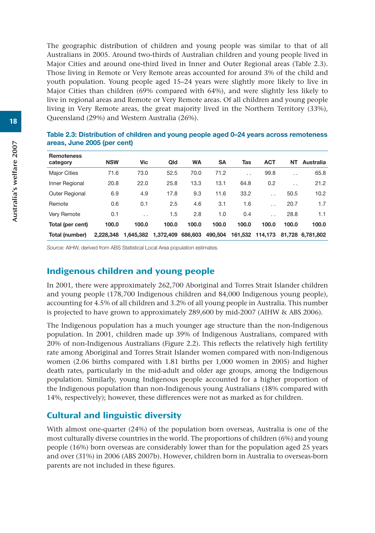The geographic distribution of children and young people was similar to that of all Australians in 2005. Around two-thirds of Australian children and young people lived in Major Cities and around one-third lived in Inner and Outer Regional areas (Table 2.3). Those living in Remote or Very Remote areas accounted for around 3% of the child and youth population. Young people aged 15–24 years were slightly more likely to live in Major Cities than children (69% compared with 64%), and were slightly less likely to live in regional areas and Remote or Very Remote areas. Of all children and young people living in Very Remote areas, the great majority lived in the Northern Territory (33%), Queensland (29%) and Western Australia (26%).

| <b>Remoteness</b><br>category | <b>NSW</b> | <b>Vic</b>      | Qld       | <b>WA</b> | <b>SA</b> | Tas       | <b>ACT</b>      | NΤ                   | Australia        |
|-------------------------------|------------|-----------------|-----------|-----------|-----------|-----------|-----------------|----------------------|------------------|
| <b>Major Cities</b>           | 71.6       | 73.0            | 52.5      | 70.0      | 71.2      | $\cdot$ . | 99.8            | . .                  | 65.8             |
| Inner Regional                | 20.8       | 22.0            | 25.8      | 13.3      | 13.1      | 64.8      | 0.2             | $\ddot{\phantom{0}}$ | 21.2             |
| <b>Outer Regional</b>         | 6.9        | 4.9             | 17.8      | 9.3       | 11.6      | 33.2      | . .             | 50.5                 | 10.2             |
| Remote                        | 0.6        | 0.1             | 2.5       | 4.6       | 3.1       | 1.6       | . .             | 20.7                 | 1.7              |
| Very Remote                   | 0.1        | $\cdot$ $\cdot$ | 1.5       | 2.8       | 1.0       | 0.4       |                 | 28.8                 | 1.1              |
| Total (per cent)              | 100.0      | 100.0           | 100.0     | 100.0     | 100.0     | 100.0     | 100.0           | 100.0                | 100.0            |
| Total (number)                | 2.228.348  | 1.645.382       | 1.372.409 | 686,603   | 490.504   |           | 161.532 114.173 |                      | 81.728 6.781.802 |

#### **Table 2.3: Distribution of children and young people aged 0–24 years across remoteness areas, June 2005 (per cent)**

*Source:* AIHW, derived from ABS Statistical Local Area population estimates.

## Indigenous children and young people

In 2001, there were approximately 262,700 Aboriginal and Torres Strait Islander children and young people (178,700 Indigenous children and 84,000 Indigenous young people), accounting for 4.5% of all children and 3.2% of all young people in Australia. This number is projected to have grown to approximately 289,600 by mid-2007 (AIHW & ABS 2006).

The Indigenous population has a much younger age structure than the non-Indigenous population. In 2001, children made up 39% of Indigenous Australians, compared with 20% of non-Indigenous Australians (Figure 2.2). This reflects the relatively high fertility rate among Aboriginal and Torres Strait Islander women compared with non-Indigenous women (2.06 births compared with 1.81 births per 1,000 women in 2005) and higher death rates, particularly in the mid-adult and older age groups, among the Indigenous population. Similarly, young Indigenous people accounted for a higher proportion of the Indigenous population than non-Indigenous young Australians (18% compared with 14%, respectively); however, these differences were not as marked as for children.

# Cultural and linguistic diversity

With almost one-quarter (24%) of the population born overseas, Australia is one of the most culturally diverse countries in the world. The proportions of children (6%) and young people (16%) born overseas are considerably lower than for the population aged 25 years and over (31%) in 2006 (ABS 2007b). However, children born in Australia to overseas-born parents are not included in these figures.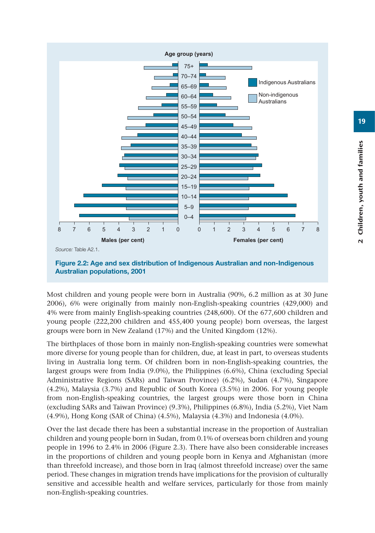

**Figure 2.2: Age and sex distribution of Indigenous Australian and non-Indigenous Australian populations, 2001**

Most children and young people were born in Australia (90%, 6.2 million as at 30 June 2006), 6% were originally from mainly non-English-speaking countries (429,000) and 4% were from mainly English-speaking countries (248,600). Of the 677,600 children and young people (222,200 children and 455,400 young people) born overseas, the largest groups were born in New Zealand (17%) and the United Kingdom (12%).

The birthplaces of those born in mainly non-English-speaking countries were somewhat more diverse for young people than for children, due, at least in part, to overseas students living in Australia long term. Of children born in non-English-speaking countries, the largest groups were from India (9.0%), the Philippines (6.6%), China (excluding Special Administrative Regions (SARs) and Taiwan Province) (6.2%), Sudan (4.7%), Singapore (4.2%), Malaysia (3.7%) and Republic of South Korea (3.5%) in 2006. For young people from non-English-speaking countries, the largest groups were those born in China (excluding SARs and Taiwan Province) (9.3%), Philippines (6.8%), India (5.2%), Viet Nam (4.9%), Hong Kong (SAR of China) (4.5%), Malaysia (4.3%) and Indonesia (4.0%).

Over the last decade there has been a substantial increase in the proportion of Australian children and young people born in Sudan, from 0.1% of overseas born children and young people in 1996 to 2.4% in 2006 (Figure 2.3). There have also been considerable increases in the proportions of children and young people born in Kenya and Afghanistan (more than threefold increase), and those born in Iraq (almost threefold increase) over the same period. These changes in migration trends have implications for the provision of culturally sensitive and accessible health and welfare services, particularly for those from mainly non-English-speaking countries.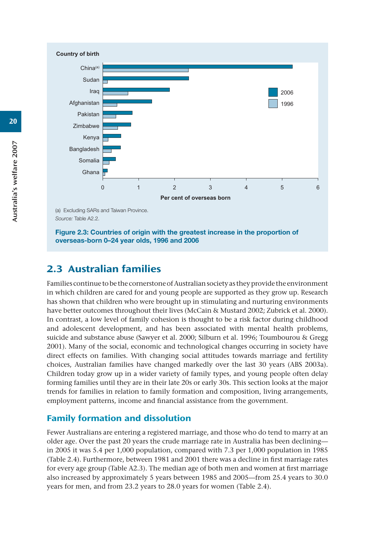

**Figure 2.3: Countries of origin with the greatest increase in the proportion of overseas-born 0–24 year olds, 1996 and 2006**

# 2.3 Australian families

Families continue to be the cornerstone of Australian society as they provide the environment in which children are cared for and young people are supported as they grow up. Research has shown that children who were brought up in stimulating and nurturing environments have better outcomes throughout their lives (McCain & Mustard 2002; Zubrick et al. 2000). In contrast, a low level of family cohesion is thought to be a risk factor during childhood and adolescent development, and has been associated with mental health problems, suicide and substance abuse (Sawyer et al. 2000; Silburn et al. 1996; Toumbourou & Gregg 2001). Many of the social, economic and technological changes occurring in society have direct effects on families. With changing social attitudes towards marriage and fertility choices, Australian families have changed markedly over the last 30 years (ABS 2003a). Children today grow up in a wider variety of family types, and young people often delay forming families until they are in their late 20s or early 30s. This section looks at the major trends for families in relation to family formation and composition, living arrangements, employment patterns, income and financial assistance from the government.

# Family formation and dissolution

Fewer Australians are entering a registered marriage, and those who do tend to marry at an older age. Over the past 20 years the crude marriage rate in Australia has been declining in 2005 it was 5.4 per 1,000 population, compared with 7.3 per 1,000 population in 1985 (Table 2.4). Furthermore, between 1981 and 2001 there was a decline in first marriage rates for every age group (Table A2.3). The median age of both men and women at first marriage also increased by approximately 5 years between 1985 and 2005—from 25.4 years to 30.0 years for men, and from 23.2 years to 28.0 years for women (Table 2.4).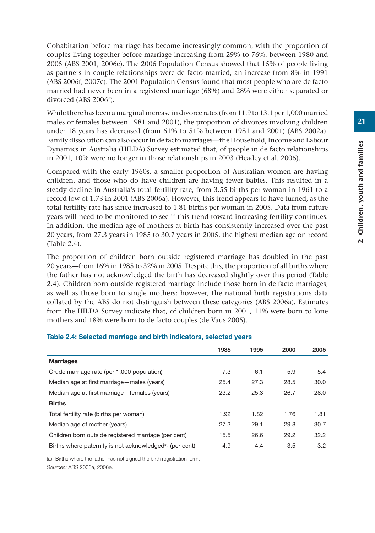Cohabitation before marriage has become increasingly common, with the proportion of couples living together before marriage increasing from 29% to 76%, between 1980 and 2005 (ABS 2001, 2006e). The 2006 Population Census showed that 15% of people living as partners in couple relationships were de facto married, an increase from 8% in 1991 (ABS 2006f, 2007c). The 2001 Population Census found that most people who are de facto married had never been in a registered marriage (68%) and 28% were either separated or divorced (ABS 2006f).

While there has been a marginal increase in divorce rates (from 11.9 to 13.1 per 1,000 married males or females between 1981 and 2001), the proportion of divorces involving children under 18 years has decreased (from 61% to 51% between 1981 and 2001) (ABS 2002a). Family dissolution can also occur in de facto marriages—the Household, Income and Labour Dynamics in Australia (HILDA) Survey estimated that, of people in de facto relationships in 2001, 10% were no longer in those relationships in 2003 (Headey et al. 2006).

Compared with the early 1960s, a smaller proportion of Australian women are having children, and those who do have children are having fewer babies. This resulted in a steady decline in Australia's total fertility rate, from 3.55 births per woman in 1961 to a record low of 1.73 in 2001 (ABS 2006a). However, this trend appears to have turned, as the total fertility rate has since increased to 1.81 births per woman in 2005. Data from future years will need to be monitored to see if this trend toward increasing fertility continues. In addition, the median age of mothers at birth has consistently increased over the past 20 years, from 27.3 years in 1985 to 30.7 years in 2005, the highest median age on record (Table 2.4).

The proportion of children born outside registered marriage has doubled in the past 20 years—from 16% in 1985 to 32% in 2005. Despite this, the proportion of all births where the father has not acknowledged the birth has decreased slightly over this period (Table 2.4). Children born outside registered marriage include those born in de facto marriages, as well as those born to single mothers; however, the national birth registrations data collated by the ABS do not distinguish between these categories (ABS 2006a). Estimates from the HILDA Survey indicate that, of children born in 2001, 11% were born to lone mothers and 18% were born to de facto couples (de Vaus 2005).

| Table 2.4: Selected marriage and birth indicators, selected years |  |  |  |
|-------------------------------------------------------------------|--|--|--|
|-------------------------------------------------------------------|--|--|--|

| 1985 | 1995 | 2000 | 2005 |
|------|------|------|------|
|      |      |      |      |
| 7.3  | 6.1  | 5.9  | 5.4  |
| 25.4 | 27.3 | 28.5 | 30.0 |
| 23.2 | 25.3 | 26.7 | 28.0 |
|      |      |      |      |
| 1.92 | 1.82 | 1.76 | 1.81 |
| 27.3 | 29.1 | 29.8 | 30.7 |
| 15.5 | 26.6 | 29.2 | 32.2 |
| 4.9  | 4.4  | 3.5  | 3.2  |
|      |      |      |      |

(a) Births where the father has not signed the birth registration form.

*Sources:* ABS 2006a, 2006e.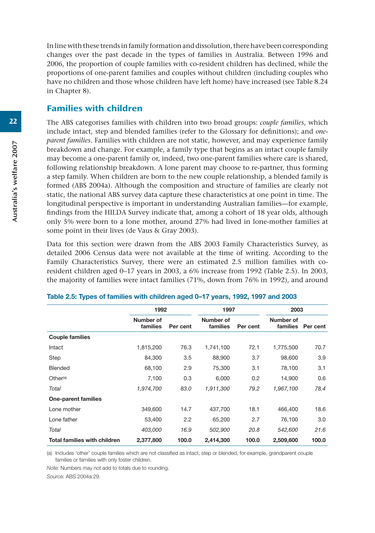In line with these trends in family formation and dissolution, there have been corresponding changes over the past decade in the types of families in Australia. Between 1996 and 2006, the proportion of couple families with co-resident children has declined, while the proportions of one-parent families and couples without children (including couples who have no children and those whose children have left home) have increased (see Table 8.24 in Chapter 8).

# Families with children

The ABS categorises families with children into two broad groups: *couple families*, which include intact, step and blended families (refer to the Glossary for definitions); and *oneparent families*. Families with children are not static, however, and may experience family breakdown and change. For example, a family type that begins as an intact couple family may become a one-parent family or, indeed, two one-parent families where care is shared, following relationship breakdown. A lone parent may choose to re-partner, thus forming a step family. When children are born to the new couple relationship, a blended family is formed (ABS 2004a). Although the composition and structure of families are clearly not static, the national ABS survey data capture these characteristics at one point in time. The longitudinal perspective is important in understanding Australian families—for example, findings from the HILDA Survey indicate that, among a cohort of 18 year olds, although only 5% were born to a lone mother, around 27% had lived in lone-mother families at some point in their lives (de Vaus & Gray 2003).

Data for this section were drawn from the ABS 2003 Family Characteristics Survey, as detailed 2006 Census data were not available at the time of writing. According to the Family Characteristics Survey, there were an estimated 2.5 million families with coresident children aged 0–17 years in 2003, a 6% increase from 1992 (Table 2.5). In 2003, the majority of families were intact families (71%, down from 76% in 1992), and around

|                                     | 1992                  |          | 1997                  |          | 2003                  |          |
|-------------------------------------|-----------------------|----------|-----------------------|----------|-----------------------|----------|
|                                     | Number of<br>families | Per cent | Number of<br>families | Per cent | Number of<br>families | Per cent |
| <b>Couple families</b>              |                       |          |                       |          |                       |          |
| Intact                              | 1,815,200             | 76.3     | 1,741,100             | 72.1     | 1,775,500             | 70.7     |
| Step                                | 84,300                | 3.5      | 88,900                | 3.7      | 98,600                | 3.9      |
| <b>Blended</b>                      | 68,100                | 2.9      | 75,300                | 3.1      | 78,100                | 3.1      |
| Other <sup>(a)</sup>                | 7,100                 | 0.3      | 6,000                 | 0.2      | 14,900                | 0.6      |
| Total                               | 1,974,700             | 83.0     | 1,911,300             | 79.2     | 1,967,100             | 78.4     |
| <b>One-parent families</b>          |                       |          |                       |          |                       |          |
| Lone mother                         | 349.600               | 14.7     | 437,700               | 18.1     | 466,400               | 18.6     |
| Lone father                         | 53,400                | 2.2      | 65,200                | 2.7      | 76,100                | 3.0      |
| Total                               | 403,000               | 16.9     | 502,900               | 20.8     | 542,600               | 21.6     |
| <b>Total families with children</b> | 2,377,800             | 100.0    | 2,414,300             | 100.0    | 2,509,600             | 100.0    |

#### **Table 2.5: Types of families with children aged 0–17 years, 1992, 1997 and 2003**

(a) Includes 'other' couple families which are not classified as intact, step or blended, for example, grandparent couple families or families with only foster children.

*Note:* Numbers may not add to totals due to rounding. *Source:* ABS 2004a:29.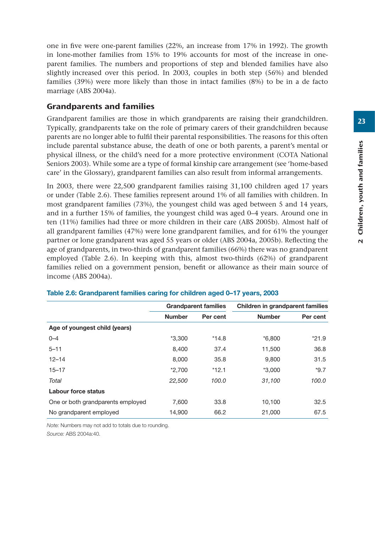one in five were one-parent families (22%, an increase from 17% in 1992). The growth in lone-mother families from 15% to 19% accounts for most of the increase in oneparent families. The numbers and proportions of step and blended families have also slightly increased over this period. In 2003, couples in both step (56%) and blended families (39%) were more likely than those in intact families (8%) to be in a de facto marriage (ABS 2004a).

#### Grandparents and families

Grandparent families are those in which grandparents are raising their grandchildren. Typically, grandparents take on the role of primary carers of their grandchildren because parents are no longer able to fulfil their parental responsibilities. The reasons for this often include parental substance abuse, the death of one or both parents, a parent's mental or physical illness, or the child's need for a more protective environment (COTA National Seniors 2003). While some are a type of formal kinship care arrangement (see 'home-based care' in the Glossary), grandparent families can also result from informal arrangements.

In 2003, there were 22,500 grandparent families raising 31,100 children aged 17 years or under (Table 2.6). These families represent around 1% of all families with children. In most grandparent families (73%), the youngest child was aged between 5 and 14 years, and in a further 15% of families, the youngest child was aged 0–4 years. Around one in ten (11%) families had three or more children in their care (ABS 2005b). Almost half of all grandparent families (47%) were lone grandparent families, and for 61% the younger partner or lone grandparent was aged 55 years or older (ABS 2004a, 2005b). Reflecting the age of grandparents, in two-thirds of grandparent families (66%) there was no grandparent employed (Table 2.6). In keeping with this, almost two-thirds (62%) of grandparent families relied on a government pension, benefit or allowance as their main source of income (ABS 2004a).

|                                   |               | <b>Grandparent families</b> | Children in grandparent families |          |  |
|-----------------------------------|---------------|-----------------------------|----------------------------------|----------|--|
|                                   | <b>Number</b> | Per cent                    | <b>Number</b>                    | Per cent |  |
| Age of youngest child (years)     |               |                             |                                  |          |  |
| $0 - 4$                           | $*3.300$      | $*14.8$                     | $*6.800$                         | $*21.9$  |  |
| $5 - 11$                          | 8.400         | 37.4                        | 11.500                           | 36.8     |  |
| $12 - 14$                         | 8,000         | 35.8                        | 9,800                            | 31.5     |  |
| $15 - 17$                         | $*2.700$      | $*12.1$                     | $*3.000$                         | $*9.7$   |  |
| Total                             | 22,500        | 100.0                       | 31,100                           | 100.0    |  |
| Labour force status               |               |                             |                                  |          |  |
| One or both grandparents employed | 7.600         | 33.8                        | 10.100                           | 32.5     |  |
| No grandparent employed           | 14,900        | 66.2                        | 21,000                           | 67.5     |  |

#### **Table 2.6: Grandparent families caring for children aged 0–17 years, 2003**

*Note:* Numbers may not add to totals due to rounding. *Source:* ABS 2004a:40.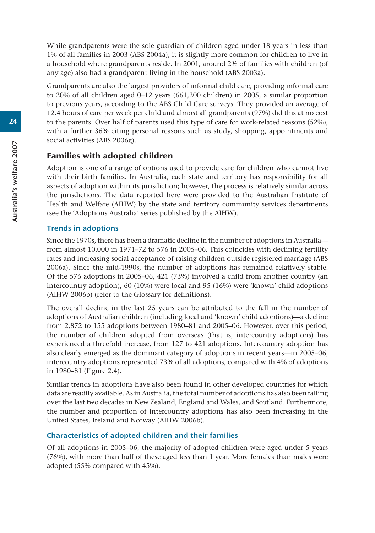While grandparents were the sole guardian of children aged under 18 years in less than 1% of all families in 2003 (ABS 2004a), it is slightly more common for children to live in a household where grandparents reside. In 2001, around 2% of families with children (of any age) also had a grandparent living in the household (ABS 2003a).

Grandparents are also the largest providers of informal child care, providing informal care to 20% of all children aged 0–12 years (661,200 children) in 2005, a similar proportion to previous years, according to the ABS Child Care surveys. They provided an average of 12.4 hours of care per week per child and almost all grandparents (97%) did this at no cost to the parents. Over half of parents used this type of care for work-related reasons (52%), with a further 36% citing personal reasons such as study, shopping, appointments and social activities (ABS 2006g).

## Families with adopted children

Adoption is one of a range of options used to provide care for children who cannot live with their birth families. In Australia, each state and territory has responsibility for all aspects of adoption within its jurisdiction; however, the process is relatively similar across the jurisdictions. The data reported here were provided to the Australian Institute of Health and Welfare (AIHW) by the state and territory community services departments (see the 'Adoptions Australia' series published by the AIHW).

#### Trends in adoptions

Since the 1970s, there has been a dramatic decline in the number of adoptions in Australia from almost 10,000 in 1971–72 to 576 in 2005–06. This coincides with declining fertility rates and increasing social acceptance of raising children outside registered marriage (ABS 2006a). Since the mid-1990s, the number of adoptions has remained relatively stable. Of the 576 adoptions in 2005–06, 421 (73%) involved a child from another country (an intercountry adoption), 60 (10%) were local and 95 (16%) were 'known' child adoptions (AIHW 2006b) (refer to the Glossary for definitions).

The overall decline in the last 25 years can be attributed to the fall in the number of adoptions of Australian children (including local and 'known' child adoptions)—a decline from 2,872 to 155 adoptions between 1980–81 and 2005–06. However, over this period, the number of children adopted from overseas (that is, intercountry adoptions) has experienced a threefold increase, from 127 to 421 adoptions. Intercountry adoption has also clearly emerged as the dominant category of adoptions in recent years—in 2005–06, intercountry adoptions represented 73% of all adoptions, compared with 4% of adoptions in 1980–81 (Figure 2.4).

Similar trends in adoptions have also been found in other developed countries for which data are readily available. As in Australia, the total number of adoptions has also been falling over the last two decades in New Zealand, England and Wales, and Scotland. Furthermore, the number and proportion of intercountry adoptions has also been increasing in the United States, Ireland and Norway (AIHW 2006b).

#### Characteristics of adopted children and their families

Of all adoptions in 2005–06, the majority of adopted children were aged under 5 years (76%), with more than half of these aged less than 1 year. More females than males were adopted (55% compared with 45%).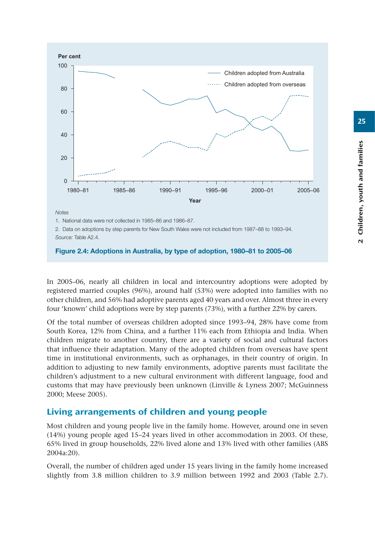

In 2005–06, nearly all children in local and intercountry adoptions were adopted by registered married couples (96%), around half (53%) were adopted into families with no other children, and 56% had adoptive parents aged 40 years and over. Almost three in every four 'known' child adoptions were by step parents (73%), with a further 22% by carers.

Of the total number of overseas children adopted since 1993–94, 28% have come from South Korea, 12% from China, and a further 11% each from Ethiopia and India. When children migrate to another country, there are a variety of social and cultural factors that influence their adaptation. Many of the adopted children from overseas have spent time in institutional environments, such as orphanages, in their country of origin. In addition to adjusting to new family environments, adoptive parents must facilitate the children's adjustment to a new cultural environment with different language, food and customs that may have previously been unknown (Linville & Lyness 2007; McGuinness 2000; Meese 2005).

# Living arrangements of children and young people

Most children and young people live in the family home. However, around one in seven (14%) young people aged 15–24 years lived in other accommodation in 2003. Of these, 65% lived in group households, 22% lived alone and 13% lived with other families (ABS 2004a:20).

Overall, the number of children aged under 15 years living in the family home increased slightly from 3.8 million children to 3.9 million between 1992 and 2003 (Table 2.7).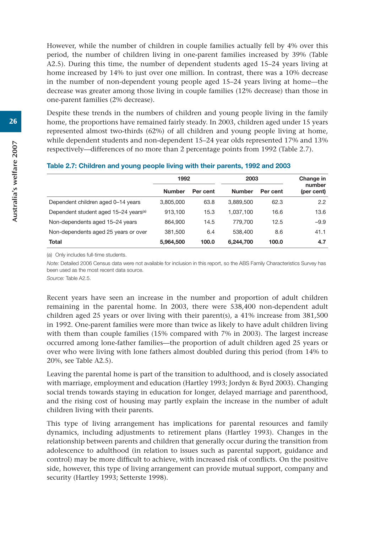However, while the number of children in couple families actually fell by 4% over this period, the number of children living in one-parent families increased by 39% (Table A2.5). During this time, the number of dependent students aged 15–24 years living at home increased by 14% to just over one million. In contrast, there was a 10% decrease in the number of non-dependent young people aged 15–24 years living at home—the decrease was greater among those living in couple families (12% decrease) than those in one-parent families (2% decrease).

Despite these trends in the numbers of children and young people living in the family home, the proportions have remained fairly steady. In 2003, children aged under 15 years represented almost two-thirds (62%) of all children and young people living at home, while dependent students and non-dependent 15–24 year olds represented 17% and 13% respectively—differences of no more than 2 percentage points from 1992 (Table 2.7).

|                                                   | 1992          |          | 2003          | Change in |                      |
|---------------------------------------------------|---------------|----------|---------------|-----------|----------------------|
|                                                   | <b>Number</b> | Per cent | <b>Number</b> | Per cent  | number<br>(per cent) |
| Dependent children aged 0-14 years                | 3.805.000     | 63.8     | 3.889.500     | 62.3      | 2.2                  |
| Dependent student aged 15-24 years <sup>(a)</sup> | 913.100       | 15.3     | 1.037.100     | 16.6      | 13.6                 |
| Non-dependents aged 15-24 years                   | 864.900       | 14.5     | 779.700       | 12.5      | $-9.9$               |
| Non-dependents aged 25 years or over              | 381.500       | 6.4      | 538,400       | 8.6       | 41.1                 |
| <b>Total</b>                                      | 5,964,500     | 100.0    | 6.244.700     | 100.0     | 4.7                  |

#### **Table 2.7: Children and young people living with their parents, 1992 and 2003**

(a) Only includes full-time students.

*Note:* Detailed 2006 Census data were not available for inclusion in this report, so the ABS Family Characteristics Survey has been used as the most recent data source.

*Source:* Table A2.5.

Recent years have seen an increase in the number and proportion of adult children remaining in the parental home. In 2003, there were 538,400 non-dependent adult children aged 25 years or over living with their parent(s), a 41% increase from 381,500 in 1992. One-parent families were more than twice as likely to have adult children living with them than couple families (15% compared with 7% in 2003). The largest increase occurred among lone-father families—the proportion of adult children aged 25 years or over who were living with lone fathers almost doubled during this period (from 14% to 20%, see Table A2.5).

Leaving the parental home is part of the transition to adulthood, and is closely associated with marriage, employment and education (Hartley 1993; Jordyn & Byrd 2003). Changing social trends towards staying in education for longer, delayed marriage and parenthood, and the rising cost of housing may partly explain the increase in the number of adult children living with their parents.

This type of living arrangement has implications for parental resources and family dynamics, including adjustments to retirement plans (Hartley 1993). Changes in the relationship between parents and children that generally occur during the transition from adolescence to adulthood (in relation to issues such as parental support, guidance and control) may be more difficult to achieve, with increased risk of conflicts. On the positive side, however, this type of living arrangement can provide mutual support, company and security (Hartley 1993; Setterste 1998).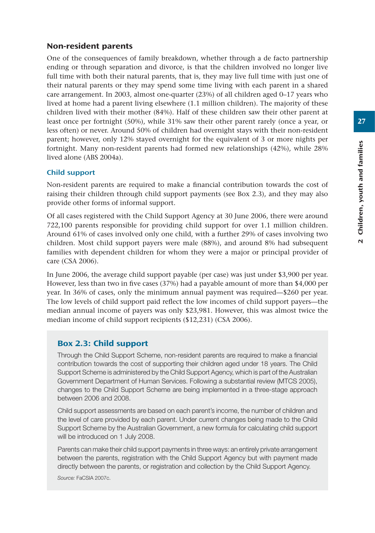# Non-resident parents

One of the consequences of family breakdown, whether through a de facto partnership ending or through separation and divorce, is that the children involved no longer live full time with both their natural parents, that is, they may live full time with just one of their natural parents or they may spend some time living with each parent in a shared care arrangement. In 2003, almost one-quarter (23%) of all children aged 0–17 years who lived at home had a parent living elsewhere (1.1 million children). The majority of these children lived with their mother (84%). Half of these children saw their other parent at least once per fortnight (50%), while 31% saw their other parent rarely (once a year, or less often) or never. Around 50% of children had overnight stays with their non-resident parent; however, only 12% stayed overnight for the equivalent of 3 or more nights per fortnight. Many non-resident parents had formed new relationships (42%), while 28% lived alone (ABS 2004a).

#### Child support

Non-resident parents are required to make a financial contribution towards the cost of raising their children through child support payments (see Box 2.3), and they may also provide other forms of informal support.

Of all cases registered with the Child Support Agency at 30 June 2006, there were around 722,100 parents responsible for providing child support for over 1.1 million children. Around 61% of cases involved only one child, with a further 29% of cases involving two children. Most child support payers were male (88%), and around 8% had subsequent families with dependent children for whom they were a major or principal provider of care (CSA 2006).

In June 2006, the average child support payable (per case) was just under \$3,900 per year. However, less than two in five cases (37%) had a payable amount of more than \$4,000 per year. In 36% of cases, only the minimum annual payment was required—\$260 per year. The low levels of child support paid reflect the low incomes of child support payers—the median annual income of payers was only \$23,981. However, this was almost twice the median income of child support recipients (\$12,231) (CSA 2006).

# Box 2.3: Child support

Through the Child Support Scheme, non-resident parents are required to make a financial contribution towards the cost of supporting their children aged under 18 years. The Child Support Scheme is administered by the Child Support Agency, which is part of the Australian Government Department of Human Services. Following a substantial review (MTCS 2005), changes to the Child Support Scheme are being implemented in a three-stage approach between 2006 and 2008.

Child support assessments are based on each parent's income, the number of children and the level of care provided by each parent. Under current changes being made to the Child Support Scheme by the Australian Government, a new formula for calculating child support will be introduced on 1 July 2008.

Parents can make their child support payments in three ways: an entirely private arrangement between the parents, registration with the Child Support Agency but with payment made directly between the parents, or registration and collection by the Child Support Agency.

*Source:* FaCSIA 2007c.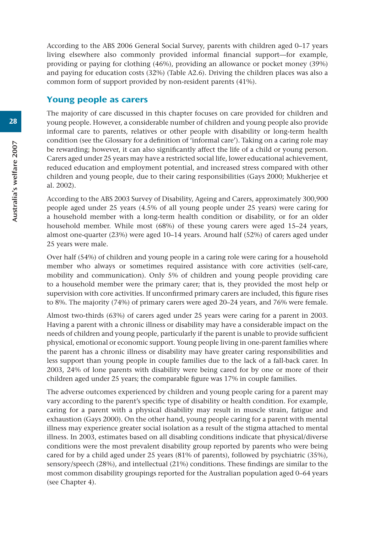According to the ABS 2006 General Social Survey, parents with children aged 0–17 years living elsewhere also commonly provided informal financial support—for example, providing or paying for clothing (46%), providing an allowance or pocket money (39%) and paying for education costs (32%) (Table A2.6). Driving the children places was also a common form of support provided by non-resident parents (41%).

## Young people as carers

The majority of care discussed in this chapter focuses on care provided for children and young people. However, a considerable number of children and young people also provide informal care to parents, relatives or other people with disability or long-term health condition (see the Glossary for a definition of 'informal care'). Taking on a caring role may be rewarding; however, it can also significantly affect the life of a child or young person. Carers aged under 25 years may have a restricted social life, lower educational achievement, reduced education and employment potential, and increased stress compared with other children and young people, due to their caring responsibilities (Gays 2000; Mukherjee et al. 2002).

According to the ABS 2003 Survey of Disability, Ageing and Carers, approximately 300,900 people aged under 25 years (4.5% of all young people under 25 years) were caring for a household member with a long-term health condition or disability, or for an older household member. While most (68%) of these young carers were aged 15–24 years, almost one-quarter (23%) were aged 10–14 years. Around half (52%) of carers aged under 25 years were male.

Over half (54%) of children and young people in a caring role were caring for a household member who always or sometimes required assistance with core activities (self-care, mobility and communication). Only 5% of children and young people providing care to a household member were the primary carer; that is, they provided the most help or supervision with core activities. If unconfirmed primary carers are included, this figure rises to 8%. The majority (74%) of primary carers were aged 20–24 years, and 76% were female.

Almost two-thirds (63%) of carers aged under 25 years were caring for a parent in 2003. Having a parent with a chronic illness or disability may have a considerable impact on the needs of children and young people, particularly if the parent is unable to provide sufficient physical, emotional or economic support. Young people living in one-parent families where the parent has a chronic illness or disability may have greater caring responsibilities and less support than young people in couple families due to the lack of a fall-back carer. In 2003, 24% of lone parents with disability were being cared for by one or more of their children aged under 25 years; the comparable figure was 17% in couple families.

The adverse outcomes experienced by children and young people caring for a parent may vary according to the parent's specific type of disability or health condition. For example, caring for a parent with a physical disability may result in muscle strain, fatigue and exhaustion (Gays 2000). On the other hand, young people caring for a parent with mental illness may experience greater social isolation as a result of the stigma attached to mental illness. In 2003, estimates based on all disabling conditions indicate that physical/diverse conditions were the most prevalent disability group reported by parents who were being cared for by a child aged under 25 years (81% of parents), followed by psychiatric (35%), sensory/speech (28%), and intellectual (21%) conditions. These findings are similar to the most common disability groupings reported for the Australian population aged 0–64 years (see Chapter 4).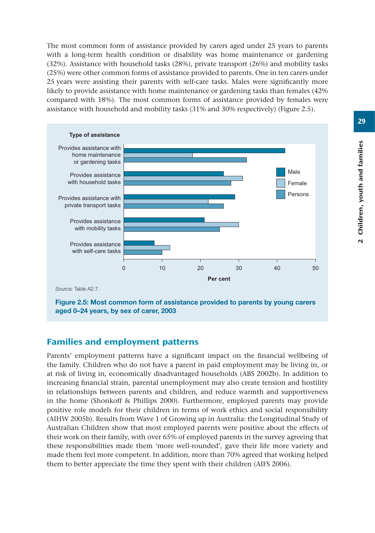The most common form of assistance provided by carers aged under 25 years to parents with a long-term health condition or disability was home maintenance or gardening (32%). Assistance with household tasks (28%), private transport (26%) and mobility tasks (25%) were other common forms of assistance provided to parents. One in ten carers under 25 years were assisting their parents with self-care tasks. Males were significantly more likely to provide assistance with home maintenance or gardening tasks than females (42% compared with 18%). The most common forms of assistance provided by females were assistance with household and mobility tasks (31% and 30% respectively) (Figure 2.5).



**Figure 2.5: Most common form of assistance provided to parents by young carers aged 0–24 years, by sex of carer, 2003**

# Families and employment patterns

Parents' employment patterns have a significant impact on the financial wellbeing of the family. Children who do not have a parent in paid employment may be living in, or at risk of living in, economically disadvantaged households (ABS 2002b). In addition to increasing financial strain, parental unemployment may also create tension and hostility in relationships between parents and children, and reduce warmth and supportiveness in the home (Shonkoff & Phillips 2000). Furthermore, employed parents may provide positive role models for their children in terms of work ethics and social responsibility (AIHW 2005b). Results from Wave 1 of Growing up in Australia: the Longitudinal Study of Australian Children show that most employed parents were positive about the effects of their work on their family, with over 65% of employed parents in the survey agreeing that these responsibilities made them 'more well-rounded', gave their life more variety and made them feel more competent. In addition, more than 70% agreed that working helped them to better appreciate the time they spent with their children (AIFS 2006).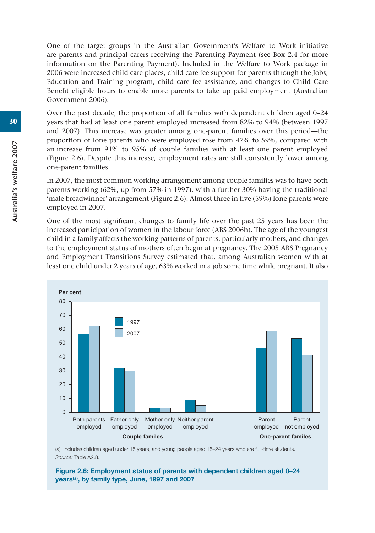One of the target groups in the Australian Government's Welfare to Work initiative are parents and principal carers receiving the Parenting Payment (see Box 2.4 for more information on the Parenting Payment). Included in the Welfare to Work package in 2006 were increased child care places, child care fee support for parents through the Jobs, Education and Training program, child care fee assistance, and changes to Child Care Benefit eligible hours to enable more parents to take up paid employment (Australian Government 2006).

Over the past decade, the proportion of all families with dependent children aged 0–24 years that had at least one parent employed increased from 82% to 94% (between 1997 and 2007). This increase was greater among one-parent families over this period—the proportion of lone parents who were employed rose from 47% to 59%, compared with an increase from 91% to 95% of couple families with at least one parent employed (Figure 2.6). Despite this increase, employment rates are still consistently lower among one-parent families.

In 2007, the most common working arrangement among couple families was to have both parents working (62%, up from 57% in 1997), with a further 30% having the traditional 'male breadwinner' arrangement (Figure 2.6). Almost three in five (59%) lone parents were employed in 2007.

One of the most significant changes to family life over the past 25 years has been the increased participation of women in the labour force (ABS 2006h). The age of the youngest child in a family affects the working patterns of parents, particularly mothers, and changes to the employment status of mothers often begin at pregnancy. The 2005 ABS Pregnancy and Employment Transitions Survey estimated that, among Australian women with at least one child under 2 years of age, 63% worked in a job some time while pregnant. It also



(a) Includes children aged under 15 years, and young people aged 15–24 years who are full-time students. *Source:* Table A2.8.

**Figure 2.6: Employment status of parents with dependent children aged 0–24 years(a), by family type, June, 1997 and 2007**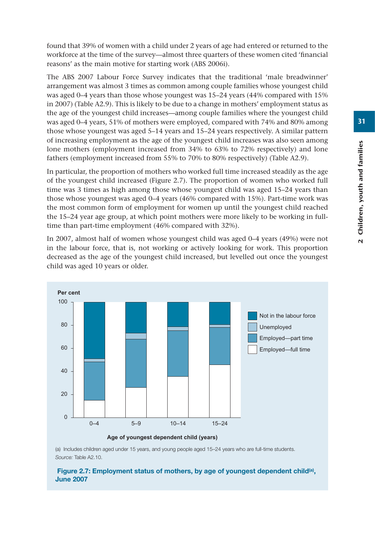found that 39% of women with a child under 2 years of age had entered or returned to the workforce at the time of the survey—almost three quarters of these women cited 'financial reasons' as the main motive for starting work (ABS 2006i).

The ABS 2007 Labour Force Survey indicates that the traditional 'male breadwinner' arrangement was almost 3 times as common among couple families whose youngest child was aged 0–4 years than those whose youngest was 15–24 years (44% compared with 15% in 2007) (Table A2.9). This is likely to be due to a change in mothers' employment status as the age of the youngest child increases—among couple families where the youngest child was aged 0–4 years, 51% of mothers were employed, compared with 74% and 80% among those whose youngest was aged 5–14 years and 15–24 years respectively. A similar pattern of increasing employment as the age of the youngest child increases was also seen among lone mothers (employment increased from 34% to 63% to 72% respectively) and lone fathers (employment increased from 55% to 70% to 80% respectively) (Table A2.9).

In particular, the proportion of mothers who worked full time increased steadily as the age of the youngest child increased (Figure 2.7). The proportion of women who worked full time was 3 times as high among those whose youngest child was aged 15–24 years than those whose youngest was aged 0–4 years (46% compared with 15%). Part-time work was the most common form of employment for women up until the youngest child reached the 15–24 year age group, at which point mothers were more likely to be working in fulltime than part-time employment (46% compared with 32%).

In 2007, almost half of women whose youngest child was aged 0–4 years (49%) were not in the labour force, that is, not working or actively looking for work. This proportion decreased as the age of the youngest child increased, but levelled out once the youngest child was aged 10 years or older.



(a) Includes children aged under 15 years, and young people aged 15–24 years who are full-time students. *Source:* Table A2.10.

#### Figure 2.7: Employment status of mothers, by age of youngest dependent child<sup>(a)</sup>, **June 2007**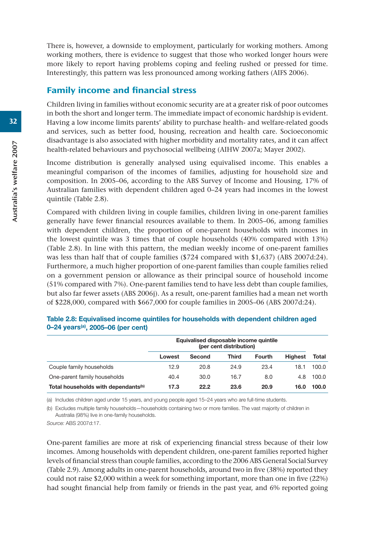There is, however, a downside to employment, particularly for working mothers. Among working mothers, there is evidence to suggest that those who worked longer hours were more likely to report having problems coping and feeling rushed or pressed for time. Interestingly, this pattern was less pronounced among working fathers (AIFS 2006).

## Family income and financial stress

Children living in families without economic security are at a greater risk of poor outcomes in both the short and longer term. The immediate impact of economic hardship is evident. Having a low income limits parents' ability to purchase health- and welfare-related goods and services, such as better food, housing, recreation and health care. Socioeconomic disadvantage is also associated with higher morbidity and mortality rates, and it can affect health-related behaviours and psychosocial wellbeing (AIHW 2007a; Mayer 2002).

Income distribution is generally analysed using equivalised income. This enables a meaningful comparison of the incomes of families, adjusting for household size and composition. In 2005–06, according to the ABS Survey of Income and Housing, 17% of Australian families with dependent children aged 0–24 years had incomes in the lowest quintile (Table 2.8).

Compared with children living in couple families, children living in one-parent families generally have fewer financial resources available to them. In 2005–06, among families with dependent children, the proportion of one-parent households with incomes in the lowest quintile was 3 times that of couple households (40% compared with 13%) (Table 2.8). In line with this pattern, the median weekly income of one-parent families was less than half that of couple families (\$724 compared with \$1,637) (ABS 2007d:24). Furthermore, a much higher proportion of one-parent families than couple families relied on a government pension or allowance as their principal source of household income (51% compared with 7%). One-parent families tend to have less debt than couple families, but also far fewer assets (ABS 2006j). As a result, one-parent families had a mean net worth of \$228,000, compared with \$667,000 for couple families in 2005–06 (ABS 2007d:24).

|                                                 | Equivalised disposable income quintile<br>(per cent distribution) |        |       |               |                |       |
|-------------------------------------------------|-------------------------------------------------------------------|--------|-------|---------------|----------------|-------|
|                                                 | Lowest                                                            | Second | Third | <b>Fourth</b> | <b>Highest</b> | Total |
| Couple family households                        | 12.9                                                              | 20.8   | 24.9  | 23.4          | 18.1           | 100.0 |
| One-parent family households                    | 40.4                                                              | 30.0   | 16.7  | 8.0           | 4.8            | 100.0 |
| Total households with dependants <sup>(b)</sup> | 17.3                                                              | 22.2   | 23.6  | 20.9          | 16.0           | 100.0 |

#### **Table 2.8: Equivalised income quintiles for households with dependent children aged 0–24 years(a), 2005–06 (per cent)**

(a) Includes children aged under 15 years, and young people aged 15–24 years who are full-time students.

(b) Excludes multiple family households—households containing two or more families. The vast majority of children in Australia (98%) live in one-family households.

*Source:* ABS 2007d:17.

One-parent families are more at risk of experiencing financial stress because of their low incomes. Among households with dependent children, one-parent families reported higher levels of financial stress than couple families, according to the 2006 ABS General Social Survey (Table 2.9). Among adults in one-parent households, around two in five (38%) reported they could not raise \$2,000 within a week for something important, more than one in five (22%) had sought financial help from family or friends in the past year, and 6% reported going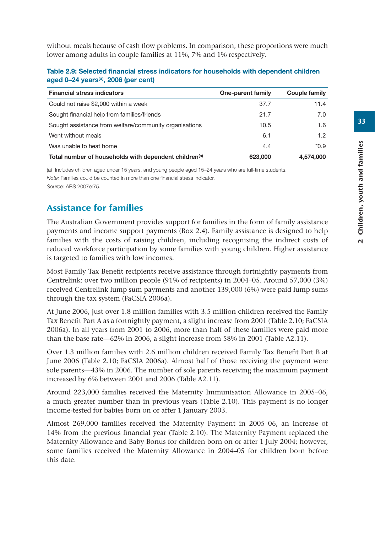without meals because of cash flow problems. In comparison, these proportions were much lower among adults in couple families at 11%, 7% and 1% respectively.

| Table 2.9: Selected financial stress indicators for households with dependent children |  |  |  |
|----------------------------------------------------------------------------------------|--|--|--|
| aged $0-24$ years <sup>(a)</sup> , 2006 (per cent)                                     |  |  |  |

| <b>Financial stress indicators</b>                                | One-parent family | Couple family |
|-------------------------------------------------------------------|-------------------|---------------|
| Could not raise \$2,000 within a week                             | 37.7              | 11.4          |
| Sought financial help from families/friends                       | 21.7              | 7.0           |
| Sought assistance from welfare/community organisations            | 10.5              | 1.6           |
| Went without meals                                                | 6.1               | 1.2           |
| Was unable to heat home                                           | 4.4               | $*0.9$        |
| Total number of households with dependent children <sup>(a)</sup> | 623,000           | 4.574.000     |

(a) Includes children aged under 15 years, and young people aged 15–24 years who are full-time students. *Note:* Families could be counted in more than one financial stress indicator. *Source:* ABS 2007e:75.

# Assistance for families

The Australian Government provides support for families in the form of family assistance payments and income support payments (Box 2.4). Family assistance is designed to help families with the costs of raising children, including recognising the indirect costs of reduced workforce participation by some families with young children. Higher assistance is targeted to families with low incomes.

Most Family Tax Benefit recipients receive assistance through fortnightly payments from Centrelink: over two million people (91% of recipients) in 2004–05. Around 57,000 (3%) received Centrelink lump sum payments and another 139,000 (6%) were paid lump sums through the tax system (FaCSIA 2006a).

At June 2006, just over 1.8 million families with 3.5 million children received the Family Tax Benefit Part A as a fortnightly payment, a slight increase from 2001 (Table 2.10; FaCSIA 2006a). In all years from 2001 to 2006, more than half of these families were paid more than the base rate—62% in 2006, a slight increase from 58% in 2001 (Table A2.11).

Over 1.3 million families with 2.6 million children received Family Tax Benefit Part B at June 2006 (Table 2.10; FaCSIA 2006a). Almost half of those receiving the payment were sole parents—43% in 2006. The number of sole parents receiving the maximum payment increased by 6% between 2001 and 2006 (Table A2.11).

Around 223,000 families received the Maternity Immunisation Allowance in 2005–06, a much greater number than in previous years (Table 2.10). This payment is no longer income-tested for babies born on or after 1 January 2003.

Almost 269,000 families received the Maternity Payment in 2005–06, an increase of 14% from the previous financial year (Table 2.10). The Maternity Payment replaced the Maternity Allowance and Baby Bonus for children born on or after 1 July 2004; however, some families received the Maternity Allowance in 2004–05 for children born before this date.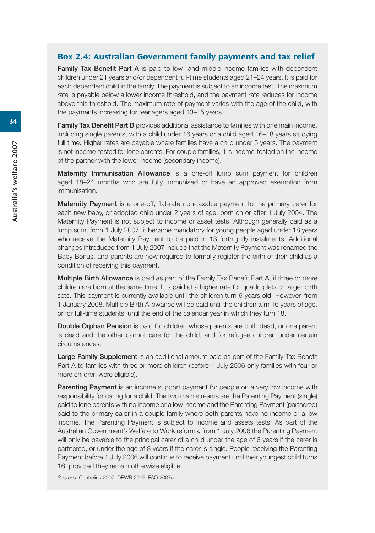#### Box 2.4: Australian Government family payments and tax relief

**Family Tax Benefit Part A** is paid to low- and middle-income families with dependent children under 21 years and/or dependent full-time students aged 21–24 years. It is paid for each dependent child in the family. The payment is subject to an income test. The maximum rate is payable below a lower income threshold, and the payment rate reduces for income above this threshold. The maximum rate of payment varies with the age of the child, with the payments increasing for teenagers aged 13–15 years.

**Family Tax Benefit Part B** provides additional assistance to families with one main income, including single parents, with a child under 16 years or a child aged 16–18 years studying full time. Higher rates are payable where families have a child under 5 years. The payment is not income-tested for lone parents. For couple families, it is income-tested on the income of the partner with the lower income (secondary income).

**Maternity Immunisation Allowance** is a one-off lump sum payment for children aged 18–24 months who are fully immunised or have an approved exemption from immunisation.

**Maternity Payment** is a one-off, flat-rate non-taxable payment to the primary carer for each new baby, or adopted child under 2 years of age, born on or after 1 July 2004. The Maternity Payment is not subject to income or asset tests. Although generally paid as a lump sum, from 1 July 2007, it became mandatory for young people aged under 18 years who receive the Maternity Payment to be paid in 13 fortnightly instalments. Additional changes introduced from 1 July 2007 include that the Maternity Payment was renamed the Baby Bonus, and parents are now required to formally register the birth of their child as a condition of receiving this payment.

**Multiple Birth Allowance** is paid as part of the Family Tax Benefit Part A, if three or more children are born at the same time. It is paid at a higher rate for quadruplets or larger birth sets. This payment is currently available until the children turn 6 years old. However, from 1 January 2008, Multiple Birth Allowance will be paid until the children turn 16 years of age, or for full-time students, until the end of the calendar year in which they turn 18.

**Double Orphan Pension** is paid for children whose parents are both dead, or one parent is dead and the other cannot care for the child, and for refugee children under certain circumstances.

**Large Family Supplement** is an additional amount paid as part of the Family Tax Benefit Part A to families with three or more children (before 1 July 2006 only families with four or more children were eligible).

**Parenting Payment** is an income support payment for people on a very low income with responsibility for caring for a child. The two main streams are the Parenting Payment (single) paid to lone parents with no income or a low income and the Parenting Payment (partnered) paid to the primary carer in a couple family where both parents have no income or a low income. The Parenting Payment is subject to income and assets tests. As part of the Australian Government's Welfare to Work reforms, from 1 July 2006 the Parenting Payment will only be payable to the principal carer of a child under the age of 6 years if the carer is partnered, or under the age of 8 years if the carer is single. People receiving the Parenting Payment before 1 July 2006 will continue to receive payment until their youngest child turns 16, provided they remain otherwise eligible.

*Sources:* Centrelink 2007; DEWR 2006; FAO 2007a.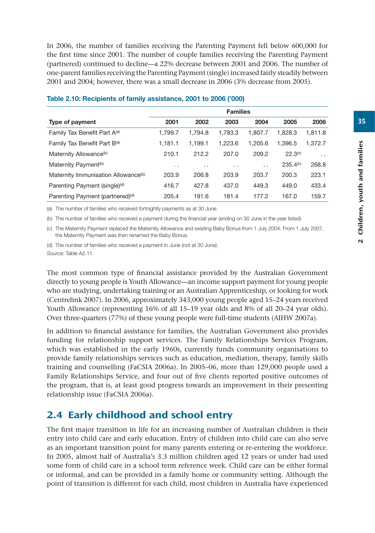In 2006, the number of families receiving the Parenting Payment fell below 600,000 for the first time since 2001. The number of couple families receiving the Parenting Payment (partnered) continued to decline—a 22% decrease between 2001 and 2006. The number of one-parent families receiving the Parenting Payment (single) increased fairly steadily between 2001 and 2004; however, there was a small decrease in 2006 (3% decrease from 2005).

|                                                 |           |           | <b>Families</b> |                      |                      |                 |
|-------------------------------------------------|-----------|-----------|-----------------|----------------------|----------------------|-----------------|
| Type of payment                                 | 2001      | 2002      | 2003            | 2004                 | 2005                 | 2006            |
| Family Tax Benefit Part A(a)                    | 1,799.7   | 1.794.8   | 1.783.3         | 1.807.7              | 1.828.3              | 1,811.8         |
| Family Tax Benefit Part B(a)                    | 1,181.1   | 1,199.1   | 1.223.6         | 1.205.6              | 1.396.5              | 1,372.7         |
| Maternity Allowance <sup>(b)</sup>              | 210.1     | 212.2     | 207.0           | 209.2                | 22.3 <sup>(c)</sup>  | $\cdot$ $\cdot$ |
| Maternity Payment <sup>(b)</sup>                | $\cdot$ . | $\cdot$ . | . .             | $\ddot{\phantom{0}}$ | 235.4 <sup>(c)</sup> | 268.8           |
| Maternity Immunisation Allowance <sup>(b)</sup> | 203.9     | 206.8     | 203.9           | 203.7                | 200.3                | 223.1           |
| Parenting Payment (single) <sup>(d)</sup>       | 416.7     | 427.8     | 437.0           | 449.3                | 449.0                | 433.4           |
| Parenting Payment (partnered) <sup>(d)</sup>    | 205.4     | 191.6     | 181.4           | 177.2                | 167.0                | 159.7           |

#### **Table 2.10: Recipients of family assistance, 2001 to 2006 ('000)**

(a) The number of families who received fortnightly payments as at 30 June.

(b) The number of families who received a payment during the financial year (ending on 30 June in the year listed).

(c) The Maternity Payment replaced the Maternity Allowance and existing Baby Bonus from 1 July 2004. From 1 July 2007, the Maternity Payment was then renamed the Baby Bonus.

(d) The number of families who received a payment in June (not at 30 June). *Source:* Table A2.11.

The most common type of financial assistance provided by the Australian Government directly to young people is Youth Allowance—an income support payment for young people who are studying, undertaking training or an Australian Apprenticeship, or looking for work (Centrelink 2007). In 2006, approximately 343,000 young people aged 15–24 years received Youth Allowance (representing 16% of all 15–19 year olds and 8% of all 20–24 year olds). Over three-quarters (77%) of these young people were full-time students (AIHW 2007a).

In addition to financial assistance for families, the Australian Government also provides funding for relationship support services. The Family Relationships Services Program, which was established in the early 1960s, currently funds community organisations to provide family relationships services such as education, mediation, therapy, family skills training and counselling (FaCSIA 2006a). In 2005–06, more than 129,000 people used a Family Relationships Service, and four out of five clients reported positive outcomes of the program, that is, at least good progress towards an improvement in their presenting relationship issue (FaCSIA 2006a).

# 2.4 Early childhood and school entry

The first major transition in life for an increasing number of Australian children is their entry into child care and early education. Entry of children into child care can also serve as an important transition point for many parents entering or re-entering the workforce. In 2005, almost half of Australia's 3.3 million children aged 12 years or under had used some form of child care in a school term reference week. Child care can be either formal or informal, and can be provided in a family home or community setting. Although the point of transition is different for each child, most children in Australia have experienced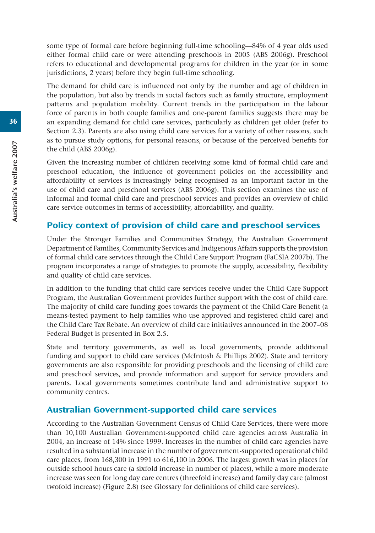some type of formal care before beginning full-time schooling—84% of 4 year olds used either formal child care or were attending preschools in 2005 (ABS 2006g). Preschool refers to educational and developmental programs for children in the year (or in some jurisdictions, 2 years) before they begin full-time schooling.

The demand for child care is influenced not only by the number and age of children in the population, but also by trends in social factors such as family structure, employment patterns and population mobility. Current trends in the participation in the labour force of parents in both couple families and one-parent families suggests there may be an expanding demand for child care services, particularly as children get older (refer to Section 2.3). Parents are also using child care services for a variety of other reasons, such as to pursue study options, for personal reasons, or because of the perceived benefits for the child (ABS 2006g).

Given the increasing number of children receiving some kind of formal child care and preschool education, the influence of government policies on the accessibility and affordability of services is increasingly being recognised as an important factor in the use of child care and preschool services (ABS 2006g). This section examines the use of informal and formal child care and preschool services and provides an overview of child care service outcomes in terms of accessibility, affordability, and quality.

# Policy context of provision of child care and preschool services

Under the Stronger Families and Communities Strategy, the Australian Government Department of Families, Community Services and Indigenous Affairs supports the provision of formal child care services through the Child Care Support Program (FaCSIA 2007b). The program incorporates a range of strategies to promote the supply, accessibility, flexibility and quality of child care services.

In addition to the funding that child care services receive under the Child Care Support Program, the Australian Government provides further support with the cost of child care. The majority of child care funding goes towards the payment of the Child Care Benefit (a means-tested payment to help families who use approved and registered child care) and the Child Care Tax Rebate. An overview of child care initiatives announced in the 2007–08 Federal Budget is presented in Box 2.5.

State and territory governments, as well as local governments, provide additional funding and support to child care services (McIntosh & Phillips 2002). State and territory governments are also responsible for providing preschools and the licensing of child care and preschool services, and provide information and support for service providers and parents. Local governments sometimes contribute land and administrative support to community centres.

# Australian Government-supported child care services

According to the Australian Government Census of Child Care Services, there were more than 10,100 Australian Government-supported child care agencies across Australia in 2004, an increase of 14% since 1999. Increases in the number of child care agencies have resulted in a substantial increase in the number of government-supported operational child care places, from 168,300 in 1991 to 616,100 in 2006. The largest growth was in places for outside school hours care (a sixfold increase in number of places), while a more moderate increase was seen for long day care centres (threefold increase) and family day care (almost twofold increase) (Figure 2.8) (see Glossary for definitions of child care services).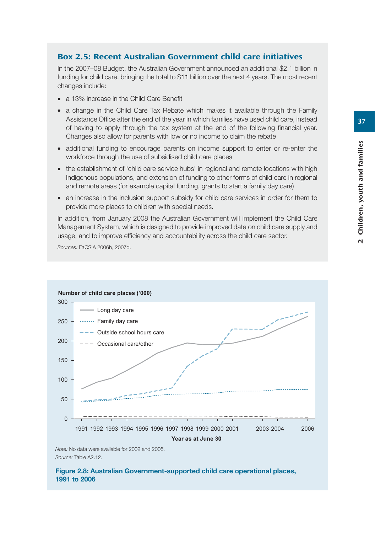## Box 2.5: Recent Australian Government child care initiatives

In the 2007–08 Budget, the Australian Government announced an additional \$2.1 billion in funding for child care, bringing the total to \$11 billion over the next 4 years. The most recent changes include:

- a 13% increase in the Child Care Benefit
- a change in the Child Care Tax Rebate which makes it available through the Family Assistance Office after the end of the year in which families have used child care, instead of having to apply through the tax system at the end of the following financial year. Changes also allow for parents with low or no income to claim the rebate
- additional funding to encourage parents on income support to enter or re-enter the workforce through the use of subsidised child care places
- the establishment of 'child care service hubs' in regional and remote locations with high Indigenous populations, and extension of funding to other forms of child care in regional and remote areas (for example capital funding, grants to start a family day care)
- an increase in the inclusion support subsidy for child care services in order for them to provide more places to children with special needs.

In addition, from January 2008 the Australian Government will implement the Child Care Management System, which is designed to provide improved data on child care supply and usage, and to improve efficiency and accountability across the child care sector.

*Sources:* FaCSIA 2006b, 2007d.



*Source:* Table A2.12.

#### **Figure 2.8: Australian Government-supported child care operational places, 1991 to 2006**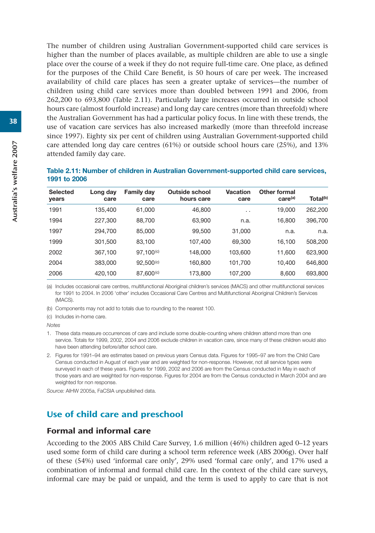The number of children using Australian Government-supported child care services is higher than the number of places available, as multiple children are able to use a single place over the course of a week if they do not require full-time care. One place, as defined for the purposes of the Child Care Benefit, is 50 hours of care per week. The increased availability of child care places has seen a greater uptake of services—the number of children using child care services more than doubled between 1991 and 2006, from 262,200 to 693,800 (Table 2.11). Particularly large increases occurred in outside school hours care (almost fourfold increase) and long day care centres (more than threefold) where the Australian Government has had a particular policy focus. In line with these trends, the use of vacation care services has also increased markedly (more than threefold increase since 1997). Eighty six per cent of children using Australian Government-supported child care attended long day care centres (61%) or outside school hours care (25%), and 13% attended family day care.

| <b>Selected</b><br>years | Long day<br>care | <b>Family day</b><br>care | <b>Outside school</b><br>hours care | Vacation<br>care | Other formal<br>care <sup>(a)</sup> | Total <sup>(b)</sup> |
|--------------------------|------------------|---------------------------|-------------------------------------|------------------|-------------------------------------|----------------------|
| 1991                     | 135,400          | 61.000                    | 46,800                              | $\cdot$ $\cdot$  | 19,000                              | 262,200              |
| 1994                     | 227.300          | 88,700                    | 63.900                              | n.a.             | 16,800                              | 396,700              |
| 1997                     | 294,700          | 85,000                    | 99,500                              | 31,000           | n.a.                                | n.a.                 |
| 1999                     | 301,500          | 83,100                    | 107,400                             | 69,300           | 16,100                              | 508,200              |
| 2002                     | 367,100          | $97.100^{(c)}$            | 148.000                             | 103,600          | 11,600                              | 623,900              |
| 2004                     | 383,000          | $92.500^{(c)}$            | 160.800                             | 101.700          | 10.400                              | 646,800              |
| 2006                     | 420,100          | 87,600 <sup>(c)</sup>     | 173,800                             | 107,200          | 8,600                               | 693,800              |

**Table 2.11: Number of children in Australian Government-supported child care services, 1991 to 2006**

(a) Includes occasional care centres, multifunctional Aboriginal children's services (MACS) and other multifunctional services for 1991 to 2004. In 2006 'other' includes Occasional Care Centres and Multifunctional Aboriginal Children's Services (MACS).

(b) Components may not add to totals due to rounding to the nearest 100.

(c) Includes in-home care.

*Notes*

- 1. These data measure occurrences of care and include some double-counting where children attend more than one service. Totals for 1999, 2002, 2004 and 2006 exclude children in vacation care, since many of these children would also have been attending before/after school care.
- 2. Figures for 1991–94 are estimates based on previous years Census data. Figures for 1995–97 are from the Child Care Census conducted in August of each year and are weighted for non-response. However, not all service types were surveyed in each of these years. Figures for 1999, 2002 and 2006 are from the Census conducted in May in each of those years and are weighted for non-response. Figures for 2004 are from the Census conducted in March 2004 and are weighted for non response.

*Source:* AIHW 2005a, FaCSIA unpublished data.

# Use of child care and preschool

## Formal and informal care

According to the 2005 ABS Child Care Survey, 1.6 million (46%) children aged 0–12 years used some form of child care during a school term reference week (ABS 2006g). Over half of these (54%) used 'informal care only', 29% used 'formal care only', and 17% used a combination of informal and formal child care. In the context of the child care surveys, informal care may be paid or unpaid, and the term is used to apply to care that is not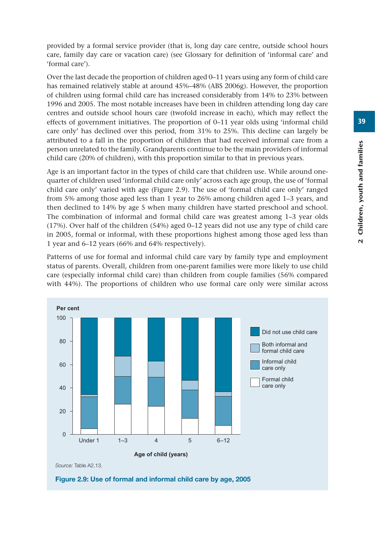provided by a formal service provider (that is, long day care centre, outside school hours care, family day care or vacation care) (see Glossary for definition of 'informal care' and 'formal care').

Over the last decade the proportion of children aged 0–11 years using any form of child care has remained relatively stable at around 45%–48% (ABS 2006g). However, the proportion of children using formal child care has increased considerably from 14% to 23% between 1996 and 2005. The most notable increases have been in children attending long day care centres and outside school hours care (twofold increase in each), which may reflect the effects of government initiatives. The proportion of 0–11 year olds using 'informal child care only' has declined over this period, from 31% to 25%. This decline can largely be attributed to a fall in the proportion of children that had received informal care from a person unrelated to the family. Grandparents continue to be the main providers of informal child care (20% of children), with this proportion similar to that in previous years.

Age is an important factor in the types of child care that children use. While around onequarter of children used 'informal child care only' across each age group, the use of 'formal child care only' varied with age (Figure 2.9). The use of 'formal child care only' ranged from 5% among those aged less than 1 year to 26% among children aged 1–3 years, and then declined to 14% by age 5 when many children have started preschool and school. The combination of informal and formal child care was greatest among 1–3 year olds (17%). Over half of the children (54%) aged 0–12 years did not use any type of child care in 2005, formal or informal, with these proportions highest among those aged less than 1 year and 6–12 years (66% and 64% respectively).

Patterns of use for formal and informal child care vary by family type and employment status of parents. Overall, children from one-parent families were more likely to use child care (especially informal child care) than children from couple families (56% compared with 44%). The proportions of children who use formal care only were similar across



**Figure 2.9: Use of formal and informal child care by age, 2005**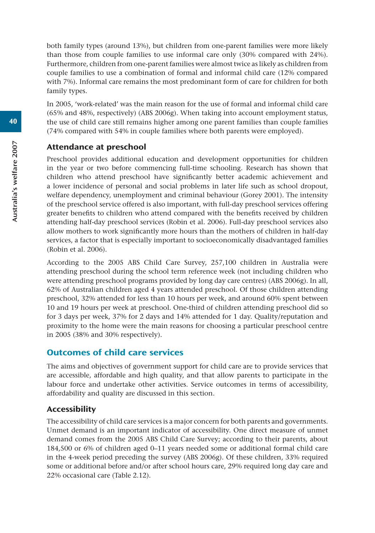both family types (around 13%), but children from one-parent families were more likely than those from couple families to use informal care only (30% compared with 24%). Furthermore, children from one-parent families were almost twice as likely as children from couple families to use a combination of formal and informal child care (12% compared with 7%). Informal care remains the most predominant form of care for children for both family types.

In 2005, 'work-related' was the main reason for the use of formal and informal child care (65% and 48%, respectively) (ABS 2006g). When taking into account employment status, the use of child care still remains higher among one parent families than couple families (74% compared with 54% in couple families where both parents were employed).

## Attendance at preschool

Preschool provides additional education and development opportunities for children in the year or two before commencing full-time schooling. Research has shown that children who attend preschool have significantly better academic achievement and a lower incidence of personal and social problems in later life such as school dropout, welfare dependency, unemployment and criminal behaviour (Gorey 2001). The intensity of the preschool service offered is also important, with full-day preschool services offering greater benefits to children who attend compared with the benefits received by children attending half-day preschool services (Robin et al. 2006). Full-day preschool services also allow mothers to work significantly more hours than the mothers of children in half-day services, a factor that is especially important to socioeconomically disadvantaged families (Robin et al. 2006).

According to the 2005 ABS Child Care Survey, 257,100 children in Australia were attending preschool during the school term reference week (not including children who were attending preschool programs provided by long day care centres) (ABS 2006g). In all, 62% of Australian children aged 4 years attended preschool. Of those children attending preschool, 32% attended for less than 10 hours per week, and around 60% spent between 10 and 19 hours per week at preschool. One-third of children attending preschool did so for 3 days per week, 37% for 2 days and 14% attended for 1 day. Quality/reputation and proximity to the home were the main reasons for choosing a particular preschool centre in 2005 (38% and 30% respectively).

# Outcomes of child care services

The aims and objectives of government support for child care are to provide services that are accessible, affordable and high quality, and that allow parents to participate in the labour force and undertake other activities. Service outcomes in terms of accessibility, affordability and quality are discussed in this section.

# Accessibility

The accessibility of child care services is a major concern for both parents and governments. Unmet demand is an important indicator of accessibility. One direct measure of unmet demand comes from the 2005 ABS Child Care Survey; according to their parents, about 184,500 or 6% of children aged 0–11 years needed some or additional formal child care in the 4-week period preceding the survey (ABS 2006g). Of these children, 33% required some or additional before and/or after school hours care, 29% required long day care and 22% occasional care (Table 2.12).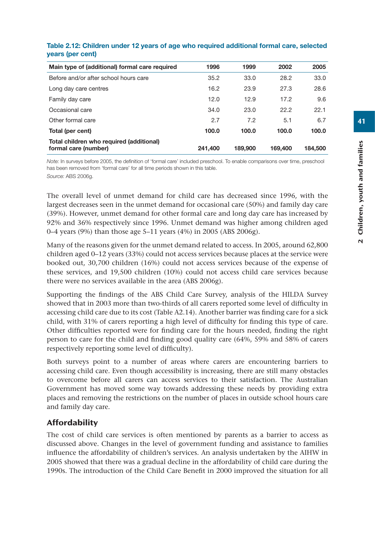| Main type of (additional) formal care required                   | 1996    | 1999    | 2002    | 2005    |
|------------------------------------------------------------------|---------|---------|---------|---------|
| Before and/or after school hours care                            | 35.2    | 33.0    | 28.2    | 33.0    |
| Long day care centres                                            | 16.2    | 23.9    | 27.3    | 28.6    |
| Family day care                                                  | 12.0    | 12.9    | 17.2    | 9.6     |
| Occasional care                                                  | 34.0    | 23.0    | 22.2    | 22.1    |
| Other formal care                                                | 2.7     | 7.2     | 5.1     | 6.7     |
| Total (per cent)                                                 | 100.0   | 100.0   | 100.0   | 100.0   |
| Total children who required (additional)<br>formal care (number) | 241.400 | 189,900 | 169,400 | 184.500 |

#### **Table 2.12: Children under 12 years of age who required additional formal care, selected years (per cent)**

*Note:* In surveys before 2005, the definition of 'formal care' included preschool. To enable comparisons over time, preschool has been removed from 'formal care' for all time periods shown in this table.

*Source:* ABS 2006g.

The overall level of unmet demand for child care has decreased since 1996, with the largest decreases seen in the unmet demand for occasional care (50%) and family day care (39%). However, unmet demand for other formal care and long day care has increased by 92% and 36% respectively since 1996. Unmet demand was higher among children aged 0–4 years (9%) than those age 5–11 years (4%) in 2005 (ABS 2006g).

Many of the reasons given for the unmet demand related to access. In 2005, around 62,800 children aged 0–12 years (33%) could not access services because places at the service were booked out, 30,700 children (16%) could not access services because of the expense of these services, and 19,500 children (10%) could not access child care services because there were no services available in the area (ABS 2006g).

Supporting the findings of the ABS Child Care Survey, analysis of the HILDA Survey showed that in 2003 more than two-thirds of all carers reported some level of difficulty in accessing child care due to its cost (Table A2.14). Another barrier was finding care for a sick child, with 31% of carers reporting a high level of difficulty for finding this type of care. Other difficulties reported were for finding care for the hours needed, finding the right person to care for the child and finding good quality care (64%, 59% and 58% of carers respectively reporting some level of difficulty).

Both surveys point to a number of areas where carers are encountering barriers to accessing child care. Even though accessibility is increasing, there are still many obstacles to overcome before all carers can access services to their satisfaction. The Australian Government has moved some way towards addressing these needs by providing extra places and removing the restrictions on the number of places in outside school hours care and family day care.

# Affordability

The cost of child care services is often mentioned by parents as a barrier to access as discussed above. Changes in the level of government funding and assistance to families influence the affordability of children's services. An analysis undertaken by the AIHW in 2005 showed that there was a gradual decline in the affordability of child care during the 1990s. The introduction of the Child Care Benefit in 2000 improved the situation for all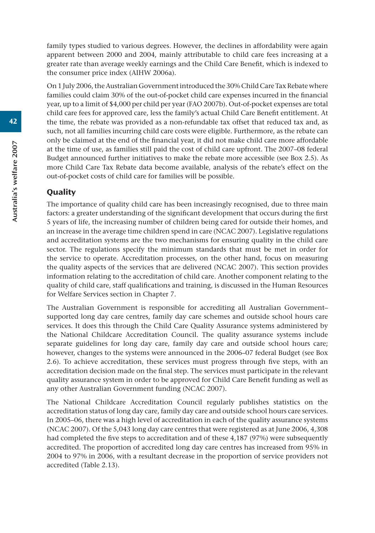family types studied to various degrees. However, the declines in affordability were again apparent between 2000 and 2004, mainly attributable to child care fees increasing at a greater rate than average weekly earnings and the Child Care Benefit, which is indexed to the consumer price index (AIHW 2006a).

On 1 July 2006, the Australian Government introduced the 30% Child Care Tax Rebate where families could claim 30% of the out-of-pocket child care expenses incurred in the financial year, up to a limit of \$4,000 per child per year (FAO 2007b). Out-of-pocket expenses are total child care fees for approved care, less the family's actual Child Care Benefit entitlement. At the time, the rebate was provided as a non-refundable tax offset that reduced tax and, as such, not all families incurring child care costs were eligible. Furthermore, as the rebate can only be claimed at the end of the financial year, it did not make child care more affordable at the time of use, as families still paid the cost of child care upfront. The 2007–08 federal Budget announced further initiatives to make the rebate more accessible (see Box 2.5). As more Child Care Tax Rebate data become available, analysis of the rebate's effect on the out-of-pocket costs of child care for families will be possible.

# **Quality**

The importance of quality child care has been increasingly recognised, due to three main factors: a greater understanding of the significant development that occurs during the first 5 years of life, the increasing number of children being cared for outside their homes, and an increase in the average time children spend in care (NCAC 2007). Legislative regulations and accreditation systems are the two mechanisms for ensuring quality in the child care sector. The regulations specify the minimum standards that must be met in order for the service to operate. Accreditation processes, on the other hand, focus on measuring the quality aspects of the services that are delivered (NCAC 2007). This section provides information relating to the accreditation of child care. Another component relating to the quality of child care, staff qualifications and training, is discussed in the Human Resources for Welfare Services section in Chapter 7.

The Australian Government is responsible for accrediting all Australian Government– supported long day care centres, family day care schemes and outside school hours care services. It does this through the Child Care Quality Assurance systems administered by the National Childcare Accreditation Council. The quality assurance systems include separate guidelines for long day care, family day care and outside school hours care; however, changes to the systems were announced in the 2006–07 federal Budget (see Box 2.6). To achieve accreditation, these services must progress through five steps, with an accreditation decision made on the final step. The services must participate in the relevant quality assurance system in order to be approved for Child Care Benefit funding as well as any other Australian Government funding (NCAC 2007).

The National Childcare Accreditation Council regularly publishes statistics on the accreditation status of long day care, family day care and outside school hours care services. In 2005–06, there was a high level of accreditation in each of the quality assurance systems (NCAC 2007). Of the 5,043 long day care centres that were registered as at June 2006, 4,308 had completed the five steps to accreditation and of these 4,187 (97%) were subsequently accredited. The proportion of accredited long day care centres has increased from 95% in 2004 to 97% in 2006, with a resultant decrease in the proportion of service providers not accredited (Table 2.13).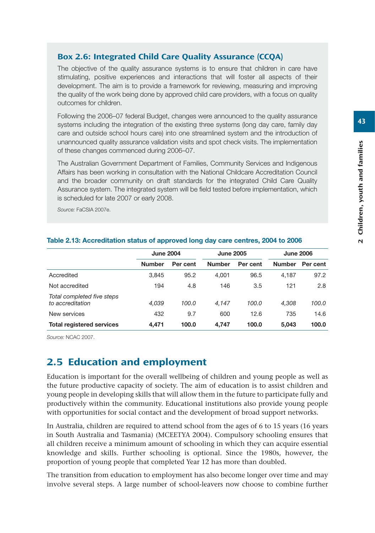## Box 2.6: Integrated Child Care Quality Assurance (CCQA)

The objective of the quality assurance systems is to ensure that children in care have stimulating, positive experiences and interactions that will foster all aspects of their development. The aim is to provide a framework for reviewing, measuring and improving the quality of the work being done by approved child care providers, with a focus on quality outcomes for children.

Following the 2006–07 federal Budget, changes were announced to the quality assurance systems including the integration of the existing three systems (long day care, family day care and outside school hours care) into one streamlined system and the introduction of unannounced quality assurance validation visits and spot check visits. The implementation of these changes commenced during 2006–07.

The Australian Government Department of Families, Community Services and Indigenous Affairs has been working in consultation with the National Childcare Accreditation Council and the broader community on draft standards for the integrated Child Care Quality Assurance system. The integrated system will be field tested before implementation, which is scheduled for late 2007 or early 2008.

*Source:* FaCSIA 2007e.

|                                                | <b>June 2004</b> |          | <b>June 2005</b> |          | <b>June 2006</b> |          |  |
|------------------------------------------------|------------------|----------|------------------|----------|------------------|----------|--|
|                                                | <b>Number</b>    | Per cent | <b>Number</b>    | Per cent | <b>Number</b>    | Per cent |  |
| Accredited                                     | 3,845            | 95.2     | 4.001            | 96.5     | 4,187            | 97.2     |  |
| Not accredited                                 | 194              | 4.8      | 146              | 3.5      | 121              | 2.8      |  |
| Total completed five steps<br>to accreditation | 4.039            | 100.0    | 4.147            | 100.0    | 4.308            | 100.0    |  |
| New services                                   | 432              | 9.7      | 600              | 12.6     | 735              | 14.6     |  |
| <b>Total registered services</b>               | 4.471            | 100.0    | 4.747            | 100.0    | 5.043            | 100.0    |  |

#### **Table 2.13: Accreditation status of approved long day care centres, 2004 to 2006**

*Source:* NCAC 2007.

# 2.5 Education and employment

Education is important for the overall wellbeing of children and young people as well as the future productive capacity of society. The aim of education is to assist children and young people in developing skills that will allow them in the future to participate fully and productively within the community. Educational institutions also provide young people with opportunities for social contact and the development of broad support networks.

In Australia, children are required to attend school from the ages of 6 to 15 years (16 years in South Australia and Tasmania) (MCEETYA 2004). Compulsory schooling ensures that all children receive a minimum amount of schooling in which they can acquire essential knowledge and skills. Further schooling is optional. Since the 1980s, however, the proportion of young people that completed Year 12 has more than doubled.

The transition from education to employment has also become longer over time and may involve several steps. A large number of school-leavers now choose to combine further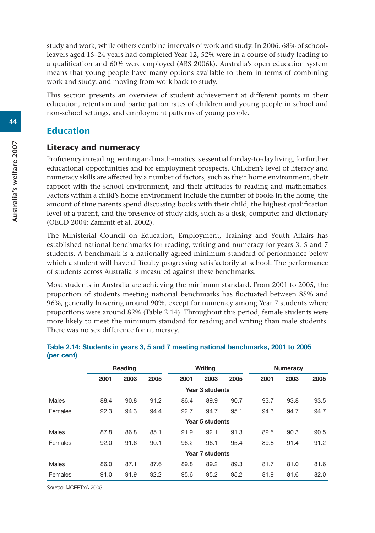study and work, while others combine intervals of work and study. In 2006, 68% of schoolleavers aged 15–24 years had completed Year 12, 52% were in a course of study leading to a qualification and 60% were employed (ABS 2006k). Australia's open education system means that young people have many options available to them in terms of combining work and study, and moving from work back to study.

This section presents an overview of student achievement at different points in their education, retention and participation rates of children and young people in school and non-school settings, and employment patterns of young people.

# Education

## Literacy and numeracy

Proficiency in reading, writing and mathematics is essential for day-to-day living, for further educational opportunities and for employment prospects. Children's level of literacy and numeracy skills are affected by a number of factors, such as their home environment, their rapport with the school environment, and their attitudes to reading and mathematics. Factors within a child's home environment include the number of books in the home, the amount of time parents spend discussing books with their child, the highest qualification level of a parent, and the presence of study aids, such as a desk, computer and dictionary (OECD 2004; Zammit et al. 2002).

The Ministerial Council on Education, Employment, Training and Youth Affairs has established national benchmarks for reading, writing and numeracy for years 3, 5 and 7 students. A benchmark is a nationally agreed minimum standard of performance below which a student will have difficulty progressing satisfactorily at school. The performance of students across Australia is measured against these benchmarks.

Most students in Australia are achieving the minimum standard. From 2001 to 2005, the proportion of students meeting national benchmarks has fluctuated between 85% and 96%, generally hovering around 90%, except for numeracy among Year 7 students where proportions were around 82% (Table 2.14). Throughout this period, female students were more likely to meet the minimum standard for reading and writing than male students. There was no sex difference for numeracy.

| 2005 |
|------|
|      |
|      |
| 93.5 |
| 94.7 |
|      |
| 90.5 |
| 91.2 |
|      |
| 81.6 |
| 82.0 |
|      |

#### **Table 2.14: Students in years 3, 5 and 7 meeting national benchmarks, 2001 to 2005 (per cent)**

*Source:* MCEETYA 2005.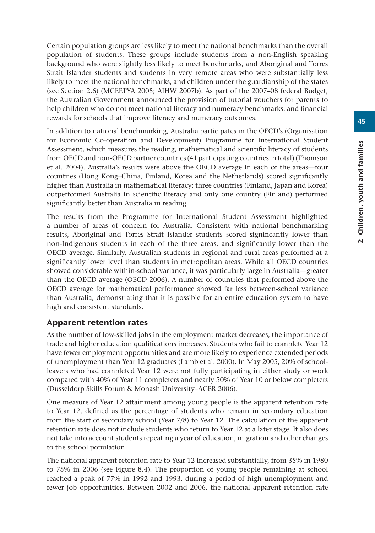Certain population groups are less likely to meet the national benchmarks than the overall population of students. These groups include students from a non-English speaking background who were slightly less likely to meet benchmarks, and Aboriginal and Torres Strait Islander students and students in very remote areas who were substantially less likely to meet the national benchmarks, and children under the guardianship of the states (see Section 2.6) (MCEETYA 2005; AIHW 2007b). As part of the 2007–08 federal Budget, the Australian Government announced the provision of tutorial vouchers for parents to help children who do not meet national literacy and numeracy benchmarks, and financial rewards for schools that improve literacy and numeracy outcomes.

In addition to national benchmarking, Australia participates in the OECD's (Organisation for Economic Co-operation and Development) Programme for International Student Assessment, which measures the reading, mathematical and scientific literacy of students from OECD and non-OECD partner countries (41 participating countries in total) (Thomson et al. 2004). Australia's results were above the OECD average in each of the areas—four countries (Hong Kong–China, Finland, Korea and the Netherlands) scored significantly higher than Australia in mathematical literacy; three countries (Finland, Japan and Korea) outperformed Australia in scientific literacy and only one country (Finland) performed significantly better than Australia in reading.

The results from the Programme for International Student Assessment highlighted a number of areas of concern for Australia. Consistent with national benchmarking results, Aboriginal and Torres Strait Islander students scored significantly lower than non-Indigenous students in each of the three areas, and significantly lower than the OECD average. Similarly, Australian students in regional and rural areas performed at a significantly lower level than students in metropolitan areas. While all OECD countries showed considerable within-school variance, it was particularly large in Australia—greater than the OECD average (OECD 2006). A number of countries that performed above the OECD average for mathematical performance showed far less between-school variance than Australia, demonstrating that it is possible for an entire education system to have high and consistent standards.

## Apparent retention rates

As the number of low-skilled jobs in the employment market decreases, the importance of trade and higher education qualifications increases. Students who fail to complete Year 12 have fewer employment opportunities and are more likely to experience extended periods of unemployment than Year 12 graduates (Lamb et al. 2000). In May 2005, 20% of schoolleavers who had completed Year 12 were not fully participating in either study or work compared with 40% of Year 11 completers and nearly 50% of Year 10 or below completers (Dusseldorp Skills Forum & Monash University–ACER 2006).

One measure of Year 12 attainment among young people is the apparent retention rate to Year 12, defined as the percentage of students who remain in secondary education from the start of secondary school (Year 7/8) to Year 12. The calculation of the apparent retention rate does not include students who return to Year 12 at a later stage. It also does not take into account students repeating a year of education, migration and other changes to the school population.

The national apparent retention rate to Year 12 increased substantially, from 35% in 1980 to 75% in 2006 (see Figure 8.4). The proportion of young people remaining at school reached a peak of 77% in 1992 and 1993, during a period of high unemployment and fewer job opportunities. Between 2002 and 2006, the national apparent retention rate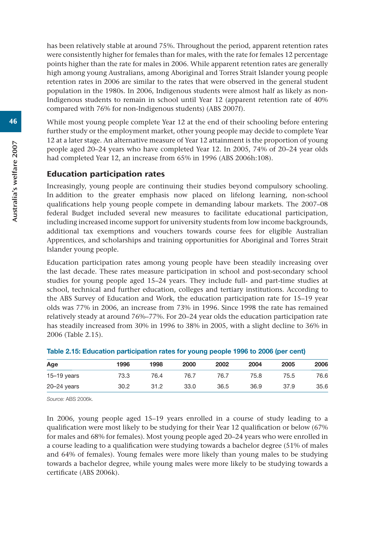has been relatively stable at around 75%. Throughout the period, apparent retention rates were consistently higher for females than for males, with the rate for females 12 percentage points higher than the rate for males in 2006. While apparent retention rates are generally high among young Australians, among Aboriginal and Torres Strait Islander young people retention rates in 2006 are similar to the rates that were observed in the general student population in the 1980s. In 2006, Indigenous students were almost half as likely as non-Indigenous students to remain in school until Year 12 (apparent retention rate of 40% compared with 76% for non-Indigenous students) (ABS 2007f).

While most young people complete Year 12 at the end of their schooling before entering further study or the employment market, other young people may decide to complete Year 12 at a later stage. An alternative measure of Year 12 attainment is the proportion of young people aged 20–24 years who have completed Year 12. In 2005, 74% of 20–24 year olds had completed Year 12, an increase from 65% in 1996 (ABS 2006h:108).

## Education participation rates

Increasingly, young people are continuing their studies beyond compulsory schooling. In addition to the greater emphasis now placed on lifelong learning, non-school qualifications help young people compete in demanding labour markets. The 2007–08 federal Budget included several new measures to facilitate educational participation, including increased income support for university students from low income backgrounds, additional tax exemptions and vouchers towards course fees for eligible Australian Apprentices, and scholarships and training opportunities for Aboriginal and Torres Strait Islander young people.

Education participation rates among young people have been steadily increasing over the last decade. These rates measure participation in school and post-secondary school studies for young people aged 15–24 years. They include full- and part-time studies at school, technical and further education, colleges and tertiary institutions. According to the ABS Survey of Education and Work, the education participation rate for 15–19 year olds was 77% in 2006, an increase from 73% in 1996. Since 1998 the rate has remained relatively steady at around 76%–77%. For 20–24 year olds the education participation rate has steadily increased from 30% in 1996 to 38% in 2005, with a slight decline to 36% in 2006 (Table 2.15).

| Age             | 1996 | 1998 | 2000 | 2002 | 2004 | 2005 | 2006 |
|-----------------|------|------|------|------|------|------|------|
| $15-19$ years   | 73.3 | 76.4 | 76.7 | 76.7 | 75.8 | 75.5 | 76.6 |
| $20 - 24$ years | 30.2 | 31.2 | 33.0 | 36.5 | 36.9 | 37.9 | 35.6 |

|  |  |  | Table 2.15: Education participation rates for young people 1996 to 2006 (per cent) |
|--|--|--|------------------------------------------------------------------------------------|
|--|--|--|------------------------------------------------------------------------------------|

*Source:* ABS 2006k.

In 2006, young people aged 15–19 years enrolled in a course of study leading to a qualification were most likely to be studying for their Year 12 qualification or below (67% for males and 68% for females). Most young people aged 20–24 years who were enrolled in a course leading to a qualification were studying towards a bachelor degree (51% of males and 64% of females). Young females were more likely than young males to be studying towards a bachelor degree, while young males were more likely to be studying towards a certificate (ABS 2006k).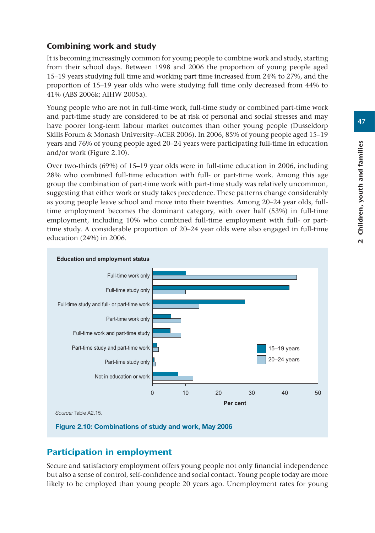# Combining work and study

It is becoming increasingly common for young people to combine work and study, starting from their school days. Between 1998 and 2006 the proportion of young people aged 15–19 years studying full time and working part time increased from 24% to 27%, and the proportion of 15–19 year olds who were studying full time only decreased from 44% to 41% (ABS 2006k; AIHW 2005a).

Young people who are not in full-time work, full-time study or combined part-time work and part-time study are considered to be at risk of personal and social stresses and may have poorer long-term labour market outcomes than other young people (Dusseldorp Skills Forum & Monash University–ACER 2006). In 2006, 85% of young people aged 15–19 years and 76% of young people aged 20–24 years were participating full-time in education and/or work (Figure 2.10).

Over two-thirds (69%) of 15–19 year olds were in full-time education in 2006, including 28% who combined full-time education with full- or part-time work. Among this age group the combination of part-time work with part-time study was relatively uncommon, suggesting that either work or study takes precedence. These patterns change considerably as young people leave school and move into their twenties. Among 20–24 year olds, fulltime employment becomes the dominant category, with over half (53%) in full-time employment, including 10% who combined full-time employment with full- or parttime study. A considerable proportion of 20–24 year olds were also engaged in full-time education (24%) in 2006.



# Participation in employment

Secure and satisfactory employment offers young people not only financial independence but also a sense of control, self-confidence and social contact. Young people today are more likely to be employed than young people 20 years ago. Unemployment rates for young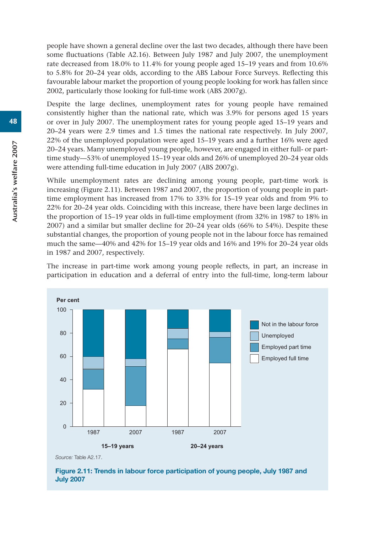people have shown a general decline over the last two decades, although there have been some fluctuations (Table A2.16). Between July 1987 and July 2007, the unemployment rate decreased from 18.0% to 11.4% for young people aged 15–19 years and from 10.6% to 5.8% for 20–24 year olds, according to the ABS Labour Force Surveys. Reflecting this favourable labour market the proportion of young people looking for work has fallen since 2002, particularly those looking for full-time work (ABS 2007g).

Despite the large declines, unemployment rates for young people have remained consistently higher than the national rate, which was 3.9% for persons aged 15 years or over in July 2007. The unemployment rates for young people aged 15–19 years and 20–24 years were 2.9 times and 1.5 times the national rate respectively. In July 2007, 22% of the unemployed population were aged 15–19 years and a further 16% were aged 20–24 years. Many unemployed young people, however, are engaged in either full- or parttime study—53% of unemployed 15–19 year olds and 26% of unemployed 20–24 year olds were attending full-time education in July 2007 (ABS 2007g).

While unemployment rates are declining among young people, part-time work is increasing (Figure 2.11). Between 1987 and 2007, the proportion of young people in parttime employment has increased from 17% to 33% for 15–19 year olds and from 9% to 22% for 20–24 year olds. Coinciding with this increase, there have been large declines in the proportion of 15–19 year olds in full-time employment (from 32% in 1987 to 18% in 2007) and a similar but smaller decline for 20–24 year olds (66% to 54%). Despite these substantial changes, the proportion of young people not in the labour force has remained much the same—40% and 42% for 15–19 year olds and 16% and 19% for 20–24 year olds in 1987 and 2007, respectively.

The increase in part-time work among young people reflects, in part, an increase in participation in education and a deferral of entry into the full-time, long-term labour



*Source:* Table A2.17.

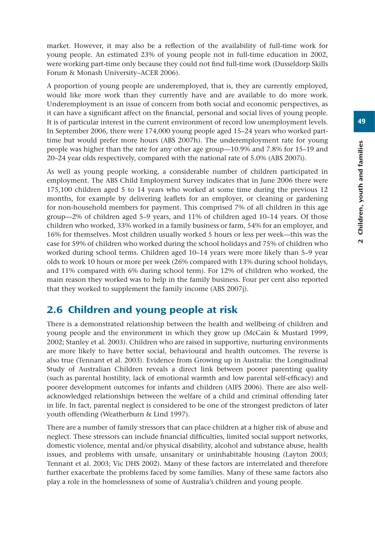market. However, it may also be a reflection of the availability of full-time work for young people. An estimated 23% of young people not in full-time education in 2002, were working part-time only because they could not find full-time work (Dusseldorp Skills Forum & Monash University–ACER 2006).

A proportion of young people are underemployed, that is, they are currently employed, would like more work than they currently have and are available to do more work. Underemployment is an issue of concern from both social and economic perspectives, as it can have a significant affect on the financial, personal and social lives of young people. It is of particular interest in the current environment of record low unemployment levels. In September 2006, there were 174,000 young people aged 15–24 years who worked parttime but would prefer more hours (ABS 2007h). The underemployment rate for young people was higher than the rate for any other age group—10.9% and 7.8% for 15–19 and 20–24 year olds respectively, compared with the national rate of 5.0% (ABS 2007i).

As well as young people working, a considerable number of children participated in employment. The ABS Child Employment Survey indicates that in June 2006 there were 175,100 children aged 5 to 14 years who worked at some time during the previous 12 months, for example by delivering leaflets for an employer, or cleaning or gardening for non-household members for payment. This comprised 7% of all children in this age group—2% of children aged 5–9 years, and 11% of children aged 10–14 years. Of those children who worked, 33% worked in a family business or farm, 54% for an employer, and 16% for themselves. Most children usually worked 5 hours or less per week—this was the case for 59% of children who worked during the school holidays and 75% of children who worked during school terms. Children aged 10–14 years were more likely than 5–9 year olds to work 10 hours or more per week (26% compared with 13% during school holidays, and 11% compared with 6% during school term). For 12% of children who worked, the main reason they worked was to help in the family business. Four per cent also reported that they worked to supplement the family income (ABS 2007j).

# 2.6 Children and young people at risk

There is a demonstrated relationship between the health and wellbeing of children and young people and the environment in which they grow up (McCain & Mustard 1999, 2002; Stanley et al. 2003). Children who are raised in supportive, nurturing environments are more likely to have better social, behavioural and health outcomes. The reverse is also true (Tennant et al. 2003). Evidence from Growing up in Australia: the Longitudinal Study of Australian Children reveals a direct link between poorer parenting quality (such as parental hostility, lack of emotional warmth and low parental self-efficacy) and poorer development outcomes for infants and children (AIFS 2006). There are also wellacknowledged relationships between the welfare of a child and criminal offending later in life. In fact, parental neglect is considered to be one of the strongest predictors of later youth offending (Weatherburn & Lind 1997).

There are a number of family stressors that can place children at a higher risk of abuse and neglect. These stressors can include financial difficulties, limited social support networks, domestic violence, mental and/or physical disability, alcohol and substance abuse, health issues, and problems with unsafe, unsanitary or uninhabitable housing (Layton 2003; Tennant et al. 2003; Vic DHS 2002). Many of these factors are interrelated and therefore further exacerbate the problems faced by some families. Many of these same factors also play a role in the homelessness of some of Australia's children and young people.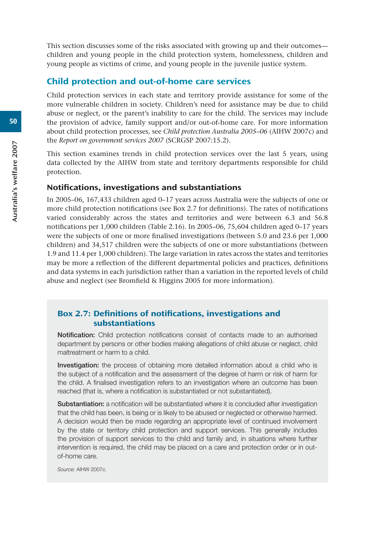This section discusses some of the risks associated with growing up and their outcomes children and young people in the child protection system, homelessness, children and young people as victims of crime, and young people in the juvenile justice system.

# Child protection and out-of-home care services

Child protection services in each state and territory provide assistance for some of the more vulnerable children in society. Children's need for assistance may be due to child abuse or neglect, or the parent's inability to care for the child. The services may include the provision of advice, family support and/or out-of-home care. For more information about child protection processes, see *Child protection Australia 2005–06* (AIHW 2007c) and the *Report on government services 2007* (SCRGSP 2007:15.2).

This section examines trends in child protection services over the last 5 years, using data collected by the AIHW from state and territory departments responsible for child protection.

#### Notifications, investigations and substantiations

In 2005–06, 167,433 children aged 0–17 years across Australia were the subjects of one or more child protection notifications (see Box 2.7 for definitions). The rates of notifications varied considerably across the states and territories and were between 6.3 and 56.8 notifications per 1,000 children (Table 2.16). In 2005–06, 75,604 children aged 0–17 years were the subjects of one or more finalised investigations (between 5.0 and 23.6 per 1,000 children) and 34,517 children were the subjects of one or more substantiations (between 1.9 and 11.4 per 1,000 children). The large variation in rates across the states and territories may be more a reflection of the different departmental policies and practices, definitions and data systems in each jurisdiction rather than a variation in the reported levels of child abuse and neglect (see Bromfield & Higgins 2005 for more information).

## Box 2.7: Definitions of notifications, investigations and substantiations

**Notification:** Child protection notifications consist of contacts made to an authorised department by persons or other bodies making allegations of child abuse or neglect, child maltreatment or harm to a child.

**Investigation:** the process of obtaining more detailed information about a child who is the subject of a notification and the assessment of the degree of harm or risk of harm for the child. A finalised investigation refers to an investigation where an outcome has been reached (that is, where a notification is substantiated or not substantiated).

**Substantiation:** a notification will be substantiated where it is concluded after investigation that the child has been, is being or is likely to be abused or neglected or otherwise harmed. A decision would then be made regarding an appropriate level of continued involvement by the state or territory child protection and support services. This generally includes the provision of support services to the child and family and, in situations where further intervention is required, the child may be placed on a care and protection order or in outof-home care.

*Source:* AIHW 2007c.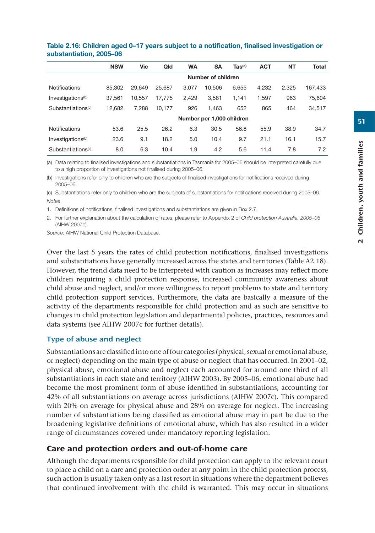|                                | <b>NSW</b> | Vic                | Qld    | <b>WA</b> | <b>SA</b>                 | $\mathsf{ Tas}^\mathsf{(a)}$ | <b>ACT</b> | <b>NT</b> | Total   |  |  |  |
|--------------------------------|------------|--------------------|--------|-----------|---------------------------|------------------------------|------------|-----------|---------|--|--|--|
|                                |            | Number of children |        |           |                           |                              |            |           |         |  |  |  |
| Notifications                  | 85.302     | 29.649             | 25.687 | 3.077     | 10.506                    | 6.655                        | 4,232      | 2.325     | 167,433 |  |  |  |
| Investigations <sup>(b)</sup>  | 37.561     | 10.557             | 17.775 | 2.429     | 3,581                     | 1,141                        | 1,597      | 963       | 75,604  |  |  |  |
| Substantiations <sup>(c)</sup> | 12.682     | 7.288              | 10.177 | 926       | 1.463                     | 652                          | 865        | 464       | 34,517  |  |  |  |
|                                |            |                    |        |           | Number per 1,000 children |                              |            |           |         |  |  |  |
| <b>Notifications</b>           | 53.6       | 25.5               | 26.2   | 6.3       | 30.5                      | 56.8                         | 55.9       | 38.9      | 34.7    |  |  |  |
| Investigations <sup>(b)</sup>  | 23.6       | 9.1                | 18.2   | 5.0       | 10.4                      | 9.7                          | 21.1       | 16.1      | 15.7    |  |  |  |
| Substantiations <sup>(c)</sup> | 8.0        | 6.3                | 10.4   | 1.9       | 4.2                       | 5.6                          | 11.4       | 7.8       | 7.2     |  |  |  |

#### **Table 2.16: Children aged 0–17 years subject to a notification, finalised investigation or substantiation, 2005–06**

(a) Data relating to finalised investigations and substantiations in Tasmania for 2005–06 should be interpreted carefully due to a high proportion of investigations not finalised during 2005–06.

(b) Investigations refer only to children who are the subjects of finalised investigations for notifications received during 2005–06.

(c) Substantiations refer only to children who are the subjects of substantiations for notifications received during 2005–06. *Notes*

1. Definitions of notifications, finalised investigations and substantiations are given in Box 2.7.

2. For further explanation about the calculation of rates, please refer to Appendix 2 of *Child protection Australia, 2005–06* (AIHW 2007c).

*Source:* AIHW National Child Protection Database.

Over the last 5 years the rates of child protection notifications, finalised investigations and substantiations have generally increased across the states and territories (Table A2.18). However, the trend data need to be interpreted with caution as increases may reflect more children requiring a child protection response, increased community awareness about child abuse and neglect, and/or more willingness to report problems to state and territory child protection support services. Furthermore, the data are basically a measure of the activity of the departments responsible for child protection and as such are sensitive to changes in child protection legislation and departmental policies, practices, resources and data systems (see AIHW 2007c for further details).

#### Type of abuse and neglect

Substantiations are classified into one of four categories (physical, sexual or emotional abuse, or neglect) depending on the main type of abuse or neglect that has occurred. In 2001–02, physical abuse, emotional abuse and neglect each accounted for around one third of all substantiations in each state and territory (AIHW 2003). By 2005–06, emotional abuse had become the most prominent form of abuse identified in substantiations, accounting for 42% of all substantiations on average across jurisdictions (AIHW 2007c). This compared with 20% on average for physical abuse and 28% on average for neglect. The increasing number of substantiations being classified as emotional abuse may in part be due to the broadening legislative definitions of emotional abuse, which has also resulted in a wider range of circumstances covered under mandatory reporting legislation.

#### Care and protection orders and out-of-home care

Although the departments responsible for child protection can apply to the relevant court to place a child on a care and protection order at any point in the child protection process, such action is usually taken only as a last resort in situations where the department believes that continued involvement with the child is warranted. This may occur in situations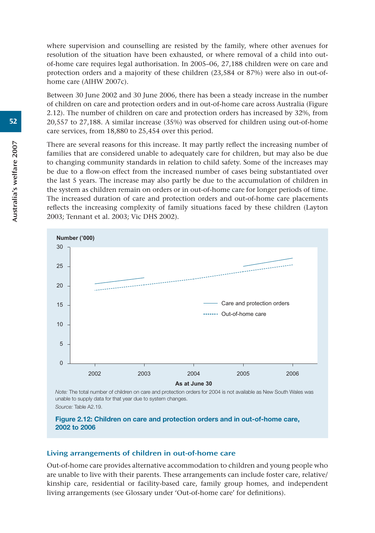where supervision and counselling are resisted by the family, where other avenues for resolution of the situation have been exhausted, or where removal of a child into outof-home care requires legal authorisation. In 2005–06, 27,188 children were on care and protection orders and a majority of these children (23,584 or 87%) were also in out-ofhome care (AIHW 2007c).

Between 30 June 2002 and 30 June 2006, there has been a steady increase in the number of children on care and protection orders and in out-of-home care across Australia (Figure 2.12). The number of children on care and protection orders has increased by 32%, from 20,557 to 27,188. A similar increase (35%) was observed for children using out-of-home care services, from 18,880 to 25,454 over this period.

There are several reasons for this increase. It may partly reflect the increasing number of families that are considered unable to adequately care for children, but may also be due to changing community standards in relation to child safety. Some of the increases may be due to a flow-on effect from the increased number of cases being substantiated over the last 5 years. The increase may also partly be due to the accumulation of children in the system as children remain on orders or in out-of-home care for longer periods of time. The increased duration of care and protection orders and out-of-home care placements reflects the increasing complexity of family situations faced by these children (Layton 2003; Tennant et al. 2003; Vic DHS 2002).



*Note:* The total number of children on care and protection orders for 2004 is not available as New South Wales was unable to supply data for that year due to system changes. *Source:* Table A2.19.

#### **Figure 2.12: Children on care and protection orders and in out-of-home care, 2002 to 2006**

#### Living arrangements of children in out-of-home care

Out-of-home care provides alternative accommodation to children and young people who are unable to live with their parents. These arrangements can include foster care, relative/ kinship care, residential or facility-based care, family group homes, and independent living arrangements (see Glossary under 'Out-of-home care' for definitions).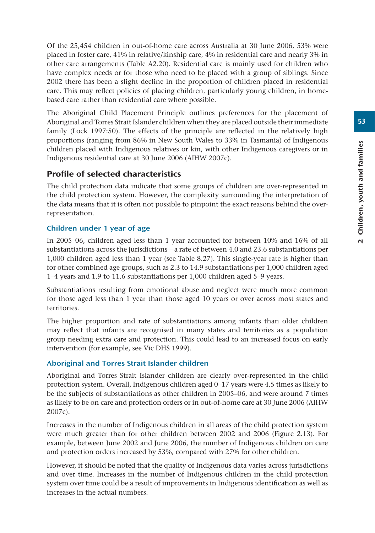Of the 25,454 children in out-of-home care across Australia at 30 June 2006, 53% were placed in foster care, 41% in relative/kinship care, 4% in residential care and nearly 3% in other care arrangements (Table A2.20). Residential care is mainly used for children who have complex needs or for those who need to be placed with a group of siblings. Since 2002 there has been a slight decline in the proportion of children placed in residential care. This may reflect policies of placing children, particularly young children, in homebased care rather than residential care where possible.

The Aboriginal Child Placement Principle outlines preferences for the placement of Aboriginal and Torres Strait Islander children when they are placed outside their immediate family (Lock 1997:50). The effects of the principle are reflected in the relatively high proportions (ranging from 86% in New South Wales to 33% in Tasmania) of Indigenous children placed with Indigenous relatives or kin, with other Indigenous caregivers or in Indigenous residential care at 30 June 2006 (AIHW 2007c).

# Profile of selected characteristics

The child protection data indicate that some groups of children are over-represented in the child protection system. However, the complexity surrounding the interpretation of the data means that it is often not possible to pinpoint the exact reasons behind the overrepresentation.

# Children under 1 year of age

In 2005–06, children aged less than 1 year accounted for between 10% and 16% of all substantiations across the jurisdictions—a rate of between 4.0 and 23.6 substantiations per 1,000 children aged less than 1 year (see Table 8.27). This single-year rate is higher than for other combined age groups, such as 2.3 to 14.9 substantiations per 1,000 children aged 1–4 years and 1.9 to 11.6 substantiations per 1,000 children aged 5–9 years.

Substantiations resulting from emotional abuse and neglect were much more common for those aged less than 1 year than those aged 10 years or over across most states and territories.

The higher proportion and rate of substantiations among infants than older children may reflect that infants are recognised in many states and territories as a population group needing extra care and protection. This could lead to an increased focus on early intervention (for example, see Vic DHS 1999).

# Aboriginal and Torres Strait Islander children

Aboriginal and Torres Strait Islander children are clearly over-represented in the child protection system. Overall, Indigenous children aged 0–17 years were 4.5 times as likely to be the subjects of substantiations as other children in 2005–06, and were around 7 times as likely to be on care and protection orders or in out-of-home care at 30 June 2006 (AIHW 2007c).

Increases in the number of Indigenous children in all areas of the child protection system were much greater than for other children between 2002 and 2006 (Figure 2.13). For example, between June 2002 and June 2006, the number of Indigenous children on care and protection orders increased by 53%, compared with 27% for other children.

However, it should be noted that the quality of Indigenous data varies across jurisdictions and over time. Increases in the number of Indigenous children in the child protection system over time could be a result of improvements in Indigenous identification as well as increases in the actual numbers.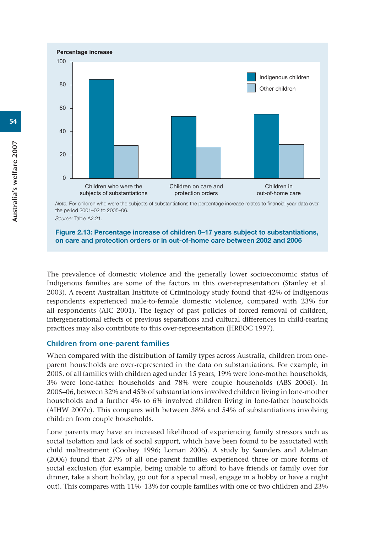

the period 2001–02 to 2005–06. *Source:* Table A2.21.

#### **Figure 2.13: Percentage increase of children 0–17 years subject to substantiations, on care and protection orders or in out-of-home care between 2002 and 2006**

The prevalence of domestic violence and the generally lower socioeconomic status of Indigenous families are some of the factors in this over-representation (Stanley et al. 2003). A recent Australian Institute of Criminology study found that 42% of Indigenous respondents experienced male-to-female domestic violence, compared with 23% for all respondents (AIC 2001). The legacy of past policies of forced removal of children, intergenerational effects of previous separations and cultural differences in child-rearing practices may also contribute to this over-representation (HREOC 1997).

#### Children from one-parent families

When compared with the distribution of family types across Australia, children from oneparent households are over-represented in the data on substantiations. For example, in 2005, of all families with children aged under 15 years, 19% were lone-mother households, 3% were lone-father households and 78% were couple households (ABS 2006l). In 2005–06, between 32% and 45% of substantiations involved children living in lone-mother households and a further 4% to 6% involved children living in lone-father households (AIHW 2007c). This compares with between 38% and 54% of substantiations involving children from couple households.

Lone parents may have an increased likelihood of experiencing family stressors such as social isolation and lack of social support, which have been found to be associated with child maltreatment (Coohey 1996; Loman 2006). A study by Saunders and Adelman (2006) found that 27% of all one-parent families experienced three or more forms of social exclusion (for example, being unable to afford to have friends or family over for dinner, take a short holiday, go out for a special meal, engage in a hobby or have a night out). This compares with 11%–13% for couple families with one or two children and 23%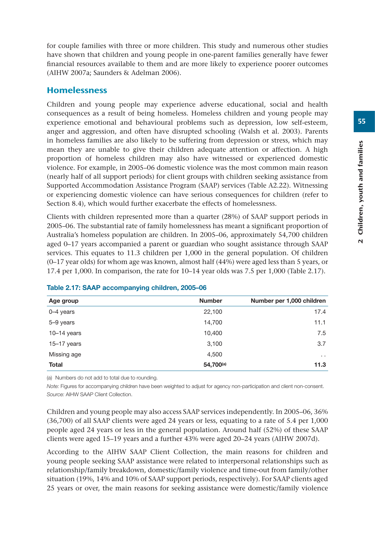for couple families with three or more children. This study and numerous other studies have shown that children and young people in one-parent families generally have fewer financial resources available to them and are more likely to experience poorer outcomes (AIHW 2007a; Saunders & Adelman 2006).

# Homelessness

Children and young people may experience adverse educational, social and health consequences as a result of being homeless. Homeless children and young people may experience emotional and behavioural problems such as depression, low self-esteem, anger and aggression, and often have disrupted schooling (Walsh et al. 2003). Parents in homeless families are also likely to be suffering from depression or stress, which may mean they are unable to give their children adequate attention or affection. A high proportion of homeless children may also have witnessed or experienced domestic violence. For example, in 2005–06 domestic violence was the most common main reason (nearly half of all support periods) for client groups with children seeking assistance from Supported Accommodation Assistance Program (SAAP) services (Table A2.22). Witnessing or experiencing domestic violence can have serious consequences for children (refer to Section 8.4), which would further exacerbate the effects of homelessness.

Clients with children represented more than a quarter (28%) of SAAP support periods in 2005–06. The substantial rate of family homelessness has meant a significant proportion of Australia's homeless population are children. In 2005–06, approximately 54,700 children aged 0–17 years accompanied a parent or guardian who sought assistance through SAAP services. This equates to 11.3 children per 1,000 in the general population. Of children (0–17 year olds) for whom age was known, almost half (44%) were aged less than 5 years, or 17.4 per 1,000. In comparison, the rate for 10–14 year olds was 7.5 per 1,000 (Table 2.17).

| Age group       | <b>Number</b> | Number per 1,000 children |
|-----------------|---------------|---------------------------|
| $0-4$ years     | 22,100        | 17.4                      |
| 5-9 years       | 14,700        | 11.1                      |
| $10-14$ years   | 10,400        | 7.5                       |
| $15 - 17$ years | 3,100         | 3.7                       |
| Missing age     | 4,500         | $\cdot$ .                 |
| <b>Total</b>    | 54,700(a)     | 11.3                      |

#### **Table 2.17: SAAP accompanying children, 2005–06**

(a) Numbers do not add to total due to rounding.

*Note:* Figures for accompanying children have been weighted to adjust for agency non-participation and client non-consent. *Source:* AIHW SAAP Client Collection.

Children and young people may also access SAAP services independently. In 2005–06, 36% (36,700) of all SAAP clients were aged 24 years or less, equating to a rate of 5.4 per 1,000 people aged 24 years or less in the general population. Around half (52%) of these SAAP clients were aged 15–19 years and a further 43% were aged 20–24 years (AIHW 2007d).

According to the AIHW SAAP Client Collection, the main reasons for children and young people seeking SAAP assistance were related to interpersonal relationships such as relationship/family breakdown, domestic/family violence and time-out from family/other situation (19%, 14% and 10% of SAAP support periods, respectively). For SAAP clients aged 25 years or over, the main reasons for seeking assistance were domestic/family violence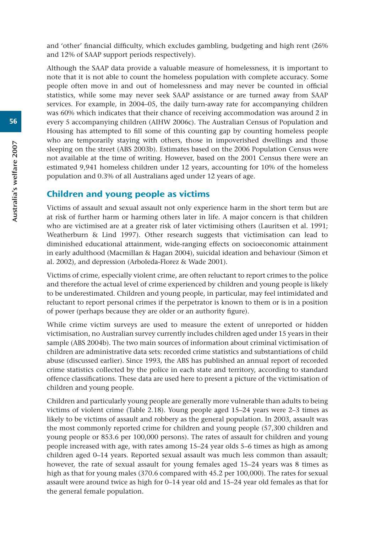and 'other' financial difficulty, which excludes gambling, budgeting and high rent (26% and 12% of SAAP support periods respectively).

Although the SAAP data provide a valuable measure of homelessness, it is important to note that it is not able to count the homeless population with complete accuracy. Some people often move in and out of homelessness and may never be counted in official statistics, while some may never seek SAAP assistance or are turned away from SAAP services. For example, in 2004–05, the daily turn-away rate for accompanying children was 60% which indicates that their chance of receiving accommodation was around 2 in every 5 accompanying children (AIHW 2006c). The Australian Census of Population and Housing has attempted to fill some of this counting gap by counting homeless people who are temporarily staying with others, those in impoverished dwellings and those sleeping on the street (ABS 2003b). Estimates based on the 2006 Population Census were not available at the time of writing. However, based on the 2001 Census there were an estimated 9,941 homeless children under 12 years, accounting for 10% of the homeless population and 0.3% of all Australians aged under 12 years of age.

## Children and young people as victims

Victims of assault and sexual assault not only experience harm in the short term but are at risk of further harm or harming others later in life. A major concern is that children who are victimised are at a greater risk of later victimising others (Lauritsen et al. 1991; Weatherburn & Lind 1997). Other research suggests that victimisation can lead to diminished educational attainment, wide-ranging effects on socioeconomic attainment in early adulthood (Macmillan & Hagan 2004), suicidal ideation and behaviour (Simon et al. 2002), and depression (Arboleda-Florez & Wade 2001).

Victims of crime, especially violent crime, are often reluctant to report crimes to the police and therefore the actual level of crime experienced by children and young people is likely to be underestimated. Children and young people, in particular, may feel intimidated and reluctant to report personal crimes if the perpetrator is known to them or is in a position of power (perhaps because they are older or an authority figure).

While crime victim surveys are used to measure the extent of unreported or hidden victimisation, no Australian survey currently includes children aged under 15 years in their sample (ABS 2004b). The two main sources of information about criminal victimisation of children are administrative data sets: recorded crime statistics and substantiations of child abuse (discussed earlier). Since 1993, the ABS has published an annual report of recorded crime statistics collected by the police in each state and territory, according to standard offence classifications. These data are used here to present a picture of the victimisation of children and young people.

Children and particularly young people are generally more vulnerable than adults to being victims of violent crime (Table 2.18). Young people aged 15–24 years were 2–3 times as likely to be victims of assault and robbery as the general population. In 2003, assault was the most commonly reported crime for children and young people (57,300 children and young people or 853.6 per 100,000 persons). The rates of assault for children and young people increased with age, with rates among 15–24 year olds 5–6 times as high as among children aged 0–14 years. Reported sexual assault was much less common than assault; however, the rate of sexual assault for young females aged 15–24 years was 8 times as high as that for young males (370.6 compared with 45.2 per 100,000). The rates for sexual assault were around twice as high for 0–14 year old and 15–24 year old females as that for the general female population.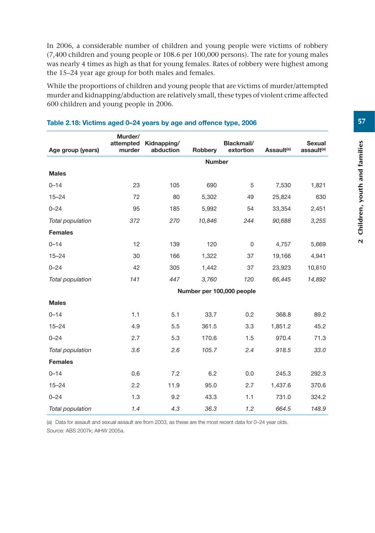In 2006, a considerable number of children and young people were victims of robbery (7,400 children and young people or 108.6 per 100,000 persons). The rate for young males was nearly 4 times as high as that for young females. Rates of robbery were highest among the 15–24 year age group for both males and females.

While the proportions of children and young people that are victims of murder/attempted murder and kidnapping/abduction are relatively small, these types of violent crime affected 600 children and young people in 2006.

|                   | Murder/             |                          |         |                           |                        |                                         |  |  |  |
|-------------------|---------------------|--------------------------|---------|---------------------------|------------------------|-----------------------------------------|--|--|--|
| Age group (years) | attempted<br>murder | Kidnapping/<br>abduction | Robbery | Blackmail/<br>extortion   | Assault <sup>(a)</sup> | <b>Sexual</b><br>assault <sup>(a)</sup> |  |  |  |
|                   |                     | <b>Number</b>            |         |                           |                        |                                         |  |  |  |
| <b>Males</b>      |                     |                          |         |                           |                        |                                         |  |  |  |
| $0 - 14$          | 23                  | 105                      | 690     | 5                         | 7,530                  | 1,821                                   |  |  |  |
| $15 - 24$         | 72                  | 80                       | 5,302   | 49                        | 25,824                 | 630                                     |  |  |  |
| $0 - 24$          | 95                  | 185                      | 5,992   | 54                        | 33,354                 | 2,451                                   |  |  |  |
| Total population  | 372                 | 270                      | 10,846  | 244                       | 90,688                 | 3,255                                   |  |  |  |
| <b>Females</b>    |                     |                          |         |                           |                        |                                         |  |  |  |
| $0 - 14$          | 12                  | 139                      | 120     | $\mathbf 0$               | 4,757                  | 5,669                                   |  |  |  |
| $15 - 24$         | 30                  | 166                      | 1,322   | 37                        | 19,166                 | 4,941                                   |  |  |  |
| $0 - 24$          | 42                  | 305                      | 1,442   | 37                        | 23,923                 | 10,610                                  |  |  |  |
| Total population  | 141                 | 447                      | 3,760   | 120                       | 66,445                 | 14,892                                  |  |  |  |
|                   |                     |                          |         | Number per 100,000 people |                        |                                         |  |  |  |
| <b>Males</b>      |                     |                          |         |                           |                        |                                         |  |  |  |
| $0 - 14$          | 1.1                 | 5.1                      | 33.7    | 0.2                       | 368.8                  | 89.2                                    |  |  |  |
| $15 - 24$         | 4.9                 | 5.5                      | 361.5   | 3.3                       | 1,851.2                | 45.2                                    |  |  |  |
| $0 - 24$          | 2.7                 | 5.3                      | 170.6   | 1.5                       | 970.4                  | 71.3                                    |  |  |  |
| Total population  | 3.6                 | 2.6                      | 105.7   | 2.4                       | 918.5                  | 33.0                                    |  |  |  |
| <b>Females</b>    |                     |                          |         |                           |                        |                                         |  |  |  |
| $0 - 14$          | 0.6                 | 7.2                      | 6.2     | 0.0                       | 245.3                  | 292.3                                   |  |  |  |
| $15 - 24$         | 2.2                 | 11.9                     | 95.0    | 2.7                       | 1,437.6                | 370.6                                   |  |  |  |
| $0 - 24$          | 1.3                 | 9.2                      | 43.3    | 1.1                       | 731.0                  | 324.2                                   |  |  |  |
| Total population  | 1.4                 | 4.3                      | 36.3    | 1.2                       | 664.5                  | 148.9                                   |  |  |  |

#### **Table 2.18: Victims aged 0–24 years by age and offence type, 2006**

(a) Data for assault and sexual assault are from 2003, as these are the most recent data for 0–24 year olds. *Source:* ABS 2007k; AIHW 2005a.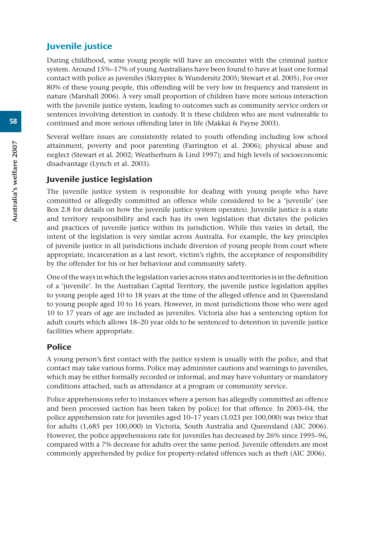# Juvenile justice

During childhood, some young people will have an encounter with the criminal justice system. Around 15%–17% of young Australians have been found to have at least one formal contact with police as juveniles (Skrzypiec & Wundersitz 2005; Stewart et al. 2005). For over 80% of these young people, this offending will be very low in frequency and transient in nature (Marshall 2006). A very small proportion of children have more serious interaction with the juvenile justice system, leading to outcomes such as community service orders or sentences involving detention in custody. It is these children who are most vulnerable to continued and more serious offending later in life (Makkai & Payne 2003).

Several welfare issues are consistently related to youth offending including low school attainment, poverty and poor parenting (Farrington et al. 2006); physical abuse and neglect (Stewart et al. 2002; Weatherburn & Lind 1997); and high levels of socioeconomic disadvantage (Lynch et al. 2003).

# Juvenile justice legislation

The juvenile justice system is responsible for dealing with young people who have committed or allegedly committed an offence while considered to be a 'juvenile' (see Box 2.8 for details on how the juvenile justice system operates). Juvenile justice is a state and territory responsibility and each has its own legislation that dictates the policies and practices of juvenile justice within its jurisdiction. While this varies in detail, the intent of the legislation is very similar across Australia. For example, the key principles of juvenile justice in all jurisdictions include diversion of young people from court where appropriate, incarceration as a last resort, victim's rights, the acceptance of responsibility by the offender for his or her behaviour and community safety.

One of the ways in which the legislation varies across states and territories is in the definition of a 'juvenile'. In the Australian Capital Territory, the juvenile justice legislation applies to young people aged 10 to 18 years at the time of the alleged offence and in Queensland to young people aged 10 to 16 years. However, in most jurisdictions those who were aged 10 to 17 years of age are included as juveniles. Victoria also has a sentencing option for adult courts which allows 18–20 year olds to be sentenced to detention in juvenile justice facilities where appropriate.

## Police

A young person's first contact with the justice system is usually with the police, and that contact may take various forms. Police may administer cautions and warnings to juveniles, which may be either formally recorded or informal, and may have voluntary or mandatory conditions attached, such as attendance at a program or community service.

Police apprehensions refer to instances where a person has allegedly committed an offence and been processed (action has been taken by police) for that offence. In 2003–04, the police apprehension rate for juveniles aged 10–17 years (3,023 per 100,000) was twice that for adults (1,685 per 100,000) in Victoria, South Australia and Queensland (AIC 2006). However, the police apprehensions rate for juveniles has decreased by 26% since 1995–96, compared with a 7% decrease for adults over the same period. Juvenile offenders are most commonly apprehended by police for property-related offences such as theft (AIC 2006).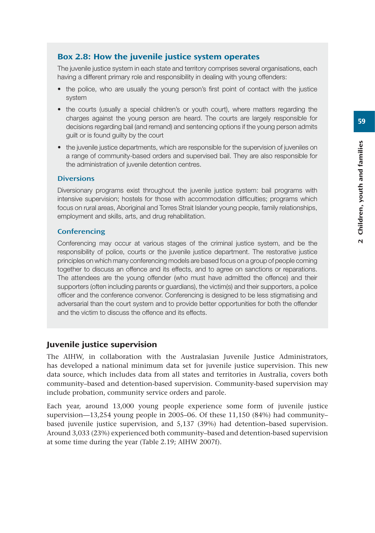## Box 2.8: How the juvenile justice system operates

The juvenile justice system in each state and territory comprises several organisations, each having a different primary role and responsibility in dealing with young offenders:

- the police, who are usually the young person's first point of contact with the justice system
- the courts (usually a special children's or youth court), where matters regarding the charges against the young person are heard. The courts are largely responsible for decisions regarding bail (and remand) and sentencing options if the young person admits guilt or is found guilty by the court
- the juvenile justice departments, which are responsible for the supervision of juveniles on a range of community-based orders and supervised bail. They are also responsible for the administration of juvenile detention centres.

#### **Diversions**

Diversionary programs exist throughout the juvenile justice system: bail programs with intensive supervision; hostels for those with accommodation difficulties; programs which focus on rural areas, Aboriginal and Torres Strait Islander young people, family relationships, employment and skills, arts, and drug rehabilitation.

#### **Conferencing**

Conferencing may occur at various stages of the criminal justice system, and be the responsibility of police, courts or the juvenile justice department. The restorative justice principles on which many conferencing models are based focus on a group of people coming together to discuss an offence and its effects, and to agree on sanctions or reparations. The attendees are the young offender (who must have admitted the offence) and their supporters (often including parents or guardians), the victim(s) and their supporters, a police officer and the conference convenor. Conferencing is designed to be less stigmatising and adversarial than the court system and to provide better opportunities for both the offender and the victim to discuss the offence and its effects.

## Juvenile justice supervision

The AIHW, in collaboration with the Australasian Juvenile Justice Administrators, has developed a national minimum data set for juvenile justice supervision. This new data source, which includes data from all states and territories in Australia, covers both community–based and detention-based supervision. Community-based supervision may include probation, community service orders and parole.

Each year, around 13,000 young people experience some form of juvenile justice supervision—13,254 young people in 2005–06. Of these 11,150 (84%) had community– based juvenile justice supervision, and 5,137 (39%) had detention–based supervision. Around 3,033 (23%) experienced both community–based and detention-based supervision at some time during the year (Table 2.19; AIHW 2007f).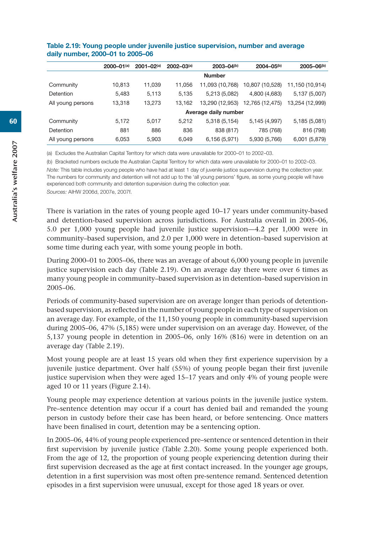| Table 2.19: Young people under juvenile justice supervision, number and average |  |
|---------------------------------------------------------------------------------|--|
| daily number, 2000–01 to 2005–06                                                |  |

|                   | $2000 - 01^{(a)}$ | $2001 - 02(a)$ | $2002 - 03^{(a)}$ | $2003 - 04(b)$<br>$2004 - 05^{(b)}$ |                 | $2005 - 06(b)$  |
|-------------------|-------------------|----------------|-------------------|-------------------------------------|-----------------|-----------------|
|                   |                   |                |                   | <b>Number</b>                       |                 |                 |
| Community         | 10,813            | 11,039         | 11,056            | 11,093 (10,768)                     | 10,807 (10,528) | 11,150 (10,914) |
| Detention         | 5,483             | 5,113          | 5.135             | 5,213 (5,082)                       | 4,800 (4,683)   | 5,137 (5,007)   |
| All young persons | 13,318            | 13,273         | 13,162            | 13,290 (12,953)                     | 12,765 (12,475) | 13,254 (12,999) |
|                   |                   |                |                   | Average daily number                |                 |                 |
| Community         | 5,172             | 5,017          | 5,212             | 5,318 (5,154)                       | 5,145 (4,997)   | 5,185 (5,081)   |
| Detention         | 881               | 886            | 836               | 838 (817)                           | 785 (768)       | 816 (798)       |
| All young persons | 6,053             | 5,903          | 6,049             | 6,156 (5,971)                       | 5,930 (5,766)   | 6,001 (5,879)   |

(a) Excludes the Australian Capital Territory for which data were unavailable for 2000–01 to 2002–03.

(b) Bracketed numbers exclude the Australian Capital Territory for which data were unavailable for 2000–01 to 2002–03.

*Note:* This table includes young people who have had at least 1 day of juvenile justice supervision during the collection year. The numbers for community and detention will not add up to the 'all young persons' figure, as some young people will have experienced both community and detention supervision during the collection year.

*Sources:* AIHW 2006d, 2007e, 2007f.

There is variation in the rates of young people aged 10–17 years under community-based and detention-based supervision across jurisdictions. For Australia overall in 2005–06, 5.0 per 1,000 young people had juvenile justice supervision—4.2 per 1,000 were in community–based supervision, and 2.0 per 1,000 were in detention–based supervision at some time during each year, with some young people in both.

During 2000–01 to 2005–06, there was an average of about 6,000 young people in juvenile justice supervision each day (Table 2.19). On an average day there were over 6 times as many young people in community–based supervision as in detention–based supervision in 2005–06.

Periods of community-based supervision are on average longer than periods of detentionbased supervision, as reflected in the number of young people in each type of supervision on an average day. For example, of the 11,150 young people in community-based supervision during 2005–06, 47% (5,185) were under supervision on an average day. However, of the 5,137 young people in detention in 2005–06, only 16% (816) were in detention on an average day (Table 2.19).

Most young people are at least 15 years old when they first experience supervision by a juvenile justice department. Over half (55%) of young people began their first juvenile justice supervision when they were aged 15–17 years and only 4% of young people were aged 10 or 11 years (Figure 2.14).

Young people may experience detention at various points in the juvenile justice system. Pre–sentence detention may occur if a court has denied bail and remanded the young person in custody before their case has been heard, or before sentencing. Once matters have been finalised in court, detention may be a sentencing option.

In 2005–06, 44% of young people experienced pre–sentence or sentenced detention in their first supervision by juvenile justice (Table 2.20). Some young people experienced both. From the age of 12, the proportion of young people experiencing detention during their first supervision decreased as the age at first contact increased. In the younger age groups, detention in a first supervision was most often pre-sentence remand. Sentenced detention episodes in a first supervision were unusual, except for those aged 18 years or over.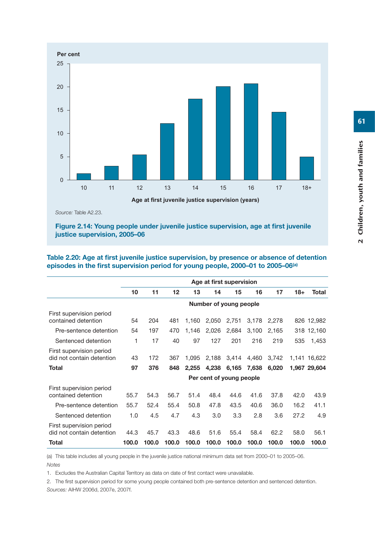

```
Source: Table A2.23.
```
**Figure 2.14: Young people under juvenile justice supervision, age at first juvenile justice supervision, 2005–06**

|                                                       |       | Age at first supervision |       |       |       |                          |       |       |       |              |
|-------------------------------------------------------|-------|--------------------------|-------|-------|-------|--------------------------|-------|-------|-------|--------------|
|                                                       | 10    | 11                       | 12    | 13    | 14    | 15                       | 16    | 17    | $18+$ | Total        |
|                                                       |       |                          |       |       |       | Number of young people   |       |       |       |              |
| First supervision period<br>contained detention       | 54    | 204                      | 481   | 1.160 | 2,050 | 2,751                    | 3,178 | 2,278 |       | 826 12,982   |
| Pre-sentence detention                                | 54    | 197                      | 470   | 1,146 | 2,026 | 2,684                    | 3,100 | 2,165 |       | 318 12,160   |
| Sentenced detention                                   | 1     | 17                       | 40    | 97    | 127   | 201                      | 216   | 219   | 535   | 1,453        |
| First supervision period<br>did not contain detention | 43    | 172                      | 367   | 1.095 | 2,188 | 3,414                    | 4,460 | 3,742 |       | 1,141 16,622 |
| Total                                                 | 97    | 376                      | 848   | 2.255 | 4.238 | 6,165                    | 7.638 | 6,020 |       | 1.967 29.604 |
|                                                       |       |                          |       |       |       | Per cent of young people |       |       |       |              |
| First supervision period<br>contained detention       | 55.7  | 54.3                     | 56.7  | 51.4  | 48.4  | 44.6                     | 41.6  | 37.8  | 42.0  | 43.9         |
| Pre-sentence detention                                | 55.7  | 52.4                     | 55.4  | 50.8  | 47.8  | 43.5                     | 40.6  | 36.0  | 16.2  | 41.1         |
| Sentenced detention                                   | 1.0   | 4.5                      | 4.7   | 4.3   | 3.0   | 3.3                      | 2.8   | 3.6   | 27.2  | 4.9          |
| First supervision period<br>did not contain detention | 44.3  | 45.7                     | 43.3  | 48.6  | 51.6  | 55.4                     | 58.4  | 62.2  | 58.0  | 56.1         |
| Total                                                 | 100.0 | 100.0                    | 100.0 | 100.0 | 100.0 | 100.0                    | 100.0 | 100.0 | 100.0 | 100.0        |

**Table 2.20: Age at first juvenile justice supervision, by presence or absence of detention episodes in the first supervision period for young people, 2000–01 to 2005–06(a)**

(a) This table includes all young people in the juvenile justice national minimum data set from 2000–01 to 2005–06. *Notes*

1. Excludes the Australian Capital Territory as data on date of first contact were unavailable.

2. The first supervision period for some young people contained both pre-sentence detention and sentenced detention. *Sources:* AIHW 2006d, 2007e, 2007f.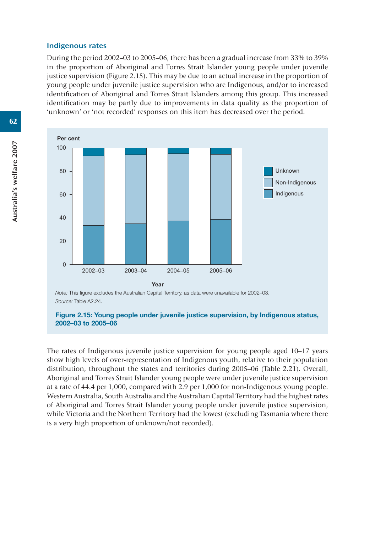#### Indigenous rates

During the period 2002–03 to 2005–06, there has been a gradual increase from 33% to 39% in the proportion of Aboriginal and Torres Strait Islander young people under juvenile justice supervision (Figure 2.15). This may be due to an actual increase in the proportion of young people under juvenile justice supervision who are Indigenous, and/or to increased identification of Aboriginal and Torres Strait Islanders among this group. This increased identification may be partly due to improvements in data quality as the proportion of 'unknown' or 'not recorded' responses on this item has decreased over the period.



*Note:* This figure excludes the Australian Capital Territory, as data were unavailable for 2002–03. *Source:* Table A2.24.

#### **Figure 2.15: Young people under juvenile justice supervision, by Indigenous status, 2002–03 to 2005–06**

The rates of Indigenous juvenile justice supervision for young people aged 10–17 years show high levels of over-representation of Indigenous youth, relative to their population distribution, throughout the states and territories during 2005–06 (Table 2.21). Overall, Aboriginal and Torres Strait Islander young people were under juvenile justice supervision at a rate of 44.4 per 1,000, compared with 2.9 per 1,000 for non-Indigenous young people. Western Australia, South Australia and the Australian Capital Territory had the highest rates of Aboriginal and Torres Strait Islander young people under juvenile justice supervision, while Victoria and the Northern Territory had the lowest (excluding Tasmania where there is a very high proportion of unknown/not recorded).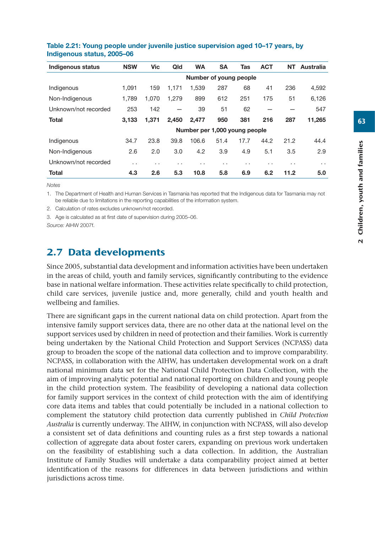| Indigenous status    | <b>NSW</b>                    | Vic             | Qld   | <b>WA</b>       | <b>SA</b>       | Tas  | <b>ACT</b> | NΤ   | Australia       |
|----------------------|-------------------------------|-----------------|-------|-----------------|-----------------|------|------------|------|-----------------|
|                      | Number of young people        |                 |       |                 |                 |      |            |      |                 |
| Indigenous           | 1.091                         | 159             | 1,171 | 1.539           | 287             | 68   | 41         | 236  | 4,592           |
| Non-Indigenous       | 1.789                         | 1.070           | 1.279 | 899             | 612             | 251  | 175        | 51   | 6,126           |
| Unknown/not recorded | 253                           | 142             |       | 39              | 51              | 62   |            |      | 547             |
| <b>Total</b>         | 3.133                         | 1.371           | 2.450 | 2,477           | 950             | 381  | 216        | 287  | 11,265          |
|                      | Number per 1,000 young people |                 |       |                 |                 |      |            |      |                 |
| Indigenous           | 34.7                          | 23.8            | 39.8  | 106.6           | 51.4            | 17.7 | 44.2       | 21.2 | 44.4            |
| Non-Indigenous       | 2.6                           | 2.0             | 3.0   | 4.2             | 3.9             | 4.9  | 5.1        | 3.5  | 2.9             |
| Unknown/not recorded | $\cdot$ .                     | $\cdot$ $\cdot$ | . .   | $\cdot$ $\cdot$ | $\cdot$ $\cdot$ | . .  | . .        | . .  | $\cdot$ $\cdot$ |
| <b>Total</b>         | 4.3                           | 2.6             | 5.3   | 10.8            | 5.8             | 6.9  | 6.2        | 11.2 | 5.0             |

#### **Table 2.21: Young people under juvenile justice supervision aged 10–17 years, by Indigenous status, 2005–06**

*Notes*

1. The Department of Health and Human Services in Tasmania has reported that the Indigenous data for Tasmania may not be reliable due to limitations in the reporting capabilities of the information system.

2. Calculation of rates excludes unknown/not recorded.

3. Age is calculated as at first date of supervision during 2005–06.

*Source:* AIHW 2007f.

# 2.7 Data developments

Since 2005, substantial data development and information activities have been undertaken in the areas of child, youth and family services, significantly contributing to the evidence base in national welfare information. These activities relate specifically to child protection, child care services, juvenile justice and, more generally, child and youth health and wellbeing and families.

There are significant gaps in the current national data on child protection. Apart from the intensive family support services data, there are no other data at the national level on the support services used by children in need of protection and their families. Work is currently being undertaken by the National Child Protection and Support Services (NCPASS) data group to broaden the scope of the national data collection and to improve comparability. NCPASS, in collaboration with the AIHW, has undertaken developmental work on a draft national minimum data set for the National Child Protection Data Collection, with the aim of improving analytic potential and national reporting on children and young people in the child protection system. The feasibility of developing a national data collection for family support services in the context of child protection with the aim of identifying core data items and tables that could potentially be included in a national collection to complement the statutory child protection data currently published in *Child Protection Australia* is currently underway. The AIHW, in conjunction with NCPASS, will also develop a consistent set of data definitions and counting rules as a first step towards a national collection of aggregate data about foster carers, expanding on previous work undertaken on the feasibility of establishing such a data collection. In addition, the Australian Institute of Family Studies will undertake a data comparability project aimed at better identification of the reasons for differences in data between jurisdictions and within jurisdictions across time.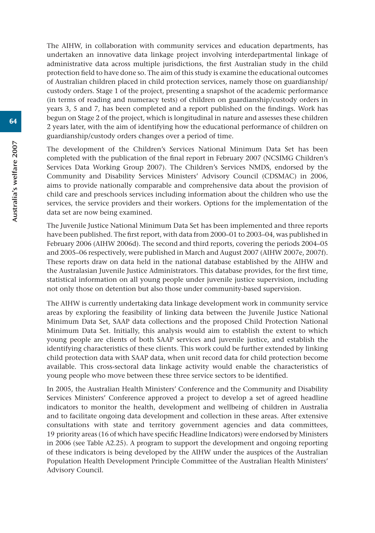The AIHW, in collaboration with community services and education departments, has undertaken an innovative data linkage project involving interdepartmental linkage of administrative data across multiple jurisdictions, the first Australian study in the child protection field to have done so. The aim of this study is examine the educational outcomes of Australian children placed in child protection services, namely those on guardianship/ custody orders. Stage 1 of the project, presenting a snapshot of the academic performance (in terms of reading and numeracy tests) of children on guardianship/custody orders in years 3, 5 and 7, has been completed and a report published on the findings. Work has begun on Stage 2 of the project, which is longitudinal in nature and assesses these children 2 years later, with the aim of identifying how the educational performance of children on guardianship/custody orders changes over a period of time.

The development of the Children's Services National Minimum Data Set has been completed with the publication of the final report in February 2007 (NCSIMG Children's Services Data Working Group 2007). The Children's Services NMDS, endorsed by the Community and Disability Services Ministers' Advisory Council (CDSMAC) in 2006, aims to provide nationally comparable and comprehensive data about the provision of child care and preschools services including information about the children who use the services, the service providers and their workers. Options for the implementation of the data set are now being examined.

The Juvenile Justice National Minimum Data Set has been implemented and three reports have been published. The first report, with data from 2000–01 to 2003–04, was published in February 2006 (AIHW 2006d). The second and third reports, covering the periods 2004–05 and 2005–06 respectively, were published in March and August 2007 (AIHW 2007e, 2007f). These reports draw on data held in the national database established by the AIHW and the Australasian Juvenile Justice Administrators. This database provides, for the first time, statistical information on all young people under juvenile justice supervision, including not only those on detention but also those under community-based supervision.

The AIHW is currently undertaking data linkage development work in community service areas by exploring the feasibility of linking data between the Juvenile Justice National Minimum Data Set, SAAP data collections and the proposed Child Protection National Minimum Data Set. Initially, this analysis would aim to establish the extent to which young people are clients of both SAAP services and juvenile justice, and establish the identifying characteristics of these clients. This work could be further extended by linking child protection data with SAAP data, when unit record data for child protection become available. This cross-sectoral data linkage activity would enable the characteristics of young people who move between these three service sectors to be identified.

In 2005, the Australian Health Ministers' Conference and the Community and Disability Services Ministers' Conference approved a project to develop a set of agreed headline indicators to monitor the health, development and wellbeing of children in Australia and to facilitate ongoing data development and collection in these areas. After extensive consultations with state and territory government agencies and data committees, 19 priority areas (16 of which have specific Headline Indicators) were endorsed by Ministers in 2006 (see Table A2.25). A program to support the development and ongoing reporting of these indicators is being developed by the AIHW under the auspices of the Australian Population Health Development Principle Committee of the Australian Health Ministers' Advisory Council.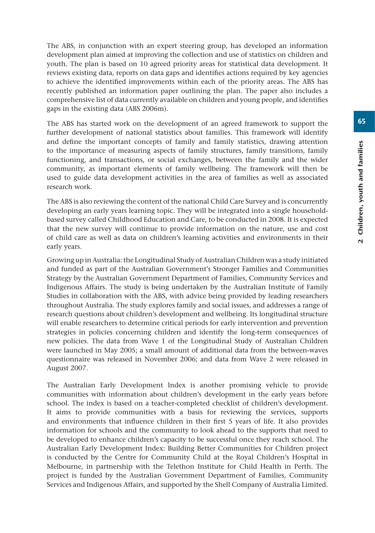The ABS, in conjunction with an expert steering group, has developed an information development plan aimed at improving the collection and use of statistics on children and youth. The plan is based on 10 agreed priority areas for statistical data development. It reviews existing data, reports on data gaps and identifies actions required by key agencies to achieve the identified improvements within each of the priority areas. The ABS has recently published an information paper outlining the plan. The paper also includes a comprehensive list of data currently available on children and young people, and identifies gaps in the existing data (ABS 2006m).

The ABS has started work on the development of an agreed framework to support the further development of national statistics about families. This framework will identify and define the important concepts of family and family statistics, drawing attention to the importance of measuring aspects of family structures, family transitions, family functioning, and transactions, or social exchanges, between the family and the wider community, as important elements of family wellbeing. The framework will then be used to guide data development activities in the area of families as well as associated research work.

The ABS is also reviewing the content of the national Child Care Survey and is concurrently developing an early years learning topic. They will be integrated into a single householdbased survey called Childhood Education and Care, to be conducted in 2008. It is expected that the new survey will continue to provide information on the nature, use and cost of child care as well as data on children's learning activities and environments in their early years.

Growing up in Australia: the Longitudinal Study of Australian Children was a study initiated and funded as part of the Australian Government's Stronger Families and Communities Strategy by the Australian Government Department of Families, Community Services and Indigenous Affairs. The study is being undertaken by the Australian Institute of Family Studies in collaboration with the ABS, with advice being provided by leading researchers throughout Australia. The study explores family and social issues, and addresses a range of research questions about children's development and wellbeing. Its longitudinal structure will enable researchers to determine critical periods for early intervention and prevention strategies in policies concerning children and identify the long-term consequences of new policies. The data from Wave 1 of the Longitudinal Study of Australian Children were launched in May 2005; a small amount of additional data from the between-waves questionnaire was released in November 2006; and data from Wave 2 were released in August 2007.

The Australian Early Development Index is another promising vehicle to provide communities with information about children's development in the early years before school. The index is based on a teacher-completed checklist of children's development. It aims to provide communities with a basis for reviewing the services, supports and environments that influence children in their first 5 years of life. It also provides information for schools and the community to look ahead to the supports that need to be developed to enhance children's capacity to be successful once they reach school. The Australian Early Development Index: Building Better Communities for Children project is conducted by the Centre for Community Child at the Royal Children's Hospital in Melbourne, in partnership with the Telethon Institute for Child Health in Perth. The project is funded by the Australian Government Department of Families, Community Services and Indigenous Affairs, and supported by the Shell Company of Australia Limited.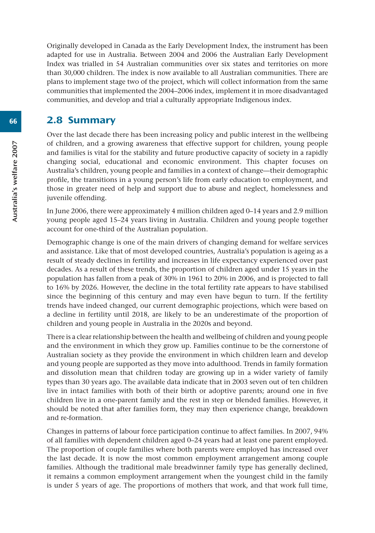Originally developed in Canada as the Early Development Index, the instrument has been adapted for use in Australia. Between 2004 and 2006 the Australian Early Development Index was trialled in 54 Australian communities over six states and territories on more than 30,000 children. The index is now available to all Australian communities. There are plans to implement stage two of the project, which will collect information from the same communities that implemented the 2004–2006 index, implement it in more disadvantaged communities, and develop and trial a culturally appropriate Indigenous index.

# 2.8 Summary

Over the last decade there has been increasing policy and public interest in the wellbeing of children, and a growing awareness that effective support for children, young people and families is vital for the stability and future productive capacity of society in a rapidly changing social, educational and economic environment. This chapter focuses on Australia's children, young people and families in a context of change—their demographic profile, the transitions in a young person's life from early education to employment, and those in greater need of help and support due to abuse and neglect, homelessness and juvenile offending.

In June 2006, there were approximately 4 million children aged 0–14 years and 2.9 million young people aged 15–24 years living in Australia. Children and young people together account for one-third of the Australian population.

Demographic change is one of the main drivers of changing demand for welfare services and assistance. Like that of most developed countries, Australia's population is ageing as a result of steady declines in fertility and increases in life expectancy experienced over past decades. As a result of these trends, the proportion of children aged under 15 years in the population has fallen from a peak of 30% in 1961 to 20% in 2006, and is projected to fall to 16% by 2026. However, the decline in the total fertility rate appears to have stabilised since the beginning of this century and may even have begun to turn. If the fertility trends have indeed changed, our current demographic projections, which were based on a decline in fertility until 2018, are likely to be an underestimate of the proportion of children and young people in Australia in the 2020s and beyond.

There is a clear relationship between the health and wellbeing of children and young people and the environment in which they grow up. Families continue to be the cornerstone of Australian society as they provide the environment in which children learn and develop and young people are supported as they move into adulthood. Trends in family formation and dissolution mean that children today are growing up in a wider variety of family types than 30 years ago. The available data indicate that in 2003 seven out of ten children live in intact families with both of their birth or adoptive parents; around one in five children live in a one-parent family and the rest in step or blended families. However, it should be noted that after families form, they may then experience change, breakdown and re-formation.

Changes in patterns of labour force participation continue to affect families. In 2007, 94% of all families with dependent children aged 0–24 years had at least one parent employed. The proportion of couple families where both parents were employed has increased over the last decade. It is now the most common employment arrangement among couple families. Although the traditional male breadwinner family type has generally declined, it remains a common employment arrangement when the youngest child in the family is under 5 years of age. The proportions of mothers that work, and that work full time,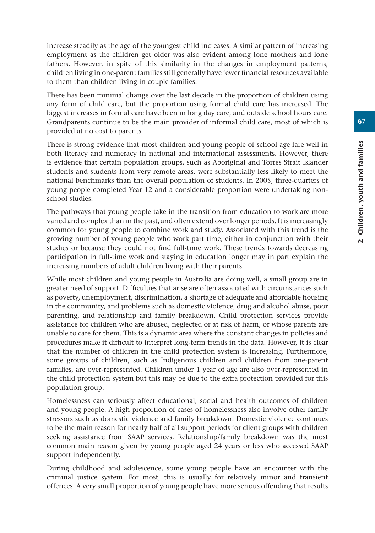increase steadily as the age of the youngest child increases. A similar pattern of increasing employment as the children get older was also evident among lone mothers and lone fathers. However, in spite of this similarity in the changes in employment patterns, children living in one-parent families still generally have fewer financial resources available to them than children living in couple families.

There has been minimal change over the last decade in the proportion of children using any form of child care, but the proportion using formal child care has increased. The biggest increases in formal care have been in long day care, and outside school hours care. Grandparents continue to be the main provider of informal child care, most of which is provided at no cost to parents.

There is strong evidence that most children and young people of school age fare well in both literacy and numeracy in national and international assessments. However, there is evidence that certain population groups, such as Aboriginal and Torres Strait Islander students and students from very remote areas, were substantially less likely to meet the national benchmarks than the overall population of students. In 2005, three-quarters of young people completed Year 12 and a considerable proportion were undertaking nonschool studies.

The pathways that young people take in the transition from education to work are more varied and complex than in the past, and often extend over longer periods. It is increasingly common for young people to combine work and study. Associated with this trend is the growing number of young people who work part time, either in conjunction with their studies or because they could not find full-time work. These trends towards decreasing participation in full-time work and staying in education longer may in part explain the increasing numbers of adult children living with their parents.

While most children and young people in Australia are doing well, a small group are in greater need of support. Difficulties that arise are often associated with circumstances such as poverty, unemployment, discrimination, a shortage of adequate and affordable housing in the community, and problems such as domestic violence, drug and alcohol abuse, poor parenting, and relationship and family breakdown. Child protection services provide assistance for children who are abused, neglected or at risk of harm, or whose parents are unable to care for them. This is a dynamic area where the constant changes in policies and procedures make it difficult to interpret long-term trends in the data. However, it is clear that the number of children in the child protection system is increasing. Furthermore, some groups of children, such as Indigenous children and children from one-parent families, are over-represented. Children under 1 year of age are also over-represented in the child protection system but this may be due to the extra protection provided for this population group.

Homelessness can seriously affect educational, social and health outcomes of children and young people. A high proportion of cases of homelessness also involve other family stressors such as domestic violence and family breakdown. Domestic violence continues to be the main reason for nearly half of all support periods for client groups with children seeking assistance from SAAP services. Relationship/family breakdown was the most common main reason given by young people aged 24 years or less who accessed SAAP support independently.

During childhood and adolescence, some young people have an encounter with the criminal justice system. For most, this is usually for relatively minor and transient offences. A very small proportion of young people have more serious offending that results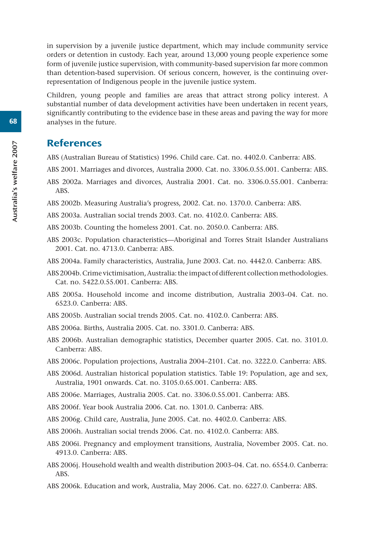in supervision by a juvenile justice department, which may include community service orders or detention in custody. Each year, around 13,000 young people experience some form of juvenile justice supervision, with community-based supervision far more common than detention-based supervision. Of serious concern, however, is the continuing overrepresentation of Indigenous people in the juvenile justice system.

Children, young people and families are areas that attract strong policy interest. A substantial number of data development activities have been undertaken in recent years, significantly contributing to the evidence base in these areas and paving the way for more analyses in the future.

# **References**

ABS (Australian Bureau of Statistics) 1996. Child care. Cat. no. 4402.0. Canberra: ABS.

- ABS 2001. Marriages and divorces, Australia 2000. Cat. no. 3306.0.55.001. Canberra: ABS.
- ABS 2002a. Marriages and divorces, Australia 2001. Cat. no. 3306.0.55.001. Canberra: ABS.
- ABS 2002b. Measuring Australia's progress, 2002. Cat. no. 1370.0. Canberra: ABS.
- ABS 2003a. Australian social trends 2003. Cat. no. 4102.0. Canberra: ABS.
- ABS 2003b. Counting the homeless 2001. Cat. no. 2050.0. Canberra: ABS.
- ABS 2003c. Population characteristics—Aboriginal and Torres Strait Islander Australians 2001. Cat. no. 4713.0. Canberra: ABS.
- ABS 2004a. Family characteristics, Australia, June 2003. Cat. no. 4442.0. Canberra: ABS.
- ABS 2004b. Crime victimisation, Australia: the impact of different collection methodologies. Cat. no. 5422.0.55.001. Canberra: ABS.
- ABS 2005a. Household income and income distribution, Australia 2003–04. Cat. no. 6523.0. Canberra: ABS.
- ABS 2005b. Australian social trends 2005. Cat. no. 4102.0. Canberra: ABS.
- ABS 2006a. Births, Australia 2005. Cat. no. 3301.0. Canberra: ABS.
- ABS 2006b. Australian demographic statistics, December quarter 2005. Cat. no. 3101.0. Canberra: ABS.
- ABS 2006c. Population projections, Australia 2004–2101. Cat. no. 3222.0. Canberra: ABS.
- ABS 2006d. Australian historical population statistics. Table 19: Population, age and sex, Australia, 1901 onwards. Cat. no. 3105.0.65.001. Canberra: ABS.
- ABS 2006e. Marriages, Australia 2005. Cat. no. 3306.0.55.001. Canberra: ABS.
- ABS 2006f. Year book Australia 2006. Cat. no. 1301.0. Canberra: ABS.
- ABS 2006g. Child care, Australia, June 2005. Cat. no. 4402.0. Canberra: ABS.
- ABS 2006h. Australian social trends 2006. Cat. no. 4102.0. Canberra: ABS.
- ABS 2006i. Pregnancy and employment transitions, Australia, November 2005. Cat. no. 4913.0. Canberra: ABS.
- ABS 2006j. Household wealth and wealth distribution 2003–04. Cat. no. 6554.0. Canberra: ABS.
- ABS 2006k. Education and work, Australia, May 2006. Cat. no. 6227.0. Canberra: ABS.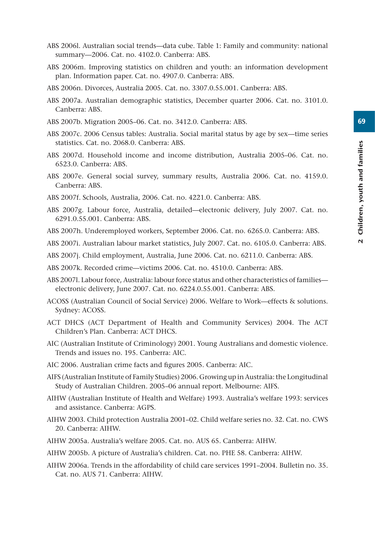- ABS 2006l. Australian social trends—data cube. Table 1: Family and community: national summary—2006. Cat. no. 4102.0. Canberra: ABS.
- ABS 2006m. Improving statistics on children and youth: an information development plan. Information paper. Cat. no. 4907.0. Canberra: ABS.
- ABS 2006n. Divorces, Australia 2005. Cat. no. 3307.0.55.001. Canberra: ABS.
- ABS 2007a. Australian demographic statistics, December quarter 2006. Cat. no. 3101.0. Canberra: ABS.
- ABS 2007b. Migration 2005–06. Cat. no. 3412.0. Canberra: ABS.
- ABS 2007c. 2006 Census tables: Australia. Social marital status by age by sex—time series statistics. Cat. no. 2068.0. Canberra: ABS.
- ABS 2007d. Household income and income distribution, Australia 2005–06. Cat. no. 6523.0. Canberra: ABS.
- ABS 2007e. General social survey, summary results, Australia 2006. Cat. no. 4159.0. Canberra: ABS.
- ABS 2007f. Schools, Australia, 2006. Cat. no. 4221.0. Canberra: ABS.
- ABS 2007g. Labour force, Australia, detailed—electronic delivery, July 2007. Cat. no. 6291.0.55.001. Canberra: ABS.
- ABS 2007h. Underemployed workers, September 2006. Cat. no. 6265.0. Canberra: ABS.
- ABS 2007i. Australian labour market statistics, July 2007. Cat. no. 6105.0. Canberra: ABS.
- ABS 2007j. Child employment, Australia, June 2006. Cat. no. 6211.0. Canberra: ABS.
- ABS 2007k. Recorded crime—victims 2006. Cat. no. 4510.0. Canberra: ABS.
- ABS 2007l. Labour force, Australia: labour force status and other characteristics of families electronic delivery, June 2007. Cat. no. 6224.0.55.001. Canberra: ABS.
- ACOSS (Australian Council of Social Service) 2006. Welfare to Work—effects & solutions. Sydney: ACOSS.
- ACT DHCS (ACT Department of Health and Community Services) 2004. The ACT Children's Plan. Canberra: ACT DHCS.
- AIC (Australian Institute of Criminology) 2001. Young Australians and domestic violence. Trends and issues no. 195. Canberra: AIC.
- AIC 2006. Australian crime facts and figures 2005. Canberra: AIC.
- AIFS (Australian Institute of Family Studies) 2006. Growing up in Australia: the Longitudinal Study of Australian Children. 2005–06 annual report. Melbourne: AIFS.
- AIHW (Australian Institute of Health and Welfare) 1993. Australia's welfare 1993: services and assistance. Canberra: AGPS.
- AIHW 2003. Child protection Australia 2001–02. Child welfare series no. 32. Cat. no. CWS 20. Canberra: AIHW.
- AIHW 2005a. Australia's welfare 2005. Cat. no. AUS 65. Canberra: AIHW.
- AIHW 2005b. A picture of Australia's children. Cat. no. PHE 58. Canberra: AIHW.
- AIHW 2006a. Trends in the affordability of child care services 1991–2004. Bulletin no. 35. Cat. no. AUS 71. Canberra: AIHW.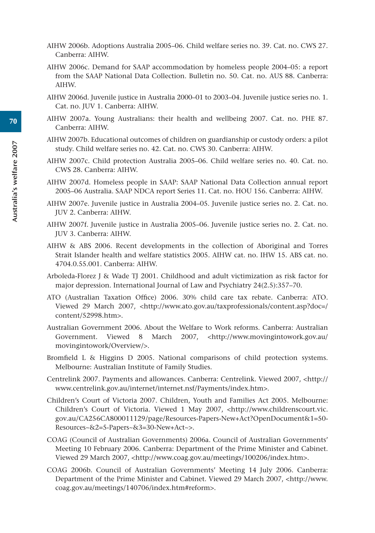- AIHW 2006b. Adoptions Australia 2005–06. Child welfare series no. 39. Cat. no. CWS 27. Canberra: AIHW.
- AIHW 2006c. Demand for SAAP accommodation by homeless people 2004–05: a report from the SAAP National Data Collection. Bulletin no. 50. Cat. no. AUS 88. Canberra: AIHW.
- AIHW 2006d. Juvenile justice in Australia 2000–01 to 2003–04. Juvenile justice series no. 1. Cat. no. JUV 1. Canberra: AIHW.
- AIHW 2007a. Young Australians: their health and wellbeing 2007. Cat. no. PHE 87. Canberra: AIHW.
- AIHW 2007b. Educational outcomes of children on guardianship or custody orders: a pilot study. Child welfare series no. 42. Cat. no. CWS 30. Canberra: AIHW.
- AIHW 2007c. Child protection Australia 2005–06. Child welfare series no. 40. Cat. no. CWS 28. Canberra: AIHW.
- AIHW 2007d. Homeless people in SAAP: SAAP National Data Collection annual report 2005–06 Australia. SAAP NDCA report Series 11. Cat. no. HOU 156. Canberra: AIHW.
- AIHW 2007e. Juvenile justice in Australia 2004–05. Juvenile justice series no. 2. Cat. no. JUV 2. Canberra: AIHW.
- AIHW 2007f. Juvenile justice in Australia 2005–06. Juvenile justice series no. 2. Cat. no. JUV 3. Canberra: AIHW.
- AIHW & ABS 2006. Recent developments in the collection of Aboriginal and Torres Strait Islander health and welfare statistics 2005. AIHW cat. no. IHW 15. ABS cat. no. 4704.0.55.001. Canberra: AIHW.
- Arboleda-Florez J & Wade TJ 2001. Childhood and adult victimization as risk factor for major depression. International Journal of Law and Psychiatry 24(2.5):357–70.
- ATO (Australian Taxation Office) 2006. 30% child care tax rebate. Canberra: ATO. Viewed 29 March 2007, <http://www.ato.gov.au/taxprofessionals/content.asp?doc=/ content/52998.htm>.
- Australian Government 2006. About the Welfare to Work reforms. Canberra: Australian Government. Viewed 8 March 2007, <http://www.movingintowork.gov.au/ movingintowork/Overview/>.
- Bromfield L & Higgins D 2005. National comparisons of child protection systems. Melbourne: Australian Institute of Family Studies.
- Centrelink 2007. Payments and allowances. Canberra: Centrelink. Viewed 2007, <http:// www.centrelink.gov.au/internet/internet.nsf/Payments/index.htm>.
- Children's Court of Victoria 2007. Children, Youth and Families Act 2005. Melbourne: Children's Court of Victoria. Viewed 1 May 2007, <http://www.childrenscourt.vic. gov.au/CA256CA800011129/page/Resources-Papers-New+Act?OpenDocument&1=50- Resources~&2=5-Papers~&3=30-New+Act~>.
- COAG (Council of Australian Governments) 2006a. Council of Australian Governments' Meeting 10 February 2006. Canberra: Department of the Prime Minister and Cabinet. Viewed 29 March 2007, <http://www.coag.gov.au/meetings/100206/index.htm>.
- COAG 2006b. Council of Australian Governments' Meeting 14 July 2006. Canberra: Department of the Prime Minister and Cabinet. Viewed 29 March 2007, <http://www. coag.gov.au/meetings/140706/index.htm#reform>.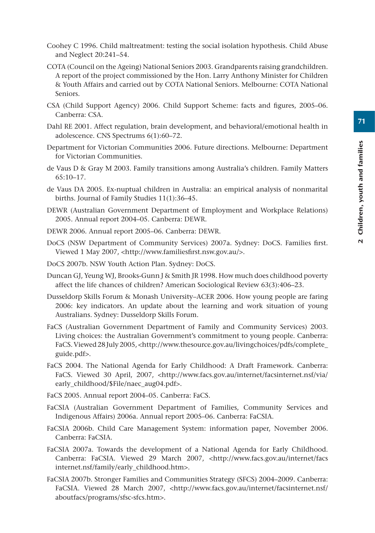- Coohey C 1996. Child maltreatment: testing the social isolation hypothesis. Child Abuse and Neglect 20:241–54.
- COTA (Council on the Ageing) National Seniors 2003. Grandparents raising grandchildren. A report of the project commissioned by the Hon. Larry Anthony Minister for Children & Youth Affairs and carried out by COTA National Seniors. Melbourne: COTA National Seniors.
- CSA (Child Support Agency) 2006. Child Support Scheme: facts and figures, 2005–06. Canberra: CSA.
- Dahl RE 2001. Affect regulation, brain development, and behavioral/emotional health in adolescence. CNS Spectrums 6(1):60–72.
- Department for Victorian Communities 2006. Future directions. Melbourne: Department for Victorian Communities.
- de Vaus D & Gray M 2003. Family transitions among Australia's children. Family Matters 65:10–17.
- de Vaus DA 2005. Ex-nuptual children in Australia: an empirical analysis of nonmarital births. Journal of Family Studies 11(1):36–45.
- DEWR (Australian Government Department of Employment and Workplace Relations) 2005. Annual report 2004–05. Canberra: DEWR.
- DEWR 2006. Annual report 2005–06. Canberra: DEWR.
- DoCS (NSW Department of Community Services) 2007a. Sydney: DoCS. Families first. Viewed 1 May 2007, <http://www.familiesfirst.nsw.gov.au/>.
- DoCS 2007b. NSW Youth Action Plan. Sydney: DoCS.
- Duncan GJ, Yeung WJ, Brooks-Gunn J & Smith JR 1998. How much does childhood poverty affect the life chances of children? American Sociological Review 63(3):406–23.
- Dusseldorp Skills Forum & Monash University–ACER 2006. How young people are faring 2006: key indicators. An update about the learning and work situation of young Australians. Sydney: Dusseldorp Skills Forum.
- FaCS (Australian Government Department of Family and Community Services) 2003. Living choices: the Australian Government's commitment to young people. Canberra: FaCS. Viewed 28 July 2005, <http://www.thesource.gov.au/livingchoices/pdfs/complete\_ guide.pdf>.
- FaCS 2004. The National Agenda for Early Childhood: A Draft Framework. Canberra: FaCS. Viewed 30 April, 2007, <http://www.facs.gov.au/internet/facsinternet.nsf/via/ early\_childhood/\$File/naec\_aug04.pdf>.
- FaCS 2005. Annual report 2004–05. Canberra: FaCS.
- FaCSIA (Australian Government Department of Families, Community Services and Indigenous Affairs) 2006a. Annual report 2005–06. Canberra: FaCSIA.
- FaCSIA 2006b. Child Care Management System: information paper, November 2006. Canberra: FaCSIA.
- FaCSIA 2007a. Towards the development of a National Agenda for Early Childhood. Canberra: FaCSIA. Viewed 29 March 2007, <http://www.facs.gov.au/internet/facs internet.nsf/family/early\_childhood.htm>.
- FaCSIA 2007b. Stronger Families and Communities Strategy (SFCS) 2004–2009. Canberra: FaCSIA. Viewed 28 March 2007, <http://www.facs.gov.au/internet/facsinternet.nsf/ aboutfacs/programs/sfsc-sfcs.htm>.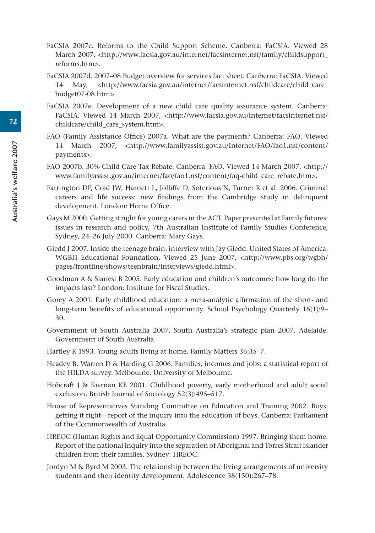- FaCSIA 2007c. Reforms to the Child Support Scheme. Canberra: FaCSIA. Viewed 28 March 2007, <http://www.facsia.gov.au/internet/facsinternet.nsf/family/childsupport reforms.htm>.
- FaCSIA 2007d. 2007–08 Budget overview for services fact sheet. Canberra: FaCSIA. Viewed 14 May, <http://www.facsia.gov.au/internet/facsinternet.nsf/childcare/child\_care\_ budget07-08.htm>.
- FaCSIA 2007e. Development of a new child care quality assurance system. Canberra: FaCSIA. Viewed 14 March 2007, <http://www.facsia.gov.au/internet/facsinternet.nsf/ childcare/child\_care\_system.htm>.
- FAO (Family Assistance Office) 2007a. What are the payments? Canberra: FAO. Viewed 14 March 2007, <http://www.familyassist.gov.au/Internet/FAO/fao1.nsf/content/ payments>.
- FAO 2007b. 30% Child Care Tax Rebate. Canberra: FAO. Viewed 14 March 2007, <http:// www.familyassist.gov.au/internet/fao/fao1.nsf/content/faq-child\_care\_rebate.htm>.
- Farrington DP, Coid JW, Harnett L, Jolliffe D, Soterious N, Turner R et al. 2006. Criminal careers and life success: new findings from the Cambridge study in delinquent development. London: Home Office.
- Gays M 2000. Getting it right for young carers in the ACT. Paper presented at Family futures: issues in research and policy, 7th Australian Institute of Family Studies Conference, Sydney, 24–26 July 2000. Canberra: Mary Gays.
- Giedd J 2007. Inside the teenage brain: interview with Jay Giedd. United States of America: WGBH Educational Foundation. Viewed 25 June 2007, <http://www.pbs.org/wgbh/ pages/frontline/shows/teenbrain/interviews/giedd.html>.
- Goodman A & Sianesi B 2005. Early education and children's outcomes: how long do the impacts last? London: Institute for Fiscal Studies.
- Gorey A 2001. Early childhood education: a meta-analytic affirmation of the short- and long-term benefits of educational opportunity. School Psychology Quarterly 16(1):9– 30.
- Government of South Australia 2007. South Australia's strategic plan 2007. Adelaide: Government of South Australia.
- Hartley R 1993. Young adults living at home. Family Matters 36:35–7.
- Headey B, Warren D & Harding G 2006. Families, incomes and jobs: a statistical report of the HILDA survey. Melbourne: University of Melbourne.
- Hobcraft J & Kiernan KE 2001. Childhood poverty, early motherhood and adult social exclusion. British Journal of Sociology 52(3):495–517.
- House of Representatives Standing Committee on Education and Training 2002. Boys: getting it right—report of the inquiry into the education of boys. Canberra: Parliament of the Commonwealth of Australia.
- HREOC (Human Rights and Equal Opportunity Commission) 1997. Bringing them home. Report of the national inquiry into the separation of Aboriginal and Torres Strait Islander children from their families. Sydney: HREOC.
- Jordyn M & Byrd M 2003. The relationship between the living arrangements of university students and their identity development. Adolescence 38(150):267–78.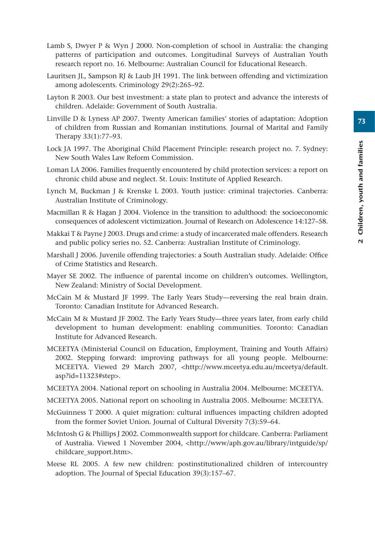- Lamb S. Dwyer P & Wyn J 2000. Non-completion of school in Australia: the changing patterns of participation and outcomes. Longitudinal Surveys of Australian Youth research report no. 16. Melbourne: Australian Council for Educational Research.
- Lauritsen JL, Sampson RJ & Laub JH 1991. The link between offending and victimization among adolescents. Criminology 29(2):265–92.
- Layton R 2003. Our best investment: a state plan to protect and advance the interests of children. Adelaide: Government of South Australia.
- Linville D & Lyness AP 2007. Twenty American families' stories of adaptation: Adoption of children from Russian and Romanian institutions. Journal of Marital and Family Therapy 33(1):77–93.
- Lock JA 1997. The Aboriginal Child Placement Principle: research project no. 7. Sydney: New South Wales Law Reform Commission.
- Loman LA 2006. Families frequently encountered by child protection services: a report on chronic child abuse and neglect. St. Louis: Institute of Applied Research.
- Lynch M, Buckman J & Krenske L 2003. Youth justice: criminal trajectories. Canberra: Australian Institute of Criminology.
- Macmillan R & Hagan J 2004. Violence in the transition to adulthood: the socioeconomic consequences of adolescent victimization. Journal of Research on Adolescence 14:127–58.
- Makkai T & Payne J 2003. Drugs and crime: a study of incarcerated male offenders. Research and public policy series no. 52. Canberra: Australian Institute of Criminology.
- Marshall J 2006. Juvenile offending trajectories: a South Australian study. Adelaide: Office of Crime Statistics and Research.
- Mayer SE 2002. The influence of parental income on children's outcomes. Wellington, New Zealand: Ministry of Social Development.
- McCain M & Mustard JF 1999. The Early Years Study—reversing the real brain drain. Toronto: Canadian Institute for Advanced Research.
- McCain M & Mustard JF 2002. The Early Years Study—three years later, from early child development to human development: enabling communities. Toronto: Canadian Institute for Advanced Research.
- MCEETYA (Ministerial Council on Education, Employment, Training and Youth Affairs) 2002. Stepping forward: improving pathways for all young people. Melbourne: MCEETYA. Viewed 29 March 2007, <http://www.mceetya.edu.au/mceetya/default. asp?id=11323#step>.
- MCEETYA 2004. National report on schooling in Australia 2004. Melbourne: MCEETYA.
- MCEETYA 2005. National report on schooling in Australia 2005. Melbourne: MCEETYA.
- McGuinness T 2000. A quiet migration: cultural influences impacting children adopted from the former Soviet Union. Journal of Cultural Diversity 7(3):59–64.
- McIntosh G & Phillips J 2002. Commonwealth support for childcare. Canberra: Parliament of Australia. Viewed 1 November 2004, <http://www/aph.gov.au/library/intguide/sp/ childcare\_support.htm>.
- Meese RL 2005. A few new children: postinstitutionalized children of intercountry adoption. The Journal of Special Education 39(3):157–67.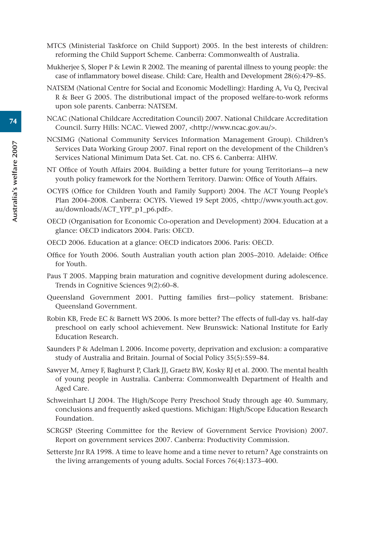- MTCS (Ministerial Taskforce on Child Support) 2005. In the best interests of children: reforming the Child Support Scheme. Canberra: Commonwealth of Australia.
- Mukherjee S, Sloper P  $\&$  Lewin R 2002. The meaning of parental illness to young people: the case of inflammatory bowel disease. Child: Care, Health and Development 28(6):479–85.
- NATSEM (National Centre for Social and Economic Modelling): Harding A, Vu Q, Percival R & Beer G 2005. The distributional impact of the proposed welfare-to-work reforms upon sole parents. Canberra: NATSEM.
- NCAC (National Childcare Accreditation Council) 2007. National Childcare Accreditation Council. Surry Hills: NCAC. Viewed 2007, <http://www.ncac.gov.au/>.
- NCSIMG (National Community Services Information Management Group). Children's Services Data Working Group 2007. Final report on the development of the Children's Services National Minimum Data Set. Cat. no. CFS 6. Canberra: AIHW.
- NT Office of Youth Affairs 2004. Building a better future for young Territorians—a new youth policy framework for the Northern Territory. Darwin: Office of Youth Affairs.
- OCYFS (Office for Children Youth and Family Support) 2004. The ACT Young People's Plan 2004–2008. Canberra: OCYFS. Viewed 19 Sept 2005, <http://www.youth.act.gov. au/downloads/ACT\_YPP\_p1\_p6.pdf>.
- OECD (Organisation for Economic Co-operation and Development) 2004. Education at a glance: OECD indicators 2004. Paris: OECD.
- OECD 2006. Education at a glance: OECD indicators 2006. Paris: OECD.
- Office for Youth 2006. South Australian youth action plan 2005–2010. Adelaide: Office for Youth.
- Paus T 2005. Mapping brain maturation and cognitive development during adolescence. Trends in Cognitive Sciences 9(2):60–8.
- Queensland Government 2001. Putting families first—policy statement. Brisbane: Queensland Government.
- Robin KB, Frede EC & Barnett WS 2006. Is more better? The effects of full-day vs. half-day preschool on early school achievement. New Brunswick: National Institute for Early Education Research.
- Saunders P & Adelman L 2006. Income poverty, deprivation and exclusion: a comparative study of Australia and Britain. Journal of Social Policy 35(5):559–84.
- Sawyer M, Arney F, Baghurst P, Clark JJ, Graetz BW, Kosky RJ et al. 2000. The mental health of young people in Australia. Canberra: Commonwealth Department of Health and Aged Care.
- Schweinhart LJ 2004. The High/Scope Perry Preschool Study through age 40. Summary, conclusions and frequently asked questions. Michigan: High/Scope Education Research Foundation.
- SCRGSP (Steering Committee for the Review of Government Service Provision) 2007. Report on government services 2007. Canberra: Productivity Commission.
- Setterste Jnr RA 1998. A time to leave home and a time never to return? Age constraints on the living arrangements of young adults. Social Forces 76(4):1373–400.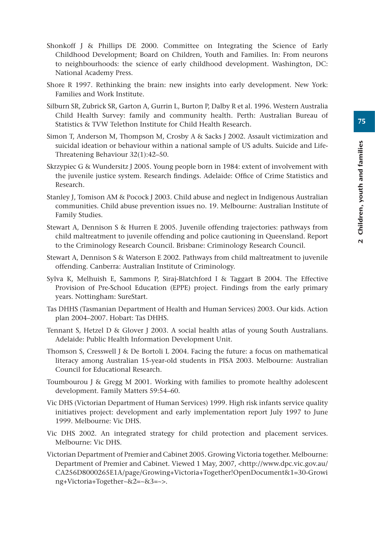- Shonkoff J & Phillips DE 2000. Committee on Integrating the Science of Early Childhood Development; Board on Children, Youth and Families. In: From neurons to neighbourhoods: the science of early childhood development. Washington, DC: National Academy Press.
- Shore R 1997. Rethinking the brain: new insights into early development. New York: Families and Work Institute.
- Silburn SR, Zubrick SR, Garton A, Gurrin L, Burton P, Dalby R et al. 1996. Western Australia Child Health Survey: family and community health. Perth: Australian Bureau of Statistics & TVW Telethon Institute for Child Health Research.
- Simon T, Anderson M, Thompson M, Crosby A & Sacks J 2002. Assault victimization and suicidal ideation or behaviour within a national sample of US adults. Suicide and Life-Threatening Behaviour 32(1):42–50.
- Skrzypiec G & Wundersitz J 2005. Young people born in 1984: extent of involvement with the juvenile justice system. Research findings. Adelaide: Office of Crime Statistics and Research.
- Stanley J, Tomison AM & Pocock J 2003. Child abuse and neglect in Indigenous Australian communities. Child abuse prevention issues no. 19. Melbourne: Australian Institute of Family Studies.
- Stewart A, Dennison S & Hurren E 2005. Juvenile offending trajectories: pathways from child maltreatment to juvenile offending and police cautioning in Queensland. Report to the Criminology Research Council. Brisbane: Criminology Research Council.
- Stewart A, Dennison S & Waterson E 2002. Pathways from child maltreatment to juvenile offending. Canberra: Australian Institute of Criminology.
- Sylva K, Melhuish E, Sammons P, Siraj-Blatchford I & Taggart B 2004. The Effective Provision of Pre-School Education (EPPE) project. Findings from the early primary years. Nottingham: SureStart.
- Tas DHHS (Tasmanian Department of Health and Human Services) 2003. Our kids. Action plan 2004–2007. Hobart: Tas DHHS.
- Tennant S, Hetzel D & Glover J 2003. A social health atlas of young South Australians. Adelaide: Public Health Information Development Unit.
- Thomson S, Cresswell J & De Bortoli L 2004. Facing the future: a focus on mathematical literacy among Australian 15-year-old students in PISA 2003. Melbourne: Australian Council for Educational Research.
- Toumbourou J & Gregg M 2001. Working with families to promote healthy adolescent development. Family Matters 59:54–60.
- Vic DHS (Victorian Department of Human Services) 1999. High risk infants service quality initiatives project: development and early implementation report July 1997 to June 1999. Melbourne: Vic DHS.
- Vic DHS 2002. An integrated strategy for child protection and placement services. Melbourne: Vic DHS.
- Victorian Department of Premier and Cabinet 2005. Growing Victoria together. Melbourne: Department of Premier and Cabinet. Viewed 1 May, 2007, <http://www.dpc.vic.gov.au/ CA256D8000265E1A/page/Growing+Victoria+Together!OpenDocument&1=30-Growi ng+Victoria+Together~&2=~&3=~>.